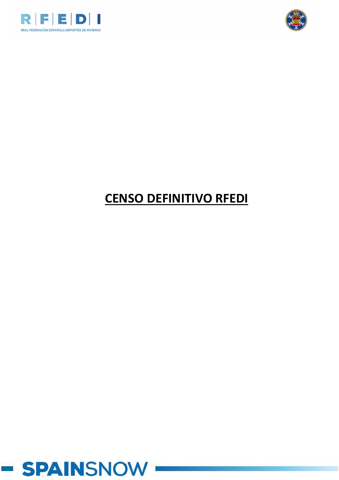



# **CENSO DEFINITIVO RFEDI**

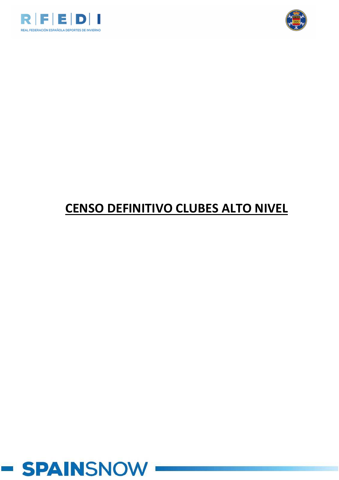



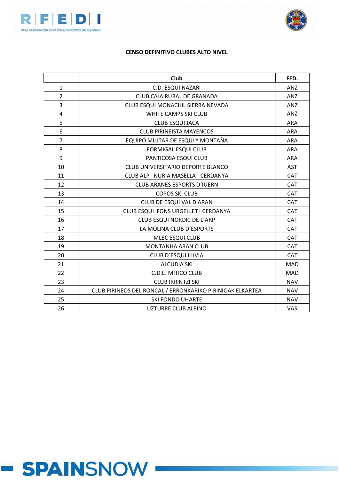



|                | Club                                                      |            |  |  |  |
|----------------|-----------------------------------------------------------|------------|--|--|--|
| $\mathbf{1}$   | C.D. ESQUI NAZARI                                         | <b>ANZ</b> |  |  |  |
| $\overline{2}$ | CLUB CAJA RURAL DE GRANADA                                |            |  |  |  |
| 3              | CLUB ESQUI MONACHIL SIERRA NEVADA                         | <b>ANZ</b> |  |  |  |
| 4              | WHITE CAMPS SKI CLUB                                      | <b>ANZ</b> |  |  |  |
| 5              | <b>CLUB ESQUI JACA</b>                                    | <b>ARA</b> |  |  |  |
| 6              | <b>CLUB PIRINEISTA MAYENCOS</b>                           | <b>ARA</b> |  |  |  |
| $\overline{7}$ | EQUIPO MILITAR DE ESQUI Y MONTAÑA                         | <b>ARA</b> |  |  |  |
| 8              | <b>FORMIGAL ESQUI CLUB</b>                                | <b>ARA</b> |  |  |  |
| 9              | PANTICOSA ESQUI CLUB                                      | <b>ARA</b> |  |  |  |
| 10             | CLUB UNIVERSITARIO DEPORTE BLANCO                         | <b>AST</b> |  |  |  |
| 11             | CLUB ALPI NURIA MASELLA - CERDANYA                        | <b>CAT</b> |  |  |  |
| 12             | <b>CLUB ARANES ESPORTS D'IUERN</b>                        | CAT        |  |  |  |
| 13             | <b>COPOS SKI CLUB</b>                                     | CAT        |  |  |  |
| 14             | CLUB DE ESQUI VAL D'ARAN                                  | <b>CAT</b> |  |  |  |
| 15             | CLUB ESQUI FONS URGELLET I CERDANYA                       | <b>CAT</b> |  |  |  |
| 16             | CLUB ESQUI NORDIC DE L'ARP                                | CAT        |  |  |  |
| 17             | LA MOLINA CLUB D'ESPORTS                                  | <b>CAT</b> |  |  |  |
| 18             | MLEC ESQUI CLUB                                           | <b>CAT</b> |  |  |  |
| 19             | <b>MONTANHA ARAN CLUB</b>                                 | <b>CAT</b> |  |  |  |
| 20             | CLUB D'ESQUI LLIVIA                                       | <b>CAT</b> |  |  |  |
| 21             | <b>ALCUDIA SKI</b>                                        | <b>MAD</b> |  |  |  |
| 22             | <b>C.D.E. MITICO CLUB</b>                                 | <b>MAD</b> |  |  |  |
| 23             | <b>CLUB IRRINTZI SKI</b>                                  | <b>NAV</b> |  |  |  |
| 24             | CLUB PIRINEOS DEL RONCAL / ERRONKARIKO PIRINIOAK ELKARTEA | <b>NAV</b> |  |  |  |
| 25             | <b>SKI FONDO UHARTE</b>                                   | <b>NAV</b> |  |  |  |
| 26             | UZTURRE CLUB ALPINO                                       | <b>VAS</b> |  |  |  |

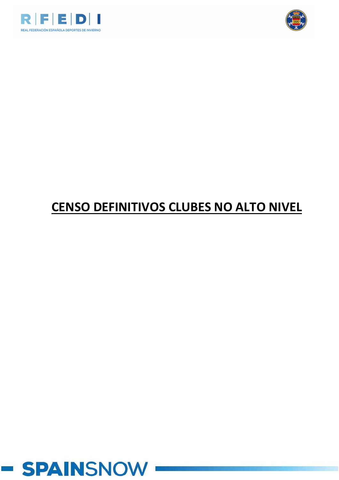



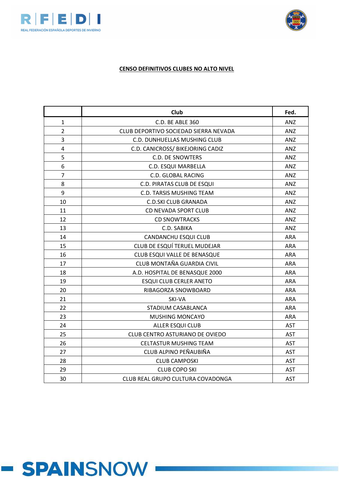



|                | <b>Club</b>                           | Fed.       |
|----------------|---------------------------------------|------------|
| 1              | C.D. BE ABLE 360                      | ANZ        |
| $\overline{2}$ | CLUB DEPORTIVO SOCIEDAD SIERRA NEVADA | ANZ        |
| 3              | C.D. DUNHUELLAS MUSHING CLUB          | ANZ        |
| 4              | C.D. CANICROSS/ BIKEJORING CADIZ      | ANZ        |
| 5              | <b>C.D. DE SNOWTERS</b>               | ANZ        |
| 6              | C.D. ESQUI MARBELLA                   | ANZ        |
| $\overline{7}$ | <b>C.D. GLOBAL RACING</b>             | ANZ        |
| 8              | C.D. PIRATAS CLUB DE ESQUI            | ANZ        |
| 9              | C.D. TARSIS MUSHING TEAM              | ANZ        |
| 10             | <b>C.D.SKI CLUB GRANADA</b>           | ANZ        |
| 11             | CD NEVADA SPORT CLUB                  | ANZ        |
| 12             | <b>CD SNOWTRACKS</b>                  | ANZ        |
| 13             | C.D. SABIKA                           | ANZ        |
| 14             | CANDANCHU ESQUI CLUB                  | <b>ARA</b> |
| 15             | CLUB DE ESQUÍ TERUEL MUDEJAR          | <b>ARA</b> |
| 16             | CLUB ESQUI VALLE DE BENASQUE          | <b>ARA</b> |
| 17             | CLUB MONTAÑA GUARDIA CIVIL            | <b>ARA</b> |
| 18             | A.D. HOSPITAL DE BENASQUE 2000        | ARA        |
| 19             | <b>ESQUI CLUB CERLER ANETO</b>        | <b>ARA</b> |
| 20             | RIBAGORZA SNOWBOARD                   | <b>ARA</b> |
| 21             | SKI-VA                                | <b>ARA</b> |
| 22             | STADIUM CASABLANCA                    | <b>ARA</b> |
| 23             | <b>MUSHING MONCAYO</b>                | <b>ARA</b> |
| 24             | <b>ALLER ESQUI CLUB</b>               | <b>AST</b> |
| 25             | CLUB CENTRO ASTURIANO DE OVIEDO       | <b>AST</b> |
| 26             | <b>CELTASTUR MUSHING TEAM</b>         | <b>AST</b> |
| 27             | CLUB ALPINO PEÑAUBIÑA                 | <b>AST</b> |
| 28             | <b>CLUB CAMPOSKI</b>                  | <b>AST</b> |
| 29             | <b>CLUB COPO SKI</b>                  | <b>AST</b> |
| 30             | CLUB REAL GRUPO CULTURA COVADONGA     | <b>AST</b> |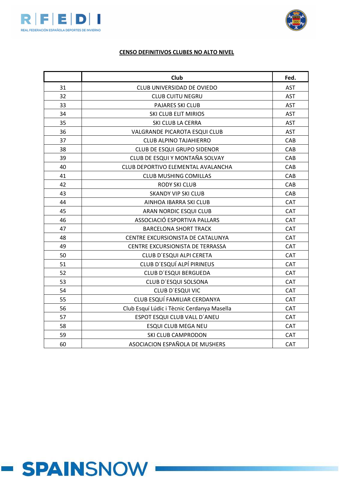



|    | Club                                       |            |  |  |  |
|----|--------------------------------------------|------------|--|--|--|
| 31 | CLUB UNIVERSIDAD DE OVIEDO                 | <b>AST</b> |  |  |  |
| 32 | <b>CLUB CUITU NEGRU</b>                    |            |  |  |  |
| 33 | PAJARES SKI CLUB                           | <b>AST</b> |  |  |  |
| 34 | <b>SKI CLUB ELIT MIRIOS</b>                | <b>AST</b> |  |  |  |
| 35 | SKI CLUB LA CERRA                          | <b>AST</b> |  |  |  |
| 36 | VALGRANDE PICAROTA ESQUI CLUB              | <b>AST</b> |  |  |  |
| 37 | <b>CLUB ALPINO TAJAHIERRO</b>              | CAB        |  |  |  |
| 38 | CLUB DE ESQUI GRUPO SIDENOR                | CAB        |  |  |  |
| 39 | CLUB DE ESQUI Y MONTAÑA SOLVAY             | CAB        |  |  |  |
| 40 | CLUB DEPORTIVO ELEMENTAL AVALANCHA         | CAB        |  |  |  |
| 41 | <b>CLUB MUSHING COMILLAS</b>               | CAB        |  |  |  |
| 42 | <b>RODY SKI CLUB</b>                       | CAB        |  |  |  |
| 43 | <b>SKANDY VIP SKI CLUB</b>                 | CAB        |  |  |  |
| 44 | AINHOA IBARRA SKI CLUB                     | <b>CAT</b> |  |  |  |
| 45 | ARAN NORDIC ESQUI CLUB                     | CAT        |  |  |  |
| 46 | ASSOCIACIÓ ESPORTIVA PALLARS               | CAT        |  |  |  |
| 47 | <b>BARCELONA SHORT TRACK</b>               | CAT        |  |  |  |
| 48 | CENTRE EXCURSIONISTA DE CATALUNYA          | CAT        |  |  |  |
| 49 | CENTRE EXCURSIONISTA DE TERRASSA           | CAT        |  |  |  |
| 50 | CLUB D'ESQUI ALPI CERETA                   | CAT        |  |  |  |
| 51 | CLUB D'ESQUÍ ALPÍ PIRINEUS                 | CAT        |  |  |  |
| 52 | CLUB D'ESQUI BERGUEDA                      | CAT        |  |  |  |
| 53 | CLUB D'ESQUI SOLSONA                       | CAT        |  |  |  |
| 54 | CLUB D'ESQUI VIC                           | CAT        |  |  |  |
| 55 | CLUB ESQUÍ FAMILIAR CERDANYA               | CAT        |  |  |  |
| 56 | Club Esquí Lúdic i Tècnic Cerdanya Masella | CAT        |  |  |  |
| 57 | ESPOT ESQUI CLUB VALL D'ANEU               | CAT        |  |  |  |
| 58 | <b>ESQUI CLUB MEGA NEU</b>                 | CAT        |  |  |  |
| 59 | SKI CLUB CAMPRODON                         | CAT        |  |  |  |
| 60 | ASOCIACION ESPAÑOLA DE MUSHERS             | CAT        |  |  |  |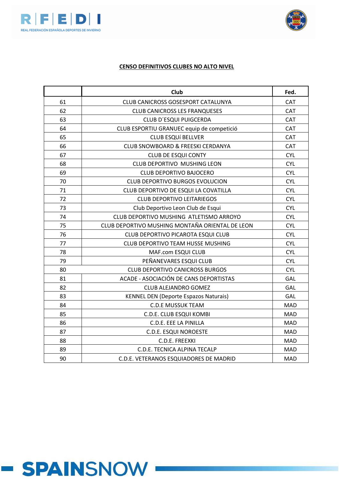



|    | Club                                            |            |  |  |  |
|----|-------------------------------------------------|------------|--|--|--|
| 61 | <b>CLUB CANICROSS GOSESPORT CATALUNYA</b>       | <b>CAT</b> |  |  |  |
| 62 | <b>CLUB CANICROSS LES FRANQUESES</b>            |            |  |  |  |
| 63 | CLUB D'ESQUI PUIGCERDA                          | <b>CAT</b> |  |  |  |
| 64 | CLUB ESPORTIU GRANUEC equip de competició       | CAT        |  |  |  |
| 65 | <b>CLUB ESQUÍ BELLVER</b>                       | CAT        |  |  |  |
| 66 | CLUB SNOWBOARD & FREESKI CERDANYA               | CAT        |  |  |  |
| 67 | <b>CLUB DE ESQUI CONTY</b>                      | <b>CYL</b> |  |  |  |
| 68 | CLUB DEPORTIVO MUSHING LEON                     | <b>CYL</b> |  |  |  |
| 69 | <b>CLUB DEPORTIVO BAJOCERO</b>                  | <b>CYL</b> |  |  |  |
| 70 | <b>CLUB DEPORTIVO BURGOS EVOLUCION</b>          | <b>CYL</b> |  |  |  |
| 71 | CLUB DEPORTIVO DE ESQUI LA COVATILLA            | <b>CYL</b> |  |  |  |
| 72 | <b>CLUB DEPORTIVO LEITARIEGOS</b>               | <b>CYL</b> |  |  |  |
| 73 | Club Deportivo Leon Club de Esqui               | <b>CYL</b> |  |  |  |
| 74 | CLUB DEPORTIVO MUSHING ATLETISMO ARROYO         | <b>CYL</b> |  |  |  |
| 75 | CLUB DEPORTIVO MUSHING MONTAÑA ORIENTAL DE LEON | <b>CYL</b> |  |  |  |
| 76 | CLUB DEPORTIVO PICAROTA ESQUI CLUB              | <b>CYL</b> |  |  |  |
| 77 | <b>CLUB DEPORTIVO TEAM HUSSE MUSHING</b>        | <b>CYL</b> |  |  |  |
| 78 | MAF.com ESQUI CLUB                              | <b>CYL</b> |  |  |  |
| 79 | PEÑANEVARES ESQUI CLUB                          | <b>CYL</b> |  |  |  |
| 80 | <b>CLUB DEPORTIVO CANICROSS BURGOS</b>          | <b>CYL</b> |  |  |  |
| 81 | ACADE - ASOCIACIÓN DE CANS DEPORTISTAS          | GAL        |  |  |  |
| 82 | <b>CLUB ALEJANDRO GOMEZ</b>                     | GAL        |  |  |  |
| 83 | <b>KENNEL DEN (Deporte Espazos Naturais)</b>    | GAL        |  |  |  |
| 84 | <b>C.D.E MUSSUK TEAM</b>                        | <b>MAD</b> |  |  |  |
| 85 | C.D.E. CLUB ESQUI KOMBI                         | <b>MAD</b> |  |  |  |
| 86 | C.D.E. EEE LA PINILLA                           | <b>MAD</b> |  |  |  |
| 87 | C.D.E. ESQUI NOROESTE                           | <b>MAD</b> |  |  |  |
| 88 | C.D.E. FREEXKI                                  | <b>MAD</b> |  |  |  |
| 89 | C.D.E. TECNICA ALPINA TECALP                    | <b>MAD</b> |  |  |  |
| 90 | C.D.E. VETERANOS ESQUIADORES DE MADRID          | <b>MAD</b> |  |  |  |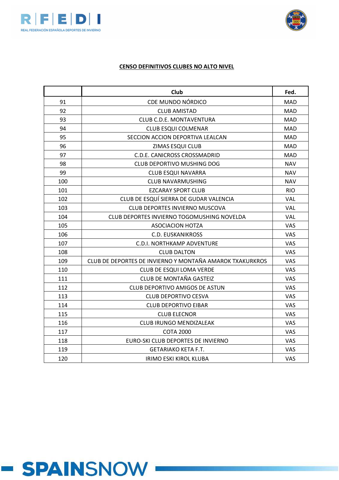



|     | Club                                                     | Fed.       |
|-----|----------------------------------------------------------|------------|
| 91  | CDE MUNDO NÓRDICO                                        | <b>MAD</b> |
| 92  | <b>CLUB AMISTAD</b>                                      | <b>MAD</b> |
| 93  | CLUB C.D.E. MONTAVENTURA                                 | MAD        |
| 94  | <b>CLUB ESQUI COLMENAR</b>                               | <b>MAD</b> |
| 95  | SECCION ACCION DEPORTIVA LEALCAN                         | <b>MAD</b> |
| 96  | ZIMAS ESQUI CLUB                                         | MAD        |
| 97  | C.D.E. CANICROSS CROSSMADRID                             | <b>MAD</b> |
| 98  | <b>CLUB DEPORTIVO MUSHING DOG</b>                        | <b>NAV</b> |
| 99  | <b>CLUB ESQUI NAVARRA</b>                                | <b>NAV</b> |
| 100 | <b>CLUB NAVARMUSHING</b>                                 | <b>NAV</b> |
| 101 | <b>EZCARAY SPORT CLUB</b>                                | <b>RIO</b> |
| 102 | CLUB DE ESQUÍ SIERRA DE GUDAR VALENCIA                   | VAL        |
| 103 | CLUB DEPORTES INVIERNO MUSCOVA                           | VAL        |
| 104 | CLUB DEPORTES INVIERNO TOGOMUSHING NOVELDA               | <b>VAL</b> |
| 105 | <b>ASOCIACION HOTZA</b>                                  | VAS        |
| 106 | <b>C.D. EUSKANIKROSS</b>                                 | VAS        |
| 107 | <b>C.D.I. NORTHKAMP ADVENTURE</b>                        | VAS        |
| 108 | <b>CLUB DALTON</b>                                       | VAS        |
| 109 | CLUB DE DEPORTES DE INVIERNO Y MONTAÑA AMAROK TXAKURKROS | VAS        |
| 110 | CLUB DE ESQUI LOMA VERDE                                 | VAS        |
| 111 | <b>CLUB DE MONTAÑA GASTEIZ</b>                           | VAS        |
| 112 | CLUB DEPORTIVO AMIGOS DE ASTUN                           | <b>VAS</b> |
| 113 | <b>CLUB DEPORTIVO CESVA</b>                              | <b>VAS</b> |
| 114 | <b>CLUB DEPORTIVO EIBAR</b>                              | VAS        |
| 115 | <b>CLUB ELECNOR</b>                                      | VAS        |
| 116 | <b>CLUB IRUNGO MENDIZALEAK</b>                           | <b>VAS</b> |
| 117 | <b>COTA 2000</b>                                         | VAS        |
| 118 | EURO-SKI CLUB DEPORTES DE INVIERNO                       | VAS        |
| 119 | <b>GETARIAKO KETA F.T.</b>                               | VAS        |
| 120 | IRIMO ESKI KIROL KLUBA                                   | <b>VAS</b> |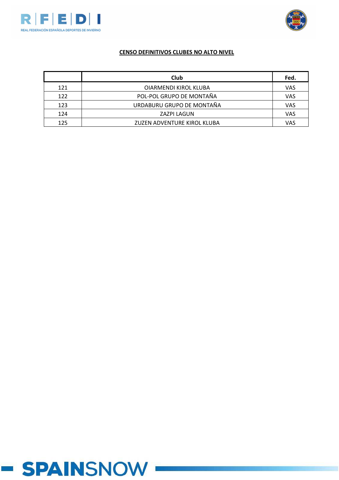



|     | <b>Club</b>                 | Fed. |
|-----|-----------------------------|------|
| 121 | OIARMENDI KIROL KLUBA       | VAS  |
| 122 | POL-POL GRUPO DE MONTAÑA    | VAS  |
| 123 | URDABURU GRUPO DE MONTAÑA   | VAS  |
| 124 | <b>ZAZPI LAGUN</b>          | VAS  |
| 125 | ZUZEN ADVENTURE KIROL KLUBA | VAS  |

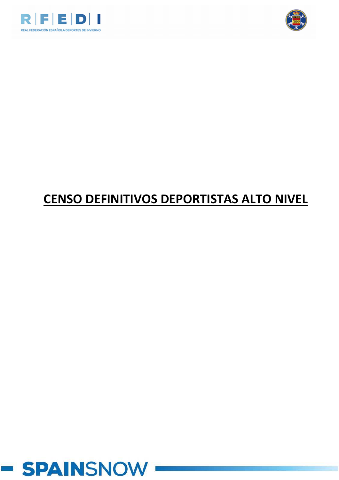



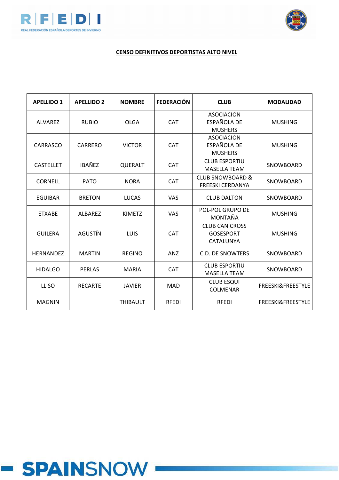



# **CENSO DEFINITIVOS DEPORTISTAS ALTO NIVEL**

| <b>APELLIDO 1</b> | <b>APELLIDO 2</b> | <b>NOMBRE</b>   | <b>FEDERACIÓN</b> | <b>CLUB</b>                                            | <b>MODALIDAD</b>             |
|-------------------|-------------------|-----------------|-------------------|--------------------------------------------------------|------------------------------|
| <b>ALVAREZ</b>    | <b>RUBIO</b>      | <b>OLGA</b>     | <b>CAT</b>        | <b>ASOCIACION</b><br>ESPAÑOLA DE<br><b>MUSHERS</b>     | <b>MUSHING</b>               |
| CARRASCO          | CARRERO           | <b>VICTOR</b>   | <b>CAT</b>        | <b>ASOCIACION</b><br>ESPAÑOLA DE<br><b>MUSHERS</b>     | <b>MUSHING</b>               |
| <b>CASTELLET</b>  | <b>IBAÑEZ</b>     | QUERALT         | <b>CAT</b>        | <b>CLUB ESPORTIU</b><br><b>MASELLA TEAM</b>            | SNOWBOARD                    |
| <b>CORNELL</b>    | <b>PATO</b>       | <b>NORA</b>     | <b>CAT</b>        | <b>CLUB SNOWBOARD &amp;</b><br><b>FREESKI CERDANYA</b> | SNOWBOARD                    |
| <b>EGUIBAR</b>    | <b>BRETON</b>     | <b>LUCAS</b>    | <b>VAS</b>        | <b>CLUB DALTON</b>                                     | SNOWBOARD                    |
| <b>ETXABE</b>     | <b>ALBAREZ</b>    | <b>KIMETZ</b>   | <b>VAS</b>        | <b>POL-POL GRUPO DE</b><br>MONTAÑA                     | <b>MUSHING</b>               |
| <b>GUILERA</b>    | <b>AGUSTÍN</b>    | <b>LUIS</b>     | <b>CAT</b>        | <b>CLUB CANICROSS</b><br><b>GOSESPORT</b><br>CATALUNYA | <b>MUSHING</b>               |
| <b>HERNANDEZ</b>  | <b>MARTIN</b>     | <b>REGINO</b>   | <b>ANZ</b>        | <b>C.D. DE SNOWTERS</b>                                | SNOWBOARD                    |
| <b>HIDALGO</b>    | <b>PERLAS</b>     | <b>MARIA</b>    | <b>CAT</b>        | <b>CLUB ESPORTIU</b><br><b>MASELLA TEAM</b>            | SNOWBOARD                    |
| <b>LLISO</b>      | <b>RECARTE</b>    | <b>JAVIER</b>   | <b>MAD</b>        | <b>CLUB ESQUI</b><br>COLMENAR                          | <b>FREESKI&amp;FREESTYLE</b> |
| <b>MAGNIN</b>     |                   | <b>THIBAULT</b> | <b>RFEDI</b>      | <b>RFEDI</b>                                           | <b>FREESKI&amp;FREESTYLE</b> |

# **- SPAINSNOW**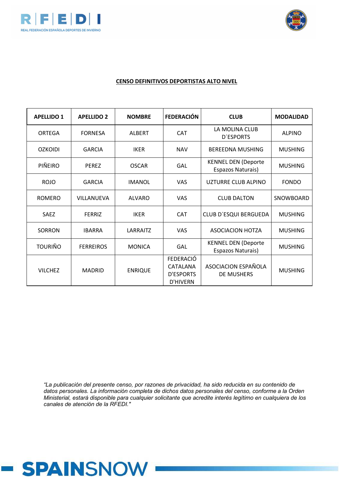



#### **CENSO DEFINITIVOS DEPORTISTAS ALTO NIVEL**

| <b>APELLIDO 1</b> | <b>APELLIDO 2</b> | <b>NOMBRE</b>  | <b>FEDERACIÓN</b>                                                   | <b>CLUB</b>                                     | <b>MODALIDAD</b> |
|-------------------|-------------------|----------------|---------------------------------------------------------------------|-------------------------------------------------|------------------|
| ORTEGA            | <b>FORNESA</b>    | <b>ALBERT</b>  | <b>CAT</b>                                                          | LA MOLINA CLUB<br>D'ESPORTS                     |                  |
| <b>OZKOIDI</b>    | <b>GARCIA</b>     | <b>IKER</b>    | <b>NAV</b>                                                          | <b>BEREEDNA MUSHING</b>                         | <b>MUSHING</b>   |
| PIÑEIRO           | <b>PEREZ</b>      | <b>OSCAR</b>   | GAL                                                                 | <b>KENNEL DEN (Deporte</b><br>Espazos Naturais) |                  |
| <b>ROJO</b>       | <b>GARCIA</b>     | <b>IMANOL</b>  | <b>VAS</b>                                                          | UZTURRE CLUB ALPINO                             | <b>FONDO</b>     |
| <b>ROMERO</b>     | VILLANUEVA        | <b>ALVARO</b>  | <b>VAS</b>                                                          | <b>CLUB DALTON</b>                              | SNOWBOARD        |
| <b>SAEZ</b>       | <b>FERRIZ</b>     | <b>IKER</b>    | <b>CAT</b>                                                          | CLUB D'ESQUI BERGUEDA                           | <b>MUSHING</b>   |
| SORRON            | <b>IBARRA</b>     | LARRAITZ       | <b>VAS</b>                                                          | <b>ASOCIACION HOTZA</b>                         | <b>MUSHING</b>   |
| <b>TOURIÑO</b>    | <b>FERREIROS</b>  | <b>MONICA</b>  | GAL                                                                 | <b>KENNEL DEN (Deporte</b><br>Espazos Naturais) | <b>MUSHING</b>   |
| <b>VILCHEZ</b>    | <b>MADRID</b>     | <b>ENRIQUE</b> | <b>FEDERACIÓ</b><br>CATALANA<br><b>D'ESPORTS</b><br><b>D'HIVERN</b> | ASOCIACION ESPAÑOLA<br><b>DE MUSHERS</b>        | <b>MUSHING</b>   |

*"La publicación del presente censo, por razones de privacidad, ha sido reducida en su contenido de datos personales. La información completa de dichos datos personales del censo, conforme a la Orden Ministerial, estará disponible para cualquier solicitante que acredite interés legítimo en cualquiera de los canales de atención de la RFEDI."*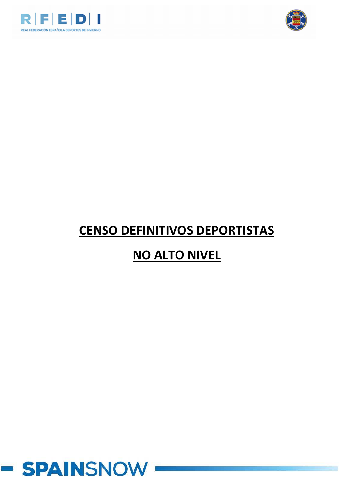



# **CENSO DEFINITIVOS DEPORTISTAS**

# **NO ALTO NIVEL**

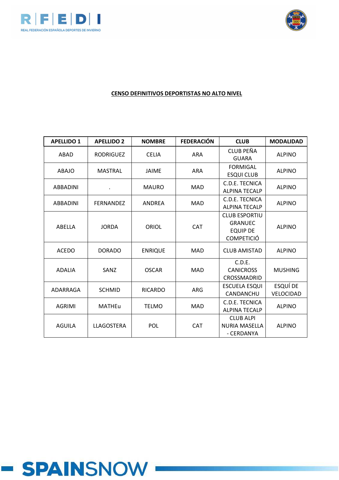



| <b>APELLIDO 1</b> | <b>APELLIDO 2</b> | <b>NOMBRE</b>  | <b>FEDERACIÓN</b> | <b>CLUB</b>                                                                    | <b>MODALIDAD</b>      |
|-------------------|-------------------|----------------|-------------------|--------------------------------------------------------------------------------|-----------------------|
| ABAD              | <b>RODRIGUEZ</b>  | <b>CELIA</b>   | <b>ARA</b>        | CLUB PEÑA<br><b>GUARA</b>                                                      | <b>ALPINO</b>         |
| <b>ABAJO</b>      | <b>MASTRAL</b>    | <b>JAIME</b>   | <b>ARA</b>        | <b>FORMIGAL</b><br><b>ESQUI CLUB</b>                                           | <b>ALPINO</b>         |
| ABBADINI          |                   | <b>MAURO</b>   | <b>MAD</b>        | C.D.E. TECNICA<br><b>ALPINA TECALP</b>                                         | <b>ALPINO</b>         |
| ABBADINI          | <b>FERNANDEZ</b>  | ANDREA         | MAD               | C.D.E. TECNICA<br><b>ALPINA TECALP</b>                                         | <b>ALPINO</b>         |
| ABELLA            | <b>JORDA</b>      | ORIOL          | <b>CAT</b>        | <b>CLUB ESPORTIU</b><br><b>GRANUEC</b><br><b>EQUIP DE</b><br><b>COMPETICIÓ</b> | <b>ALPINO</b>         |
| <b>ACEDO</b>      | <b>DORADO</b>     | <b>ENRIQUE</b> | <b>MAD</b>        | <b>CLUB AMISTAD</b>                                                            | <b>ALPINO</b>         |
| <b>ADALIA</b>     | SANZ              | <b>OSCAR</b>   | <b>MAD</b>        | C.D.E.<br><b>CANICROSS</b><br>CROSSMADRID                                      | <b>MUSHING</b>        |
| ADARRAGA          | <b>SCHMID</b>     | <b>RICARDO</b> | ARG               | <b>ESCUELA ESQUI</b><br>CANDANCHU                                              | ESQUÍ DE<br>VELOCIDAD |
| <b>AGRIMI</b>     | <b>MATHEu</b>     | <b>TELMO</b>   | <b>MAD</b>        | C.D.E. TECNICA<br><b>ALPINA TECALP</b>                                         | <b>ALPINO</b>         |
| <b>AGUILA</b>     | LLAGOSTERA        | <b>POL</b>     | CAT               | <b>CLUB ALPI</b><br><b>NURIA MASELLA</b><br>- CERDANYA                         | <b>ALPINO</b>         |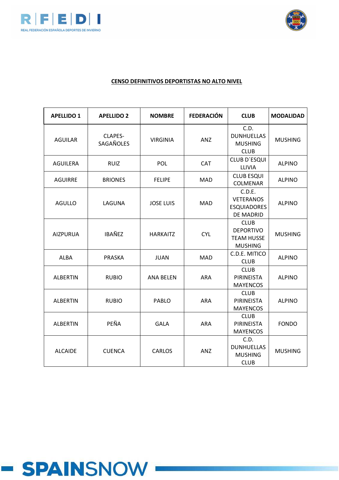



| <b>APELLIDO 1</b> | <b>APELLIDO 2</b>    | <b>NOMBRE</b>    | <b>FEDERACIÓN</b> | <b>CLUB</b>                                                            | <b>MODALIDAD</b> |
|-------------------|----------------------|------------------|-------------------|------------------------------------------------------------------------|------------------|
| <b>AGUILAR</b>    | CLAPES-<br>SAGAÑOLES | <b>VIRGINIA</b>  | ANZ               | C.D.<br><b>DUNHUELLAS</b><br><b>MUSHING</b><br><b>CLUB</b>             | <b>MUSHING</b>   |
| <b>AGUILERA</b>   | <b>RUIZ</b>          | POL              | <b>CAT</b>        | <b>CLUB D'ESQUI</b><br>LLIVIA                                          | <b>ALPINO</b>    |
| <b>AGUIRRE</b>    | <b>BRIONES</b>       | <b>FELIPE</b>    | <b>MAD</b>        | <b>CLUB ESQUI</b><br>COLMENAR                                          | <b>ALPINO</b>    |
| <b>AGULLO</b>     | LAGUNA               | <b>JOSE LUIS</b> | <b>MAD</b>        | C.D.E.<br><b>VETERANOS</b><br><b>ESQUIADORES</b><br>DE MADRID          | <b>ALPINO</b>    |
| <b>AIZPURUA</b>   | <b>IBAÑEZ</b>        | <b>HARKAITZ</b>  | <b>CYL</b>        | <b>CLUB</b><br><b>DEPORTIVO</b><br><b>TEAM HUSSE</b><br><b>MUSHING</b> | <b>MUSHING</b>   |
| <b>ALBA</b>       | <b>PRASKA</b>        | <b>JUAN</b>      | <b>MAD</b>        | C.D.E. MITICO<br><b>CLUB</b>                                           | <b>ALPINO</b>    |
| <b>ALBERTIN</b>   | <b>RUBIO</b>         | <b>ANA BELEN</b> | <b>ARA</b>        | <b>CLUB</b><br>PIRINEISTA<br><b>MAYENCOS</b>                           | <b>ALPINO</b>    |
| <b>ALBERTIN</b>   | <b>RUBIO</b>         | PABLO            | <b>ARA</b>        | <b>CLUB</b><br>PIRINEISTA<br><b>MAYENCOS</b>                           | <b>ALPINO</b>    |
| <b>ALBERTIN</b>   | PEÑA                 | <b>GALA</b>      | <b>ARA</b>        | <b>CLUB</b><br><b>PIRINEISTA</b><br><b>MAYENCOS</b>                    | <b>FONDO</b>     |
| <b>ALCAIDE</b>    | <b>CUENCA</b>        | <b>CARLOS</b>    | ANZ               | C.D.<br><b>DUNHUELLAS</b><br><b>MUSHING</b><br><b>CLUB</b>             | <b>MUSHING</b>   |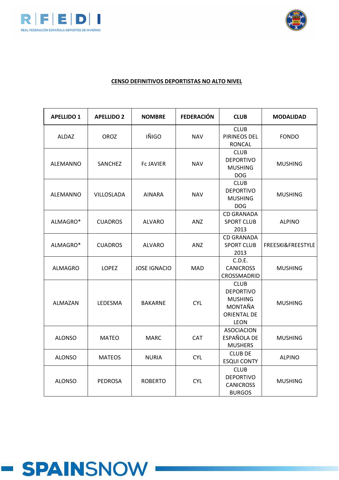



| <b>APELLIDO 1</b> | <b>APELLIDO 2</b> | <b>NOMBRE</b>       | <b>FEDERACIÓN</b> | <b>CLUB</b>                                                                                       | <b>MODALIDAD</b>  |
|-------------------|-------------------|---------------------|-------------------|---------------------------------------------------------------------------------------------------|-------------------|
| <b>ALDAZ</b>      | <b>OROZ</b>       | IÑIGO               | <b>NAV</b>        | <b>CLUB</b><br>PIRINEOS DEL<br><b>RONCAL</b>                                                      | <b>FONDO</b>      |
| ALEMANNO          | SANCHEZ           | <b>FCJAVIER</b>     | <b>NAV</b>        | <b>CLUB</b><br><b>DEPORTIVO</b><br><b>MUSHING</b><br><b>DOG</b>                                   | <b>MUSHING</b>    |
| ALEMANNO          | <b>VILLOSLADA</b> | <b>AINARA</b>       | <b>NAV</b>        | <b>CLUB</b><br><b>DEPORTIVO</b><br><b>MUSHING</b><br><b>DOG</b>                                   | <b>MUSHING</b>    |
| ALMAGRO*          | <b>CUADROS</b>    | ALVARO              | <b>ANZ</b>        | <b>CD GRANADA</b><br><b>SPORT CLUB</b><br>2013                                                    | <b>ALPINO</b>     |
| ALMAGRO*          | <b>CUADROS</b>    | <b>ALVARO</b>       | <b>ANZ</b>        | <b>CD GRANADA</b><br><b>SPORT CLUB</b><br>2013                                                    | FREESKI&FREESTYLE |
| <b>ALMAGRO</b>    | <b>LOPEZ</b>      | <b>JOSE IGNACIO</b> | <b>MAD</b>        | C.D.E.<br><b>CANICROSS</b><br>CROSSMADRID                                                         | <b>MUSHING</b>    |
| ALMAZAN           | LEDESMA           | <b>BAKARNE</b>      | <b>CYL</b>        | <b>CLUB</b><br><b>DEPORTIVO</b><br><b>MUSHING</b><br>MONTAÑA<br><b>ORIENTAL DE</b><br><b>LEON</b> | <b>MUSHING</b>    |
| <b>ALONSO</b>     | <b>MATEO</b>      | <b>MARC</b>         | <b>CAT</b>        | <b>ASOCIACION</b><br>ESPAÑOLA DE<br><b>MUSHERS</b>                                                | <b>MUSHING</b>    |
| <b>ALONSO</b>     | <b>MATEOS</b>     | <b>NURIA</b>        | <b>CYL</b>        | <b>CLUB DE</b><br><b>ESQUI CONTY</b>                                                              | <b>ALPINO</b>     |
| <b>ALONSO</b>     | <b>PEDROSA</b>    | <b>ROBERTO</b>      | <b>CYL</b>        | <b>CLUB</b><br><b>DEPORTIVO</b><br><b>CANICROSS</b><br><b>BURGOS</b>                              | <b>MUSHING</b>    |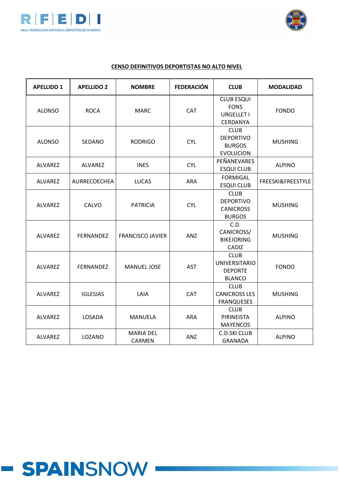



| <b>APELLIDO 1</b> | <b>APELLIDO 2</b> | <b>NOMBRE</b>              | <b>FEDERACIÓN</b> | <b>CLUB</b>                                                            | <b>MODALIDAD</b>  |
|-------------------|-------------------|----------------------------|-------------------|------------------------------------------------------------------------|-------------------|
| <b>ALONSO</b>     | <b>ROCA</b>       | <b>MARC</b>                | CAT               | <b>CLUB ESQUI</b><br><b>FONS</b><br><b>URGELLET I</b><br>CERDANYA      | <b>FONDO</b>      |
| <b>ALONSO</b>     | SEDANO            | <b>RODRIGO</b>             | <b>CYL</b>        | <b>CLUB</b><br><b>DEPORTIVO</b><br><b>BURGOS</b><br><b>EVOLUCION</b>   | <b>MUSHING</b>    |
| ALVAREZ           | <b>ALVAREZ</b>    | <b>INES</b>                | <b>CYL</b>        | PEÑANEVARES<br><b>ESQUI CLUB</b>                                       | <b>ALPINO</b>     |
| ALVAREZ           | AURRECOECHEA      | <b>LUCAS</b>               | ARA               | <b>FORMIGAL</b><br><b>ESQUI CLUB</b>                                   | FREESKI&FREESTYLE |
| ALVAREZ           | CALVO             | <b>PATRICIA</b>            | <b>CYL</b>        | <b>CLUB</b><br><b>DEPORTIVO</b><br><b>CANICROSS</b><br><b>BURGOS</b>   | <b>MUSHING</b>    |
| ALVAREZ           | <b>FERNANDEZ</b>  | <b>FRANCISCO JAVIER</b>    | <b>ANZ</b>        | C.D.<br>CANICROSS/<br><b>BIKEJORING</b><br>CADIZ                       | <b>MUSHING</b>    |
| ALVAREZ           | <b>FERNANDEZ</b>  | <b>MANUEL JOSE</b>         | <b>AST</b>        | <b>CLUB</b><br><b>UNIVERSITARIO</b><br><b>DEPORTE</b><br><b>BLANCO</b> | <b>FONDO</b>      |
| ALVAREZ           | <b>IGLESIAS</b>   | LAIA                       | CAT               | <b>CLUB</b><br><b>CANICROSS LES</b><br><b>FRANQUESES</b>               | <b>MUSHING</b>    |
| ALVAREZ           | LOSADA            | <b>MANUELA</b>             | <b>ARA</b>        | <b>CLUB</b><br>PIRINEISTA<br><b>MAYENCOS</b>                           | <b>ALPINO</b>     |
| ALVAREZ           | LOZANO            | <b>MARIA DEL</b><br>CARMEN | <b>ANZ</b>        | <b>C.D.SKI CLUB</b><br><b>GRANADA</b>                                  | <b>ALPINO</b>     |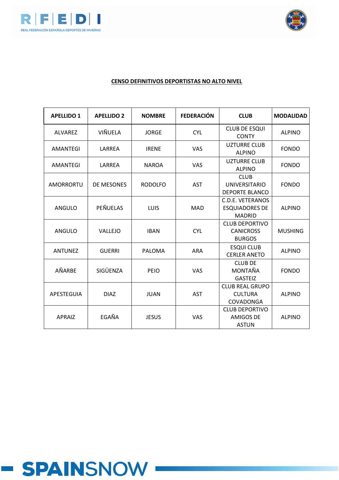



| <b>APELLIDO 1</b> | <b>APELLIDO 2</b> | <b>NOMBRE</b>  | <b>FEDERACIÓN</b> | <b>CLUB</b>                                                       | <b>MODALIDAD</b> |
|-------------------|-------------------|----------------|-------------------|-------------------------------------------------------------------|------------------|
| <b>ALVAREZ</b>    | VIÑUELA           | <b>JORGE</b>   | <b>CYL</b>        | <b>CLUB DE ESQUI</b><br><b>CONTY</b>                              | <b>ALPINO</b>    |
| <b>AMANTEGI</b>   | LARREA            | <b>IRENE</b>   | <b>VAS</b>        | <b>UZTURRE CLUB</b><br><b>ALPINO</b>                              | <b>FONDO</b>     |
| <b>AMANTEGI</b>   | LARREA            | <b>NAROA</b>   | VAS               | <b>UZTURRE CLUB</b><br><b>ALPINO</b>                              | <b>FONDO</b>     |
| <b>AMORRORTU</b>  | DE MESONES        | <b>RODOLFO</b> | <b>AST</b>        | <b>CLUB</b><br><b>UNIVERSITARIO</b><br><b>DEPORTE BLANCO</b>      | <b>FONDO</b>     |
| ANGULO            | <b>PEÑUELAS</b>   | <b>LUIS</b>    | <b>MAD</b>        | <b>C.D.E. VETERANOS</b><br><b>ESQUIADORES DE</b><br><b>MADRID</b> | <b>ALPINO</b>    |
| <b>ANGULO</b>     | VALLEJO           | <b>IBAN</b>    | <b>CYL</b>        | <b>CLUB DEPORTIVO</b><br><b>CANICROSS</b><br><b>BURGOS</b>        | <b>MUSHING</b>   |
| <b>ANTUNEZ</b>    | <b>GUERRI</b>     | <b>PALOMA</b>  | <b>ARA</b>        | <b>ESQUI CLUB</b><br><b>CERLER ANETO</b>                          | <b>ALPINO</b>    |
| AÑARBE            | SIGÜENZA          | PEIO           | <b>VAS</b>        | <b>CLUB DE</b><br>MONTAÑA<br><b>GASTEIZ</b>                       | <b>FONDO</b>     |
| APESTEGUIA        | <b>DIAZ</b>       | <b>JUAN</b>    | <b>AST</b>        | <b>CLUB REAL GRUPO</b><br><b>CULTURA</b><br>COVADONGA             | <b>ALPINO</b>    |
| <b>APRAIZ</b>     | EGAÑA             | <b>JESUS</b>   | <b>VAS</b>        | <b>CLUB DEPORTIVO</b><br><b>AMIGOS DE</b><br><b>ASTUN</b>         | <b>ALPINO</b>    |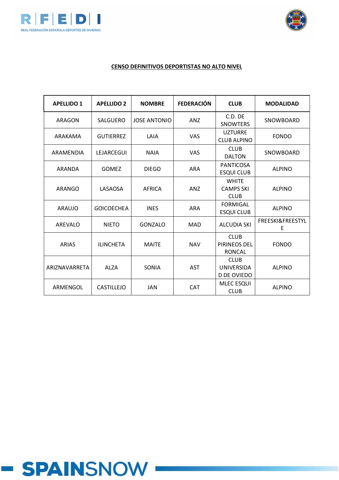



# **CENSO DEFINITIVOS DEPORTISTAS NO ALTO NIVEL**

| <b>APELLIDO 1</b>    | <b>APELLIDO 2</b> | <b>NOMBRE</b>       | <b>FEDERACIÓN</b> | <b>CLUB</b>                                     | <b>MODALIDAD</b>      |
|----------------------|-------------------|---------------------|-------------------|-------------------------------------------------|-----------------------|
| ARAGON               | SALGUERO          | <b>JOSE ANTONIO</b> | <b>ANZ</b>        | $C.D.$ $DF$<br><b>SNOWTERS</b>                  | SNOWBOARD             |
| ARAKAMA              | <b>GUTIERREZ</b>  | LAIA                | <b>VAS</b>        | <b>UZTURRE</b><br><b>CLUB ALPINO</b>            | <b>FONDO</b>          |
| ARAMENDIA            | LEJARCEGUI        | <b>NAIA</b>         | <b>VAS</b>        | <b>CLUB</b><br><b>DALTON</b>                    | SNOWBOARD             |
| ARANDA               | <b>GOMEZ</b>      | <b>DIEGO</b>        | <b>ARA</b>        | <b>PANTICOSA</b><br><b>ESQUI CLUB</b>           | <b>ALPINO</b>         |
| ARANGO               | LASAOSA           | <b>AFRICA</b>       | <b>ANZ</b>        | <b>WHITE</b><br><b>CAMPS SKI</b><br><b>CLUB</b> | <b>ALPINO</b>         |
| ARAUJO               | <b>GOICOECHEA</b> | <b>INES</b>         | <b>ARA</b>        | <b>FORMIGAL</b><br><b>ESQUI CLUB</b>            | <b>ALPINO</b>         |
| AREVALO              | <b>NIETO</b>      | GONZALO             | <b>MAD</b>        | <b>ALCUDIA SKI</b>                              | FREESKI&FREESTYL<br>E |
| <b>ARIAS</b>         | <b>ILINCHETA</b>  | <b>MAITE</b>        | <b>NAV</b>        | <b>CLUB</b><br>PIRINEOS DEL<br><b>RONCAL</b>    | <b>FONDO</b>          |
| <b>ARIZNAVARRETA</b> | <b>ALZA</b>       | <b>SONIA</b>        | <b>AST</b>        | <b>CLUB</b><br><b>UNIVERSIDA</b><br>D DE OVIEDO | <b>ALPINO</b>         |
| ARMENGOL             | CASTILLEJO        | JAN                 | <b>CAT</b>        | <b>MLEC ESQUI</b><br><b>CLUB</b>                | <b>ALPINO</b>         |

# **- SPAINSNOW**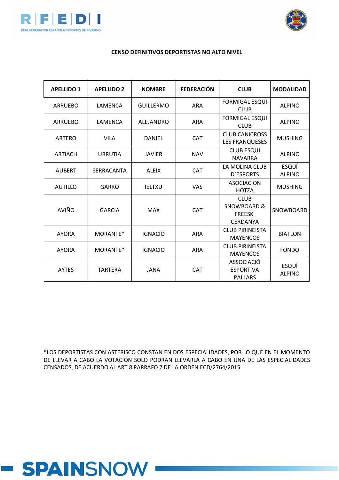



#### **CENSO DEFINITIVOS DEPORTISTAS NO ALTO NIVEL**

| <b>APELLIDO 1</b> | <b>APELLIDO 2</b> | <b>NOMBRE</b>    | <b>FEDERACIÓN</b> | <b>CLUB</b>                                                                | <b>MODALIDAD</b>              |
|-------------------|-------------------|------------------|-------------------|----------------------------------------------------------------------------|-------------------------------|
| <b>ARRUEBO</b>    | LAMENCA           | <b>GUILLERMO</b> | <b>ARA</b>        | <b>FORMIGAL ESQUI</b><br><b>CLUB</b>                                       | <b>ALPINO</b>                 |
| <b>ARRUEBO</b>    | LAMENCA           | <b>ALEJANDRO</b> | <b>ARA</b>        | <b>FORMIGAL ESQUI</b><br><b>CLUB</b>                                       | <b>ALPINO</b>                 |
| <b>ARTERO</b>     | <b>VILA</b>       | <b>DANIEL</b>    | <b>CAT</b>        | <b>CLUB CANICROSS</b><br><b>LES FRANQUESES</b>                             | <b>MUSHING</b>                |
| <b>ARTIACH</b>    | <b>URRUTIA</b>    | <b>JAVIER</b>    | <b>NAV</b>        | <b>CLUB ESQUI</b><br><b>NAVARRA</b>                                        | <b>ALPINO</b>                 |
| <b>AUBERT</b>     | SERRACANTA        | <b>ALEIX</b>     | <b>CAT</b>        | LA MOLINA CLUB<br><b>D'ESPORTS</b>                                         | ESQUÍ<br><b>ALPINO</b>        |
| <b>AUTILLO</b>    | GARRO             | <b>IELTXU</b>    | <b>VAS</b>        | <b>ASOCIACION</b><br><b>HOTZA</b>                                          | <b>MUSHING</b>                |
| AVIÑO             | <b>GARCIA</b>     | <b>MAX</b>       | <b>CAT</b>        | <b>CLUB</b><br><b>SNOWBOARD &amp;</b><br><b>FREESKI</b><br><b>CERDANYA</b> | SNOWBOARD                     |
| <b>AYORA</b>      | MORANTE*          | <b>IGNACIO</b>   | <b>ARA</b>        | <b>CLUB PIRINEISTA</b><br><b>MAYENCOS</b>                                  | <b>BIATLON</b>                |
| <b>AYORA</b>      | MORANTE*          | <b>IGNACIO</b>   | <b>ARA</b>        | <b>CLUB PIRINEISTA</b><br><b>MAYENCOS</b>                                  | <b>FONDO</b>                  |
| <b>AYTES</b>      | <b>TARTERA</b>    | <b>JANA</b>      | CAT               | <b>ASSOCIACIÓ</b><br><b>ESPORTIVA</b><br><b>PALLARS</b>                    | <b>ESQUÍ</b><br><b>ALPINO</b> |

\*LOS DEPORTISTAS CON ASTERISCO CONSTAN EN DOS ESPECIALIDADES, POR LO QUE EN EL MOMENTO DE LLEVAR A CABO LA VOTACIÓN SOLO PODRAN LLEVARLA A CABO EN UNA DE LAS ESPECIALIDADES CENSADOS, DE ACUERDO AL ART.8 PARRAFO 7 DE LA ORDEN ECD/2764/2015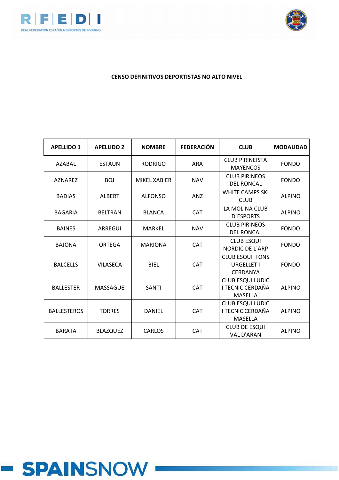



| <b>APELLIDO 1</b>  | <b>APELLIDO 2</b> | <b>NOMBRE</b>  | <b>FEDERACIÓN</b> | <b>CLUB</b>                                             | <b>MODALIDAD</b> |
|--------------------|-------------------|----------------|-------------------|---------------------------------------------------------|------------------|
| <b>AZABAL</b>      | <b>ESTAUN</b>     | <b>RODRIGO</b> | <b>ARA</b>        | <b>CLUB PIRINEISTA</b><br><b>MAYENCOS</b>               | <b>FONDO</b>     |
| <b>AZNAREZ</b>     | <b>BOJ</b>        | MIKEL XABIER   | <b>NAV</b>        | <b>CLUB PIRINEOS</b><br><b>DEL RONCAL</b>               | <b>FONDO</b>     |
| <b>BADIAS</b>      | <b>ALBERT</b>     | <b>ALFONSO</b> | ANZ               | <b>WHITE CAMPS SKI</b><br><b>CLUB</b>                   | <b>ALPINO</b>    |
| <b>BAGARIA</b>     | <b>BELTRAN</b>    | <b>BLANCA</b>  | <b>CAT</b>        | LA MOLINA CLUB<br><b>D'ESPORTS</b>                      | <b>ALPINO</b>    |
| <b>BAINES</b>      | <b>ARREGUI</b>    | <b>MARKEL</b>  | <b>NAV</b>        | <b>CLUB PIRINEOS</b><br><b>DEL RONCAL</b>               | <b>FONDO</b>     |
| <b>BAJONA</b>      | ORTEGA            | <b>MARIONA</b> | <b>CAT</b>        | <b>CLUB ESQUI</b><br><b>NORDIC DE L'ARP</b>             | <b>FONDO</b>     |
| <b>BALCELLS</b>    | <b>VILASECA</b>   | <b>BIEL</b>    | <b>CAT</b>        | <b>CLUB ESQUI FONS</b><br>URGELLET I<br><b>CERDANYA</b> | <b>FONDO</b>     |
| <b>BALLESTER</b>   | <b>MASSAGUE</b>   | <b>SANTI</b>   | <b>CAT</b>        | CLUB ESQUI LUDIC<br>I TECNIC CERDAÑA<br><b>MASELLA</b>  | <b>ALPINO</b>    |
| <b>BALLESTEROS</b> | <b>TORRES</b>     | <b>DANIEL</b>  | <b>CAT</b>        | <b>CLUB ESQUI LUDIC</b><br>I TECNIC CERDAÑA<br>MASELLA  | <b>ALPINO</b>    |
| <b>BARATA</b>      | <b>BLAZQUEZ</b>   | <b>CARLOS</b>  | CAT               | <b>CLUB DE ESQUI</b><br><b>VAL D'ARAN</b>               | <b>ALPINO</b>    |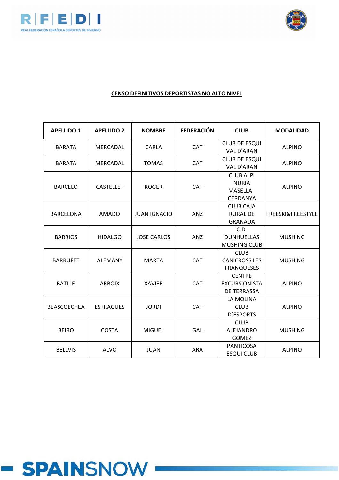



| <b>APELLIDO 1</b>  | <b>APELLIDO 2</b> | <b>NOMBRE</b>       | <b>FEDERACIÓN</b> | <b>CLUB</b>                                                 | <b>MODALIDAD</b>  |
|--------------------|-------------------|---------------------|-------------------|-------------------------------------------------------------|-------------------|
| <b>BARATA</b>      | <b>MERCADAL</b>   | CARLA               | <b>CAT</b>        | <b>CLUB DE ESQUI</b><br><b>VAL D'ARAN</b>                   | <b>ALPINO</b>     |
| <b>BARATA</b>      | MERCADAL          | <b>TOMAS</b>        | <b>CAT</b>        | <b>CLUB DE ESQUI</b><br><b>VAL D'ARAN</b>                   | <b>ALPINO</b>     |
| <b>BARCELO</b>     | <b>CASTELLET</b>  | <b>ROGER</b>        | <b>CAT</b>        | <b>CLUB ALPI</b><br><b>NURIA</b><br>MASELLA -<br>CERDANYA   | <b>ALPINO</b>     |
| <b>BARCELONA</b>   | <b>AMADO</b>      | <b>JUAN IGNACIO</b> | ANZ               | <b>CLUB CAJA</b><br><b>RURAL DE</b><br><b>GRANADA</b>       | FREESKI&FREESTYLE |
| <b>BARRIOS</b>     | <b>HIDALGO</b>    | <b>JOSE CARLOS</b>  | ANZ               | C.D.<br><b>DUNHUELLAS</b><br><b>MUSHING CLUB</b>            | <b>MUSHING</b>    |
| <b>BARRUFET</b>    | <b>ALEMANY</b>    | <b>MARTA</b>        | <b>CAT</b>        | <b>CLUB</b><br><b>CANICROSS LES</b><br><b>FRANQUESES</b>    | <b>MUSHING</b>    |
| <b>BATLLE</b>      | <b>ARBOIX</b>     | <b>XAVIER</b>       | <b>CAT</b>        | <b>CENTRE</b><br><b>EXCURSIONISTA</b><br><b>DE TERRASSA</b> | <b>ALPINO</b>     |
| <b>BEASCOECHEA</b> | <b>ESTRAGUES</b>  | <b>JORDI</b>        | <b>CAT</b>        | LA MOLINA<br><b>CLUB</b><br><b>D'ESPORTS</b>                | <b>ALPINO</b>     |
| <b>BEIRO</b>       | <b>COSTA</b>      | <b>MIGUEL</b>       | <b>GAL</b>        | <b>CLUB</b><br>ALEJANDRO<br><b>GOMEZ</b>                    | <b>MUSHING</b>    |
| <b>BELLVIS</b>     | <b>ALVO</b>       | <b>JUAN</b>         | <b>ARA</b>        | <b>PANTICOSA</b><br><b>ESQUI CLUB</b>                       | <b>ALPINO</b>     |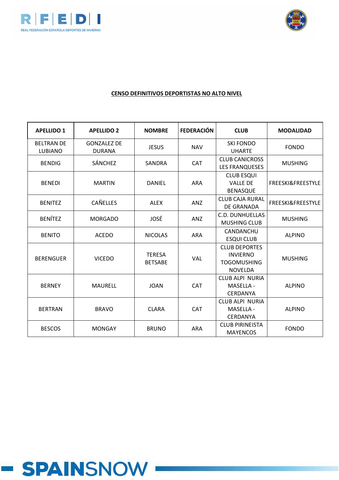



| <b>APELLIDO 1</b>                   | <b>APELLIDO 2</b>                   | <b>NOMBRE</b>                   | <b>FEDERACIÓN</b> | <b>CLUB</b>                                                                     | <b>MODALIDAD</b>             |
|-------------------------------------|-------------------------------------|---------------------------------|-------------------|---------------------------------------------------------------------------------|------------------------------|
| <b>BELTRAN DE</b><br><b>LUBIANO</b> | <b>GONZALEZ DE</b><br><b>DURANA</b> | <b>JESUS</b>                    | <b>NAV</b>        | <b>SKI FONDO</b><br><b>UHARTE</b>                                               | <b>FONDO</b>                 |
| <b>BENDIG</b>                       | <b>SÁNCHEZ</b>                      | SANDRA                          | CAT               | <b>CLUB CANICROSS</b><br><b>LES FRANQUESES</b>                                  | <b>MUSHING</b>               |
| <b>BENEDI</b>                       | <b>MARTIN</b>                       | <b>DANIEL</b>                   | <b>ARA</b>        | <b>CLUB ESQUI</b><br><b>VALLE DE</b><br><b>BENASQUE</b>                         | <b>FREESKI&amp;FREESTYLE</b> |
| <b>BENITEZ</b>                      | <b>CAÑELLES</b>                     | <b>ALEX</b>                     | <b>ANZ</b>        | <b>CLUB CAJA RURAL</b><br><b>DE GRANADA</b>                                     | <b>FREESKI&amp;FREESTYLE</b> |
| <b>BENÍTEZ</b>                      | <b>MORGADO</b>                      | JOSÉ                            | ANZ               | <b>C.D. DUNHUELLAS</b><br><b>MUSHING CLUB</b>                                   | <b>MUSHING</b>               |
| <b>BENITO</b>                       | <b>ACEDO</b>                        | <b>NICOLAS</b>                  | <b>ARA</b>        | CANDANCHU<br><b>ESQUI CLUB</b>                                                  | <b>ALPINO</b>                |
| <b>BERENGUER</b>                    | <b>VICEDO</b>                       | <b>TERESA</b><br><b>BETSABE</b> | <b>VAL</b>        | <b>CLUB DEPORTES</b><br><b>INVIERNO</b><br><b>TOGOMUSHING</b><br><b>NOVELDA</b> | <b>MUSHING</b>               |
| <b>BERNEY</b>                       | <b>MAURELL</b>                      | <b>JOAN</b>                     | CAT               | <b>CLUB ALPI NURIA</b><br>MASELLA -<br>CERDANYA                                 | <b>ALPINO</b>                |
| <b>BERTRAN</b>                      | <b>BRAVO</b>                        | <b>CLARA</b>                    | <b>CAT</b>        | <b>CLUB ALPI NURIA</b><br><b>MASELLA -</b><br>CERDANYA                          | <b>ALPINO</b>                |
| <b>BESCOS</b>                       | <b>MONGAY</b>                       | <b>BRUNO</b>                    | <b>ARA</b>        | <b>CLUB PIRINEISTA</b><br><b>MAYENCOS</b>                                       | <b>FONDO</b>                 |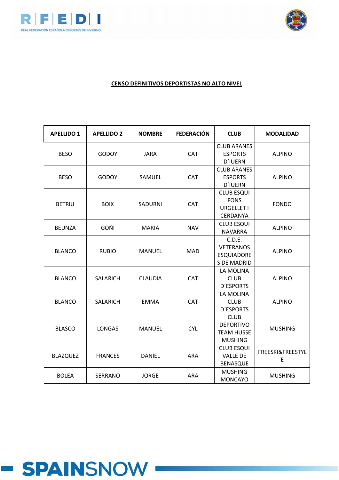



| <b>APELLIDO 1</b> | <b>APELLIDO 2</b> | <b>NOMBRE</b>  | <b>FEDERACIÓN</b> | <b>CLUB</b>                                                            | <b>MODALIDAD</b>      |
|-------------------|-------------------|----------------|-------------------|------------------------------------------------------------------------|-----------------------|
| <b>BESO</b>       | <b>GODOY</b>      | <b>JARA</b>    | CAT               | <b>CLUB ARANES</b><br><b>ESPORTS</b><br><b>D'IUERN</b>                 | <b>ALPINO</b>         |
| <b>BESO</b>       | <b>GODOY</b>      | SAMUEL         | <b>CAT</b>        | <b>CLUB ARANES</b><br><b>ESPORTS</b><br><b>D'IUERN</b>                 | <b>ALPINO</b>         |
| <b>BETRIU</b>     | <b>BOIX</b>       | <b>SADURNI</b> | CAT               | <b>CLUB ESQUI</b><br><b>FONS</b><br><b>URGELLET I</b><br>CERDANYA      | <b>FONDO</b>          |
| <b>BEUNZA</b>     | <b>GOÑI</b>       | <b>MARIA</b>   | <b>NAV</b>        | <b>CLUB ESQUI</b><br><b>NAVARRA</b>                                    | <b>ALPINO</b>         |
| <b>BLANCO</b>     | <b>RUBIO</b>      | <b>MANUEL</b>  | <b>MAD</b>        | C.D.E.<br><b>VETERANOS</b><br><b>ESQUIADORE</b><br><b>S DE MADRID</b>  | <b>ALPINO</b>         |
| <b>BLANCO</b>     | <b>SALARICH</b>   | <b>CLAUDIA</b> | CAT               | LA MOLINA<br><b>CLUB</b><br><b>D'ESPORTS</b>                           | <b>ALPINO</b>         |
| <b>BLANCO</b>     | <b>SALARICH</b>   | <b>EMMA</b>    | CAT               | LA MOLINA<br><b>CLUB</b><br><b>D'ESPORTS</b>                           | <b>ALPINO</b>         |
| <b>BLASCO</b>     | <b>LONGAS</b>     | <b>MANUEL</b>  | <b>CYL</b>        | <b>CLUB</b><br><b>DEPORTIVO</b><br><b>TEAM HUSSE</b><br><b>MUSHING</b> | <b>MUSHING</b>        |
| <b>BLAZQUEZ</b>   | <b>FRANCES</b>    | <b>DANIEL</b>  | <b>ARA</b>        | <b>CLUB ESQUI</b><br><b>VALLE DE</b><br><b>BENASQUE</b>                | FREESKI&FREESTYL<br>E |
| <b>BOLEA</b>      | <b>SERRANO</b>    | <b>JORGE</b>   | <b>ARA</b>        | <b>MUSHING</b><br><b>MONCAYO</b>                                       | <b>MUSHING</b>        |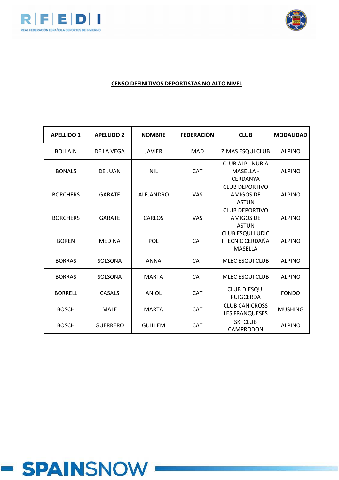



| <b>APELLIDO 1</b> | <b>APELLIDO 2</b> | <b>NOMBRE</b>  | <b>FEDERACIÓN</b> | <b>CLUB</b>                                                   | <b>MODALIDAD</b> |
|-------------------|-------------------|----------------|-------------------|---------------------------------------------------------------|------------------|
| <b>BOLLAIN</b>    | DE LA VEGA        | <b>JAVIER</b>  | <b>MAD</b>        | ZIMAS ESQUI CLUB                                              | <b>ALPINO</b>    |
| <b>BONALS</b>     | DE JUAN           | <b>NIL</b>     | <b>CAT</b>        | CLUB ALPI NURIA<br><b>MASELLA -</b><br><b>CERDANYA</b>        | <b>ALPINO</b>    |
| <b>BORCHERS</b>   | <b>GARATE</b>     | ALEJANDRO      | <b>VAS</b>        | <b>CLUB DEPORTIVO</b><br>AMIGOS DE<br><b>ASTUN</b>            | <b>ALPINO</b>    |
| <b>BORCHERS</b>   | <b>GARATE</b>     | CARLOS         | <b>VAS</b>        | <b>CLUB DEPORTIVO</b><br><b>AMIGOS DE</b><br><b>ASTUN</b>     | <b>ALPINO</b>    |
| <b>BOREN</b>      | <b>MEDINA</b>     | POL            | <b>CAT</b>        | <b>CLUB ESQUI LUDIC</b><br><b>I TECNIC CERDAÑA</b><br>MASELLA | <b>ALPINO</b>    |
| <b>BORRAS</b>     | SOLSONA           | <b>ANNA</b>    | <b>CAT</b>        | <b>MLEC ESQUI CLUB</b>                                        | <b>ALPINO</b>    |
| <b>BORRAS</b>     | SOLSONA           | <b>MARTA</b>   | <b>CAT</b>        | MLEC ESQUI CLUB                                               | <b>ALPINO</b>    |
| <b>BORRELL</b>    | CASALS            | <b>ANIOL</b>   | <b>CAT</b>        | <b>CLUB D'ESQUI</b><br><b>PUIGCERDA</b>                       | <b>FONDO</b>     |
| <b>BOSCH</b>      | <b>MALE</b>       | <b>MARTA</b>   | <b>CAT</b>        | <b>CLUB CANICROSS</b><br><b>LES FRANQUESES</b>                | <b>MUSHING</b>   |
| <b>BOSCH</b>      | <b>GUERRERO</b>   | <b>GUILLEM</b> | <b>CAT</b>        | <b>SKI CLUB</b><br>CAMPRODON                                  | <b>ALPINO</b>    |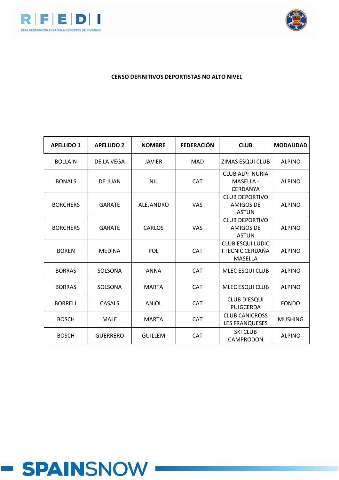



| <b>APELLIDO 1</b> | <b>APELLIDO 2</b> | <b>NOMBRE</b>    | <b>FEDERACIÓN</b> | <b>CLUB</b>                                               | <b>MODALIDAD</b> |
|-------------------|-------------------|------------------|-------------------|-----------------------------------------------------------|------------------|
| <b>BOLLAIN</b>    | DE LA VEGA        | <b>JAVIER</b>    | <b>MAD</b>        | ZIMAS ESQUI CLUB                                          | <b>ALPINO</b>    |
| <b>BONALS</b>     | <b>DE JUAN</b>    | <b>NIL</b>       | <b>CAT</b>        | <b>CLUB ALPI NURIA</b><br>MASELLA -<br>CERDANYA           | <b>ALPINO</b>    |
| <b>BORCHERS</b>   | <b>GARATE</b>     | <b>ALEJANDRO</b> | <b>VAS</b>        | <b>CLUB DEPORTIVO</b><br><b>AMIGOS DE</b><br><b>ASTUN</b> | <b>ALPINO</b>    |
| <b>BORCHERS</b>   | <b>GARATE</b>     | CARLOS           | <b>VAS</b>        | CLUB DEPORTIVO<br>AMIGOS DE<br><b>ASTUN</b>               | <b>ALPINO</b>    |
| <b>BOREN</b>      | <b>MEDINA</b>     | POL              | <b>CAT</b>        | <b>CLUB ESQUI LUDIC</b><br>I TECNIC CERDAÑA<br>MASELLA    | <b>ALPINO</b>    |
| <b>BORRAS</b>     | SOLSONA           | <b>ANNA</b>      | <b>CAT</b>        | MLEC ESQUI CLUB                                           | <b>ALPINO</b>    |
| <b>BORRAS</b>     | SOLSONA           | <b>MARTA</b>     | <b>CAT</b>        | <b>MLEC ESQUI CLUB</b>                                    | <b>ALPINO</b>    |
| <b>BORRELL</b>    | <b>CASALS</b>     | <b>ANIOL</b>     | <b>CAT</b>        | <b>CLUB D'ESQUI</b><br>PUIGCERDA                          | <b>FONDO</b>     |
| <b>BOSCH</b>      | <b>MALE</b>       | <b>MARTA</b>     | <b>CAT</b>        | <b>CLUB CANICROSS</b><br><b>LES FRANQUESES</b>            | <b>MUSHING</b>   |
| <b>BOSCH</b>      | <b>GUERRERO</b>   | <b>GUILLEM</b>   | <b>CAT</b>        | <b>SKI CLUB</b><br>CAMPRODON                              | <b>ALPINO</b>    |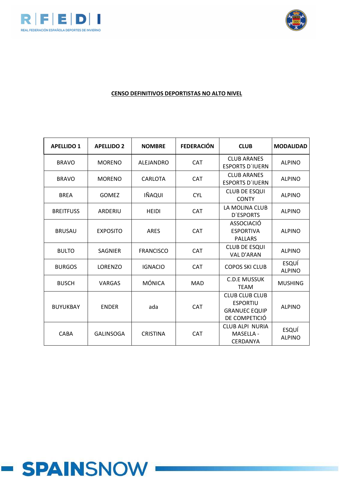



| <b>APELLIDO 1</b> | <b>APELLIDO 2</b> | <b>NOMBRE</b>    | <b>FEDERACIÓN</b> | <b>CLUB</b>                                                                       | <b>MODALIDAD</b>              |
|-------------------|-------------------|------------------|-------------------|-----------------------------------------------------------------------------------|-------------------------------|
| <b>BRAVO</b>      | <b>MORENO</b>     | <b>ALEJANDRO</b> | <b>CAT</b>        | <b>CLUB ARANES</b><br><b>ESPORTS D'IUERN</b>                                      | <b>ALPINO</b>                 |
| <b>BRAVO</b>      | <b>MORENO</b>     | <b>CARLOTA</b>   | CAT               | <b>CLUB ARANES</b><br><b>ESPORTS D'IUERN</b>                                      | <b>ALPINO</b>                 |
| <b>BREA</b>       | <b>GOMEZ</b>      | IÑAQUI           | <b>CYL</b>        | <b>CLUB DE ESQUI</b><br><b>CONTY</b>                                              | <b>ALPINO</b>                 |
| <b>BREITFUSS</b>  | ARDERIU           | <b>HEIDI</b>     | CAT               | LA MOLINA CLUB<br><b>D'ESPORTS</b>                                                | <b>ALPINO</b>                 |
| <b>BRUSAU</b>     | <b>EXPOSITO</b>   | <b>ARES</b>      | CAT               | <b>ASSOCIACIÓ</b><br><b>ESPORTIVA</b><br><b>PALLARS</b>                           | <b>ALPINO</b>                 |
| <b>BULTO</b>      | <b>SAGNIER</b>    | <b>FRANCISCO</b> | CAT               | <b>CLUB DE ESQUI</b><br><b>VAL D'ARAN</b>                                         | <b>ALPINO</b>                 |
| <b>BURGOS</b>     | LORENZO           | <b>IGNACIO</b>   | <b>CAT</b>        | <b>COPOS SKI CLUB</b>                                                             | <b>ESQUÍ</b><br><b>ALPINO</b> |
| <b>BUSCH</b>      | VARGAS            | <b>MÓNICA</b>    | <b>MAD</b>        | <b>C.D.E MUSSUK</b><br><b>TEAM</b>                                                | <b>MUSHING</b>                |
| <b>BUYUKBAY</b>   | <b>ENDER</b>      | ada              | <b>CAT</b>        | <b>CLUB CLUB CLUB</b><br><b>ESPORTIU</b><br><b>GRANUEC EQUIP</b><br>DE COMPETICIÓ | <b>ALPINO</b>                 |
| CABA              | <b>GALINSOGA</b>  | <b>CRISTINA</b>  | CAT               | <b>CLUB ALPI NURIA</b><br>MASELLA -<br>CERDANYA                                   | <b>ESQUÍ</b><br><b>ALPINO</b> |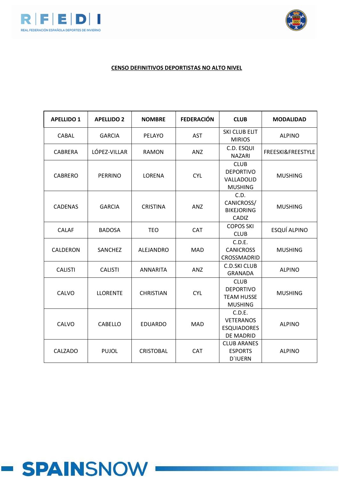



| <b>APELLIDO 1</b> | <b>APELLIDO 2</b> | <b>NOMBRE</b>    | <b>FEDERACIÓN</b> | <b>CLUB</b>                                                            | <b>MODALIDAD</b>             |
|-------------------|-------------------|------------------|-------------------|------------------------------------------------------------------------|------------------------------|
| CABAL             | <b>GARCIA</b>     | PELAYO           | <b>AST</b>        | SKI CLUB ELIT<br><b>MIRIOS</b>                                         | <b>ALPINO</b>                |
| <b>CABRERA</b>    | LÓPEZ-VILLAR      | <b>RAMON</b>     | ANZ               | C.D. ESQUI<br><b>NAZARI</b>                                            | <b>FREESKI&amp;FREESTYLE</b> |
| <b>CABRERO</b>    | <b>PERRINO</b>    | LORENA           | <b>CYL</b>        | <b>CLUB</b><br><b>DEPORTIVO</b><br>VALLADOLID<br><b>MUSHING</b>        | <b>MUSHING</b>               |
| <b>CADENAS</b>    | <b>GARCIA</b>     | <b>CRISTINA</b>  | ANZ               | C.D.<br>CANICROSS/<br><b>BIKEJORING</b><br>CADIZ                       | <b>MUSHING</b>               |
| <b>CALAF</b>      | <b>BADOSA</b>     | <b>TEO</b>       | <b>CAT</b>        | <b>COPOS SKI</b><br><b>CLUB</b>                                        | ESQUÍ ALPINO                 |
| CALDERON          | SANCHEZ           | ALEJANDRO        | <b>MAD</b>        | C.D.E.<br><b>CANICROSS</b><br>CROSSMADRID                              | <b>MUSHING</b>               |
| <b>CALISTI</b>    | <b>CALISTI</b>    | <b>ANNARITA</b>  | ANZ               | <b>C.D.SKI CLUB</b><br><b>GRANADA</b>                                  | <b>ALPINO</b>                |
| CALVO             | <b>LLORENTE</b>   | <b>CHRISTIAN</b> | <b>CYL</b>        | <b>CLUB</b><br><b>DEPORTIVO</b><br><b>TEAM HUSSE</b><br><b>MUSHING</b> | <b>MUSHING</b>               |
| CALVO             | <b>CABELLO</b>    | <b>EDUARDO</b>   | <b>MAD</b>        | C.D.E.<br><b>VETERANOS</b><br><b>ESQUIADORES</b><br>DE MADRID          | <b>ALPINO</b>                |
| CALZADO           | <b>PUJOL</b>      | <b>CRISTOBAL</b> | <b>CAT</b>        | <b>CLUB ARANES</b><br><b>ESPORTS</b><br><b>D'IUERN</b>                 | <b>ALPINO</b>                |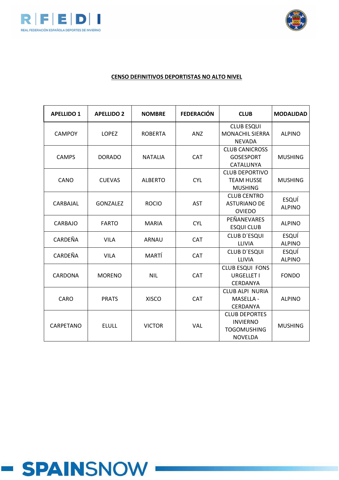



| <b>APELLIDO 1</b> | <b>APELLIDO 2</b> | <b>NOMBRE</b>  | <b>FEDERACIÓN</b> | <b>CLUB</b>                                                                     | <b>MODALIDAD</b>              |
|-------------------|-------------------|----------------|-------------------|---------------------------------------------------------------------------------|-------------------------------|
| <b>CAMPOY</b>     | <b>LOPEZ</b>      | <b>ROBERTA</b> | <b>ANZ</b>        | <b>CLUB ESQUI</b><br><b>MONACHIL SIERRA</b><br><b>NEVADA</b>                    | <b>ALPINO</b>                 |
| <b>CAMPS</b>      | <b>DORADO</b>     | <b>NATALIA</b> | <b>CAT</b>        | <b>CLUB CANICROSS</b><br><b>GOSESPORT</b><br>CATALUNYA                          | <b>MUSHING</b>                |
| CANO              | <b>CUEVAS</b>     | <b>ALBERTO</b> | <b>CYL</b>        | <b>CLUB DEPORTIVO</b><br><b>TEAM HUSSE</b><br><b>MUSHING</b>                    | <b>MUSHING</b>                |
| CARBAJAL          | GONZALEZ          | <b>ROCIO</b>   | <b>AST</b>        | <b>CLUB CENTRO</b><br><b>ASTURIANO DE</b><br><b>OVIEDO</b>                      | <b>ESQUÍ</b><br><b>ALPINO</b> |
| CARBAJO           | <b>FARTO</b>      | <b>MARIA</b>   | <b>CYL</b>        | PEÑANEVARES<br><b>ESQUI CLUB</b>                                                | <b>ALPINO</b>                 |
| CARDEÑA           | <b>VILA</b>       | <b>ARNAU</b>   | CAT               | <b>CLUB D'ESQUI</b><br>LLIVIA                                                   | <b>ESQUÍ</b><br><b>ALPINO</b> |
| CARDEÑA           | <b>VILA</b>       | MARTÍ          | <b>CAT</b>        | <b>CLUB D'ESQUI</b><br>LLIVIA                                                   | ESQUÍ<br><b>ALPINO</b>        |
| CARDONA           | <b>MORENO</b>     | <b>NIL</b>     | <b>CAT</b>        | <b>CLUB ESQUI FONS</b><br>URGELLET I<br>CERDANYA                                | <b>FONDO</b>                  |
| CARO              | <b>PRATS</b>      | <b>XISCO</b>   | <b>CAT</b>        | <b>CLUB ALPI NURIA</b><br>MASELLA -<br>CERDANYA                                 | <b>ALPINO</b>                 |
| CARPETANO         | <b>ELULL</b>      | <b>VICTOR</b>  | VAL               | <b>CLUB DEPORTES</b><br><b>INVIERNO</b><br><b>TOGOMUSHING</b><br><b>NOVELDA</b> | <b>MUSHING</b>                |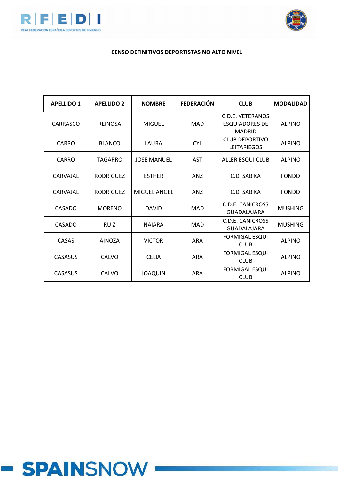



# **CENSO DEFINITIVOS DEPORTISTAS NO ALTO NIVEL**

| <b>APELLIDO 1</b> | <b>APELLIDO 2</b> | <b>NOMBRE</b>       | <b>FEDERACIÓN</b> | <b>CLUB</b>                                                | <b>MODALIDAD</b> |
|-------------------|-------------------|---------------------|-------------------|------------------------------------------------------------|------------------|
| CARRASCO          | <b>REINOSA</b>    | <b>MIGUEL</b>       | MAD               | C.D.E. VETERANOS<br><b>ESQUIADORES DE</b><br><b>MADRID</b> | <b>ALPINO</b>    |
| CARRO             | <b>BLANCO</b>     | LAURA               | <b>CYL</b>        | CLUB DEPORTIVO<br><b>LEITARIEGOS</b>                       | <b>ALPINO</b>    |
| CARRO             | TAGARRO           | <b>JOSE MANUEL</b>  | AST               | <b>ALLER ESQUI CLUB</b>                                    | <b>ALPINO</b>    |
| CARVAJAL          | <b>RODRIGUEZ</b>  | <b>ESTHER</b>       | <b>ANZ</b>        | C.D. SABIKA                                                | <b>FONDO</b>     |
| CARVAIAL          | <b>RODRIGUEZ</b>  | <b>MIGUEL ANGEL</b> | ANZ               | C.D. SABIKA                                                | <b>FONDO</b>     |
| CASADO            | <b>MORENO</b>     | <b>DAVID</b>        | <b>MAD</b>        | C.D.E. CANICROSS<br><b>GUADALAJARA</b>                     | <b>MUSHING</b>   |
| CASADO            | <b>RUIZ</b>       | <b>NAIARA</b>       | MAD               | <b>C.D.E. CANICROSS</b><br><b>GUADALAJARA</b>              | <b>MUSHING</b>   |
| CASAS             | <b>AINOZA</b>     | <b>VICTOR</b>       | <b>ARA</b>        | <b>FORMIGAL ESQUI</b><br><b>CLUB</b>                       | <b>ALPINO</b>    |
| <b>CASASUS</b>    | CALVO             | <b>CELIA</b>        | <b>ARA</b>        | <b>FORMIGAL ESQUI</b><br><b>CLUB</b>                       | <b>ALPINO</b>    |
| <b>CASASUS</b>    | CALVO             | <b>JOAQUIN</b>      | <b>ARA</b>        | <b>FORMIGAL ESQUI</b><br><b>CLUB</b>                       | <b>ALPINO</b>    |

# **- SPAINSNOW**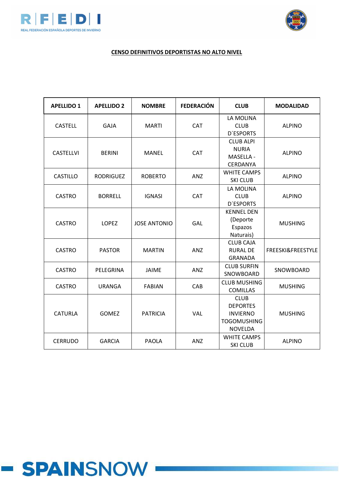



| <b>APELLIDO 1</b> | <b>APELLIDO 2</b> | <b>NOMBRE</b>       | <b>FEDERACIÓN</b> | <b>CLUB</b>                                                                               | <b>MODALIDAD</b>  |
|-------------------|-------------------|---------------------|-------------------|-------------------------------------------------------------------------------------------|-------------------|
| <b>CASTELL</b>    | <b>GAJA</b>       | <b>MARTI</b>        | CAT               | LA MOLINA<br><b>CLUB</b><br><b>D'ESPORTS</b>                                              | <b>ALPINO</b>     |
| <b>CASTELLVI</b>  | <b>BERINI</b>     | <b>MANEL</b>        | <b>CAT</b>        | <b>CLUB ALPI</b><br><b>NURIA</b><br>MASELLA -<br>CERDANYA                                 | <b>ALPINO</b>     |
| <b>CASTILLO</b>   | <b>RODRIGUEZ</b>  | <b>ROBERTO</b>      | ANZ               | <b>WHITE CAMPS</b><br><b>SKI CLUB</b>                                                     | <b>ALPINO</b>     |
| <b>CASTRO</b>     | <b>BORRELL</b>    | <b>IGNASI</b>       | <b>CAT</b>        | LA MOLINA<br><b>CLUB</b><br><b>D'ESPORTS</b>                                              | <b>ALPINO</b>     |
| <b>CASTRO</b>     | <b>LOPEZ</b>      | <b>JOSE ANTONIO</b> | GAL               | <b>KENNEL DEN</b><br>(Deporte<br>Espazos<br>Naturais)                                     | <b>MUSHING</b>    |
| <b>CASTRO</b>     | <b>PASTOR</b>     | <b>MARTIN</b>       | <b>ANZ</b>        | <b>CLUB CAJA</b><br><b>RURAL DE</b><br><b>GRANADA</b>                                     | FREESKI&FREESTYLE |
| <b>CASTRO</b>     | PELEGRINA         | <b>JAIME</b>        | ANZ               | <b>CLUB SURFIN</b><br>SNOWBOARD                                                           | SNOWBOARD         |
| <b>CASTRO</b>     | <b>URANGA</b>     | <b>FABIAN</b>       | CAB               | <b>CLUB MUSHING</b><br><b>COMILLAS</b>                                                    | <b>MUSHING</b>    |
| <b>CATURLA</b>    | <b>GOMEZ</b>      | <b>PATRICIA</b>     | VAL               | <b>CLUB</b><br><b>DEPORTES</b><br><b>INVIERNO</b><br><b>TOGOMUSHING</b><br><b>NOVELDA</b> | <b>MUSHING</b>    |
| <b>CERRUDO</b>    | <b>GARCIA</b>     | <b>PAOLA</b>        | ANZ               | <b>WHITE CAMPS</b><br><b>SKI CLUB</b>                                                     | <b>ALPINO</b>     |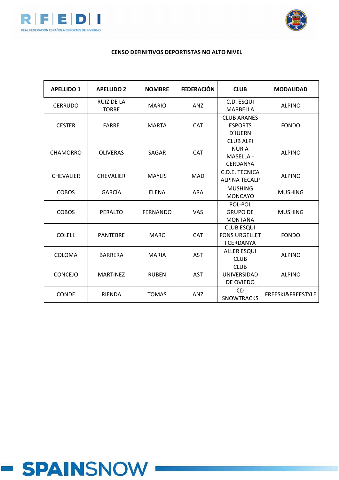



| <b>APELLIDO 1</b> | <b>APELLIDO 2</b>                 | <b>NOMBRE</b>   | <b>FEDERACIÓN</b> | <b>CLUB</b>                                                             | <b>MODALIDAD</b>  |
|-------------------|-----------------------------------|-----------------|-------------------|-------------------------------------------------------------------------|-------------------|
| <b>CERRUDO</b>    | <b>RUIZ DE LA</b><br><b>TORRE</b> | <b>MARIO</b>    | <b>ANZ</b>        | C.D. ESQUI<br>MARBELLA                                                  | <b>ALPINO</b>     |
| <b>CESTER</b>     | <b>FARRE</b>                      | <b>MARTA</b>    | <b>CAT</b>        | <b>CLUB ARANES</b><br><b>ESPORTS</b><br><b>D'IUERN</b>                  | <b>FONDO</b>      |
| <b>CHAMORRO</b>   | <b>OLIVERAS</b>                   | <b>SAGAR</b>    | <b>CAT</b>        | <b>CLUB ALPI</b><br><b>NURIA</b><br><b>MASELLA -</b><br><b>CERDANYA</b> | <b>ALPINO</b>     |
| <b>CHEVALIER</b>  | <b>CHEVALIER</b>                  | <b>MAYLIS</b>   | <b>MAD</b>        | C.D.E. TECNICA<br><b>ALPINA TECALP</b>                                  | <b>ALPINO</b>     |
| <b>COBOS</b>      | GARCÍA                            | <b>ELENA</b>    | <b>ARA</b>        | <b>MUSHING</b><br><b>MONCAYO</b>                                        | <b>MUSHING</b>    |
| <b>COBOS</b>      | <b>PERALTO</b>                    | <b>FERNANDO</b> | VAS               | POL-POL<br><b>GRUPO DE</b><br>MONTAÑA                                   | <b>MUSHING</b>    |
| <b>COLELL</b>     | <b>PANTEBRE</b>                   | <b>MARC</b>     | <b>CAT</b>        | <b>CLUB ESQUI</b><br><b>FONS URGELLET</b><br>I CERDANYA                 | <b>FONDO</b>      |
| <b>COLOMA</b>     | <b>BARRERA</b>                    | <b>MARIA</b>    | <b>AST</b>        | <b>ALLER ESQUI</b><br><b>CLUB</b>                                       | <b>ALPINO</b>     |
| CONCEJO           | <b>MARTINEZ</b>                   | <b>RUBEN</b>    | <b>AST</b>        | <b>CLUB</b><br>UNIVERSIDAD<br>DE OVIEDO                                 | <b>ALPINO</b>     |
| CONDE             | <b>RIENDA</b>                     | <b>TOMAS</b>    | <b>ANZ</b>        | <b>CD</b><br><b>SNOWTRACKS</b>                                          | FREESKI&FREESTYLE |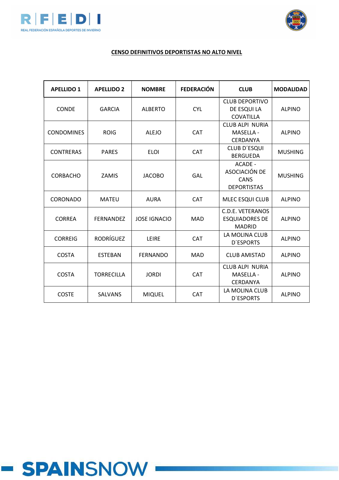



# **CENSO DEFINITIVOS DEPORTISTAS NO ALTO NIVEL**

| <b>APELLIDO 1</b> | <b>APELLIDO 2</b> | <b>NOMBRE</b>       | <b>FEDERACIÓN</b> | <b>CLUB</b>                                                       | <b>MODALIDAD</b> |
|-------------------|-------------------|---------------------|-------------------|-------------------------------------------------------------------|------------------|
| CONDE             | <b>GARCIA</b>     | <b>ALBERTO</b>      | <b>CYL</b>        | <b>CLUB DEPORTIVO</b><br>DE ESQUI LA<br><b>COVATILLA</b>          | <b>ALPINO</b>    |
| <b>CONDOMINES</b> | <b>ROIG</b>       | <b>ALEJO</b>        | <b>CAT</b>        | <b>CLUB ALPI NURIA</b><br>MASELLA -<br><b>CERDANYA</b>            | <b>ALPINO</b>    |
| <b>CONTRERAS</b>  | <b>PARES</b>      | <b>ELOI</b>         | <b>CAT</b>        | <b>CLUB D'ESQUI</b><br><b>BERGUEDA</b>                            | <b>MUSHING</b>   |
| <b>CORBACHO</b>   | <b>ZAMIS</b>      | <b>JACOBO</b>       | GAL               | ACADE -<br>ASOCIACIÓN DE<br>CANS<br><b>DEPORTISTAS</b>            | <b>MUSHING</b>   |
| CORONADO          | <b>MATEU</b>      | <b>AURA</b>         | <b>CAT</b>        | MLEC ESQUI CLUB                                                   | <b>ALPINO</b>    |
| <b>CORREA</b>     | <b>FERNANDEZ</b>  | <b>JOSE IGNACIO</b> | <b>MAD</b>        | <b>C.D.E. VETERANOS</b><br><b>ESQUIADORES DE</b><br><b>MADRID</b> | <b>ALPINO</b>    |
| <b>CORREIG</b>    | <b>RODRÍGUEZ</b>  | LEIRE               | <b>CAT</b>        | LA MOLINA CLUB<br><b>D'ESPORTS</b>                                | <b>ALPINO</b>    |
| <b>COSTA</b>      | <b>ESTEBAN</b>    | <b>FERNANDO</b>     | <b>MAD</b>        | <b>CLUB AMISTAD</b>                                               |                  |
| <b>COSTA</b>      | <b>TORRECILLA</b> | <b>JORDI</b>        | <b>CAT</b>        | <b>CLUB ALPI NURIA</b><br>MASELLA -<br>CERDANYA                   | <b>ALPINO</b>    |
| <b>COSTE</b>      | <b>SALVANS</b>    | <b>MIQUEL</b>       | <b>CAT</b>        | LA MOLINA CLUB<br><b>D'ESPORTS</b>                                | <b>ALPINO</b>    |

# **- SPAINSNOW**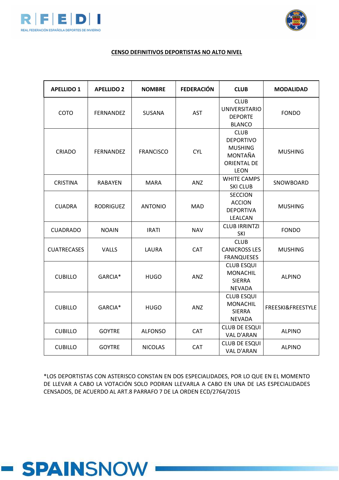



#### **CENSO DEFINITIVOS DEPORTISTAS NO ALTO NIVEL**

| <b>APELLIDO 1</b>  | <b>APELLIDO 2</b> | <b>NOMBRE</b>    | <b>FEDERACIÓN</b> | <b>CLUB</b>                                                                                       | <b>MODALIDAD</b>  |
|--------------------|-------------------|------------------|-------------------|---------------------------------------------------------------------------------------------------|-------------------|
| COTO               | <b>FERNANDEZ</b>  | <b>SUSANA</b>    | <b>AST</b>        | <b>CLUB</b><br><b>UNIVERSITARIO</b><br><b>DEPORTE</b><br><b>BLANCO</b>                            | <b>FONDO</b>      |
| <b>CRIADO</b>      | <b>FERNANDEZ</b>  | <b>FRANCISCO</b> | <b>CYL</b>        | <b>CLUB</b><br><b>DEPORTIVO</b><br><b>MUSHING</b><br>MONTAÑA<br><b>ORIENTAL DE</b><br><b>LEON</b> | <b>MUSHING</b>    |
| <b>CRISTINA</b>    | <b>RABAYEN</b>    | <b>MARA</b>      | ANZ               | <b>WHITE CAMPS</b><br><b>SKI CLUB</b>                                                             | SNOWBOARD         |
| <b>CUADRA</b>      | <b>RODRIGUEZ</b>  | <b>ANTONIO</b>   | <b>MAD</b>        | <b>SECCION</b><br><b>ACCION</b><br><b>DEPORTIVA</b><br><b>LEALCAN</b>                             | <b>MUSHING</b>    |
| <b>CUADRADO</b>    | <b>NOAIN</b>      | <b>IRATI</b>     | <b>NAV</b>        | <b>CLUB IRRINTZI</b><br>SKI                                                                       | <b>FONDO</b>      |
| <b>CUATRECASES</b> | <b>VALLS</b>      | LAURA            | CAT               | <b>CLUB</b><br><b>CANICROSS LES</b><br><b>FRANQUESES</b>                                          | <b>MUSHING</b>    |
| <b>CUBILLO</b>     | GARCIA*           | <b>HUGO</b>      | ANZ               | <b>CLUB ESQUI</b><br><b>MONACHIL</b><br><b>SIERRA</b><br><b>NEVADA</b>                            | <b>ALPINO</b>     |
| <b>CUBILLO</b>     | GARCIA*           | <b>HUGO</b>      | ANZ               | <b>CLUB ESQUI</b><br><b>MONACHIL</b><br><b>SIERRA</b><br><b>NEVADA</b>                            | FREESKI&FREESTYLE |
| <b>CUBILLO</b>     | <b>GOYTRE</b>     | <b>ALFONSO</b>   | <b>CAT</b>        | <b>CLUB DE ESQUI</b><br>VAL D'ARAN                                                                | <b>ALPINO</b>     |
| <b>CUBILLO</b>     | <b>GOYTRE</b>     | <b>NICOLAS</b>   | <b>CAT</b>        | <b>CLUB DE ESQUI</b><br>VAL D'ARAN                                                                | <b>ALPINO</b>     |

\*LOS DEPORTISTAS CON ASTERISCO CONSTAN EN DOS ESPECIALIDADES, POR LO QUE EN EL MOMENTO DE LLEVAR A CABO LA VOTACIÓN SOLO PODRAN LLEVARLA A CABO EN UNA DE LAS ESPECIALIDADES CENSADOS, DE ACUERDO AL ART.8 PARRAFO 7 DE LA ORDEN ECD/2764/2015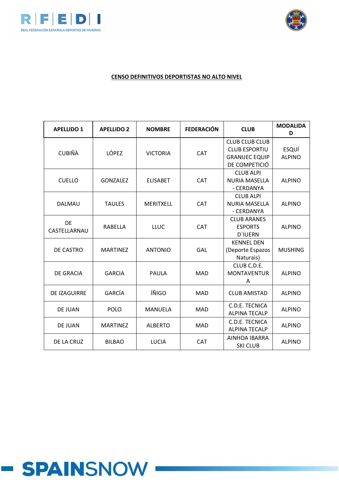



| <b>APELLIDO 1</b>   | <b>APELLIDO 2</b> | <b>NOMBRE</b>   | <b>FEDERACIÓN</b> | <b>CLUB</b>                                                                            | <b>MODALIDA</b><br>D          |
|---------------------|-------------------|-----------------|-------------------|----------------------------------------------------------------------------------------|-------------------------------|
| <b>CUBIÑÀ</b>       | <b>LÓPEZ</b>      | <b>VICTORIA</b> | <b>CAT</b>        | <b>CLUB CLUB CLUB</b><br><b>CLUB ESPORTIU</b><br><b>GRANUEC EQUIP</b><br>DE COMPETICIÓ | <b>ESQUÍ</b><br><b>ALPINO</b> |
| <b>CUELLO</b>       | <b>GONZALEZ</b>   | <b>ELISABET</b> | <b>CAT</b>        | <b>CLUB ALPI</b><br><b>NURIA MASELLA</b><br>- CERDANYA                                 | <b>ALPINO</b>                 |
| <b>DALMAU</b>       | <b>TAULES</b>     | MERITXELL       | CAT               | <b>CLUB ALPI</b><br><b>NURIA MASELLA</b><br>- CERDANYA                                 | <b>ALPINO</b>                 |
| DE<br>CASTELLARNAU  | RABELLA           | <b>LLUC</b>     | <b>CAT</b>        | <b>CLUB ARANES</b><br><b>ESPORTS</b><br><b>D'IUERN</b>                                 | <b>ALPINO</b>                 |
| DE CASTRO           | <b>MARTINEZ</b>   | <b>ANTONIO</b>  | GAL               | <b>KENNEL DEN</b><br>(Deporte Espazos<br>Naturais)                                     | <b>MUSHING</b>                |
| <b>DE GRACIA</b>    | <b>GARCIA</b>     | PAULA           | <b>MAD</b>        | CLUB C.D.E.<br><b>MONTAVENTUR</b><br>A                                                 | <b>ALPINO</b>                 |
| <b>DE IZAGUIRRE</b> | GARCÍA            | ÍÑIGO           | <b>MAD</b>        | <b>CLUB AMISTAD</b>                                                                    | <b>ALPINO</b>                 |
| DE JUAN             | <b>POLO</b>       | <b>MANUELA</b>  | <b>MAD</b>        | C.D.E. TECNICA<br><b>ALPINA TECALP</b>                                                 | <b>ALPINO</b>                 |
| DE JUAN             | <b>MARTINEZ</b>   | <b>ALBERTO</b>  | <b>MAD</b>        | C.D.E. TECNICA<br><b>ALPINA TECALP</b>                                                 | <b>ALPINO</b>                 |
| DE LA CRUZ          | <b>BILBAO</b>     | <b>LUCIA</b>    | <b>CAT</b>        | <b>AINHOA IBARRA</b><br><b>SKI CLUB</b>                                                | <b>ALPINO</b>                 |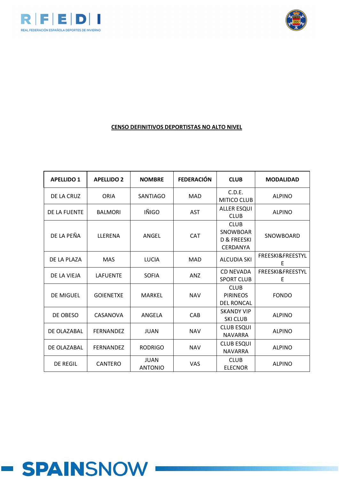



| <b>APELLIDO 1</b> | <b>APELLIDO 2</b> | <b>NOMBRE</b>                 | <b>FEDERACIÓN</b> | <b>CLUB</b>                                                      | <b>MODALIDAD</b>                 |
|-------------------|-------------------|-------------------------------|-------------------|------------------------------------------------------------------|----------------------------------|
| DE LA CRUZ        | <b>ORIA</b>       | <b>SANTIAGO</b>               | <b>MAD</b>        | C.D.E.<br><b>MITICO CLUB</b>                                     | <b>ALPINO</b>                    |
| DE LA FUENTE      | <b>BALMORI</b>    | IÑIGO                         | <b>AST</b>        | <b>ALLER ESQUI</b><br><b>CLUB</b>                                | <b>ALPINO</b>                    |
| DE LA PEÑA        | LLERENA           | ANGEL                         | <b>CAT</b>        | <b>CLUB</b><br><b>SNOWBOAR</b><br>D & FREESKI<br><b>CERDANYA</b> | SNOWBOARD                        |
| DE LA PLAZA       | <b>MAS</b>        | <b>LUCIA</b>                  | <b>MAD</b>        | <b>ALCUDIA SKI</b>                                               | FREESKI&FREESTYL<br>E            |
| DE LA VIEIA       | <b>LAFUENTE</b>   | <b>SOFIA</b>                  | <b>ANZ</b>        | <b>CD NEVADA</b><br><b>SPORT CLUB</b>                            | <b>FREESKI&amp;FREESTYL</b><br>E |
| <b>DE MIGUEL</b>  | <b>GOIENETXE</b>  | <b>MARKEL</b>                 | <b>NAV</b>        | <b>CLUB</b><br><b>PIRINEOS</b><br><b>DEL RONCAL</b>              | <b>FONDO</b>                     |
| DE OBESO          | CASANOVA          | ANGELA                        | CAB               | <b>SKANDY VIP</b><br><b>SKI CLUB</b>                             | <b>ALPINO</b>                    |
| DE OLAZABAL       | <b>FERNANDEZ</b>  | <b>JUAN</b>                   | <b>NAV</b>        | <b>CLUB ESQUI</b><br><b>NAVARRA</b>                              | <b>ALPINO</b>                    |
| DE OLAZABAL       | <b>FERNANDEZ</b>  | <b>RODRIGO</b>                | <b>NAV</b>        | <b>CLUB ESQUI</b><br><b>NAVARRA</b>                              | <b>ALPINO</b>                    |
| <b>DE REGIL</b>   | CANTERO           | <b>JUAN</b><br><b>ANTONIO</b> | <b>VAS</b>        | <b>CLUB</b><br><b>ELECNOR</b>                                    | <b>ALPINO</b>                    |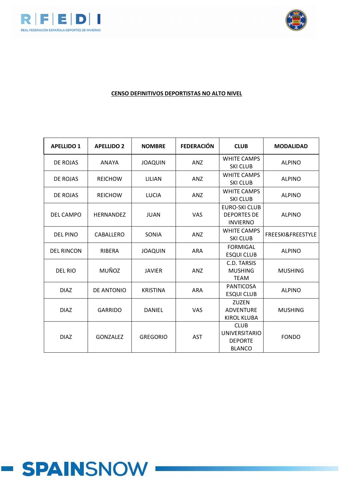



| <b>APELLIDO 1</b> | <b>APELLIDO 2</b> | <b>NOMBRE</b>   | <b>FEDERACIÓN</b> | <b>CLUB</b>                                                            | <b>MODALIDAD</b>  |
|-------------------|-------------------|-----------------|-------------------|------------------------------------------------------------------------|-------------------|
| DE ROJAS          | ANAYA             | <b>JOAQUIN</b>  | <b>ANZ</b>        | <b>WHITE CAMPS</b><br><b>SKI CLUB</b>                                  | <b>ALPINO</b>     |
| DE ROJAS          | <b>REICHOW</b>    | LILIAN          | <b>ANZ</b>        | <b>WHITE CAMPS</b><br><b>SKI CLUB</b>                                  | <b>ALPINO</b>     |
| DE ROJAS          | <b>REICHOW</b>    | <b>LUCIA</b>    | ANZ               | <b>WHITE CAMPS</b><br><b>SKI CLUB</b>                                  | <b>ALPINO</b>     |
| DEL CAMPO         | <b>HERNANDEZ</b>  | <b>JUAN</b>     | <b>VAS</b>        | <b>EURO-SKI CLUB</b><br><b>DEPORTES DE</b><br><b>INVIERNO</b>          | <b>ALPINO</b>     |
| <b>DEL PINO</b>   | CABALLERO         | SONIA           | ANZ               | <b>WHITE CAMPS</b><br><b>SKI CLUB</b>                                  | FREESKI&FREESTYLE |
| <b>DEL RINCON</b> | RIBERA            | <b>JOAQUIN</b>  | <b>ARA</b>        | <b>FORMIGAL</b><br><b>ESQUI CLUB</b>                                   | <b>ALPINO</b>     |
| <b>DEL RIO</b>    | MUÑOZ             | <b>JAVIER</b>   | ANZ               | C.D. TARSIS<br><b>MUSHING</b><br><b>TEAM</b>                           | <b>MUSHING</b>    |
| <b>DIAZ</b>       | DE ANTONIO        | <b>KRISTINA</b> | <b>ARA</b>        | <b>PANTICOSA</b><br><b>ESQUI CLUB</b>                                  | <b>ALPINO</b>     |
| <b>DIAZ</b>       | <b>GARRIDO</b>    | <b>DANIEL</b>   | VAS               | ZUZEN<br><b>ADVENTURE</b><br><b>KIROL KLUBA</b>                        | <b>MUSHING</b>    |
| <b>DIAZ</b>       | <b>GONZALEZ</b>   | <b>GREGORIO</b> | <b>AST</b>        | <b>CLUB</b><br><b>UNIVERSITARIO</b><br><b>DEPORTE</b><br><b>BLANCO</b> | <b>FONDO</b>      |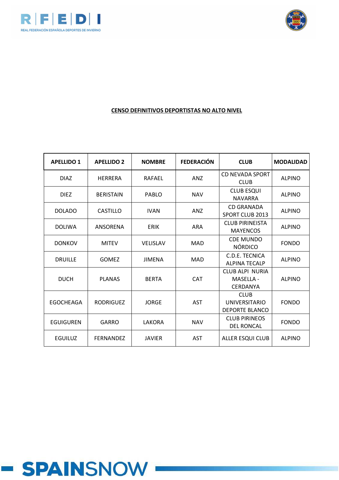



| <b>APELLIDO 1</b> | <b>APELLIDO 2</b> | <b>NOMBRE</b>   | <b>FEDERACIÓN</b> | <b>CLUB</b>                                                  | <b>MODALIDAD</b> |
|-------------------|-------------------|-----------------|-------------------|--------------------------------------------------------------|------------------|
| <b>DIAZ</b>       | <b>HERRERA</b>    | <b>RAFAEL</b>   | <b>ANZ</b>        | <b>CD NEVADA SPORT</b><br><b>CLUB</b>                        | <b>ALPINO</b>    |
| <b>DIEZ</b>       | <b>BERISTAIN</b>  | PABLO           | <b>NAV</b>        | <b>CLUB ESQUI</b><br><b>NAVARRA</b>                          | <b>ALPINO</b>    |
| <b>DOLADO</b>     | CASTILLO          | <b>IVAN</b>     | <b>ANZ</b>        | <b>CD GRANADA</b><br><b>SPORT CLUB 2013</b>                  | <b>ALPINO</b>    |
| <b>DOLIWA</b>     | ANSORENA          | <b>ERIK</b>     | <b>ARA</b>        | <b>CLUB PIRINEISTA</b><br><b>MAYENCOS</b>                    | <b>ALPINO</b>    |
| <b>DONKOV</b>     | <b>MITEV</b>      | <b>VELISLAV</b> | MAD               | <b>CDE MUNDO</b><br><b>NÓRDICO</b>                           | <b>FONDO</b>     |
| <b>DRUILLE</b>    | <b>GOMEZ</b>      | <b>JIMENA</b>   | <b>MAD</b>        | C.D.E. TECNICA<br><b>ALPINA TECALP</b>                       | <b>ALPINO</b>    |
| <b>DUCH</b>       | <b>PLANAS</b>     | <b>BERTA</b>    | <b>CAT</b>        | <b>CLUB ALPI NURIA</b><br>MASELLA -<br>CERDANYA              | <b>ALPINO</b>    |
| <b>EGOCHEAGA</b>  | <b>RODRIGUEZ</b>  | <b>JORGE</b>    | <b>AST</b>        | <b>CLUB</b><br><b>UNIVERSITARIO</b><br><b>DEPORTE BLANCO</b> | <b>FONDO</b>     |
| <b>EGUIGUREN</b>  | GARRO             | LAKORA          | <b>NAV</b>        | <b>CLUB PIRINEOS</b><br><b>DEL RONCAL</b>                    | <b>FONDO</b>     |
| <b>EGUILUZ</b>    | <b>FERNANDEZ</b>  | <b>JAVIER</b>   | <b>AST</b>        | <b>ALLER ESQUI CLUB</b>                                      | <b>ALPINO</b>    |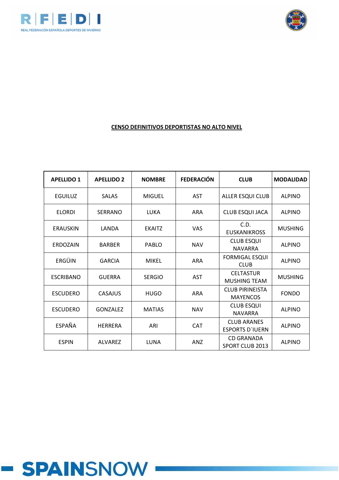



| <b>APELLIDO 1</b> | <b>APELLIDO 2</b> | <b>NOMBRE</b> | <b>FEDERACIÓN</b> | <b>CLUB</b>                                  | <b>MODALIDAD</b> |
|-------------------|-------------------|---------------|-------------------|----------------------------------------------|------------------|
| <b>EGUILUZ</b>    | <b>SALAS</b>      | <b>MIGUEL</b> | <b>AST</b>        | ALLER ESQUI CLUB                             | <b>ALPINO</b>    |
| <b>ELORDI</b>     | <b>SERRANO</b>    | LUKA          | <b>ARA</b>        | CLUB ESQUI JACA                              | <b>ALPINO</b>    |
| <b>ERAUSKIN</b>   | LANDA             | <b>EKAITZ</b> | <b>VAS</b>        | C.D.<br><b>EUSKANIKROSS</b>                  | <b>MUSHING</b>   |
| ERDOZAIN          | <b>BARBER</b>     | PABLO         | <b>NAV</b>        | <b>CLUB ESQUI</b><br><b>NAVARRA</b>          | <b>ALPINO</b>    |
| ERGÜIN            | <b>GARCIA</b>     | <b>MIKEL</b>  | <b>ARA</b>        | <b>FORMIGAL ESQUI</b><br><b>CLUB</b>         | <b>ALPINO</b>    |
| <b>ESCRIBANO</b>  | <b>GUERRA</b>     | <b>SERGIO</b> | <b>AST</b>        | <b>CELTASTUR</b><br>MUSHING TEAM             | <b>MUSHING</b>   |
| <b>ESCUDERO</b>   | CASAJUS           | <b>HUGO</b>   | <b>ARA</b>        | <b>CLUB PIRINEISTA</b><br><b>MAYENCOS</b>    | <b>FONDO</b>     |
| <b>ESCUDERO</b>   | <b>GONZALEZ</b>   | <b>MATIAS</b> | <b>NAV</b>        | <b>CLUB ESQUI</b><br><b>NAVARRA</b>          | <b>ALPINO</b>    |
| <b>ESPAÑA</b>     | <b>HERRERA</b>    | ARI           | <b>CAT</b>        | <b>CLUB ARANES</b><br><b>ESPORTS D'IUERN</b> | <b>ALPINO</b>    |
| <b>ESPIN</b>      | <b>ALVAREZ</b>    | LUNA          | <b>ANZ</b>        | <b>CD GRANADA</b><br><b>SPORT CLUB 2013</b>  | <b>ALPINO</b>    |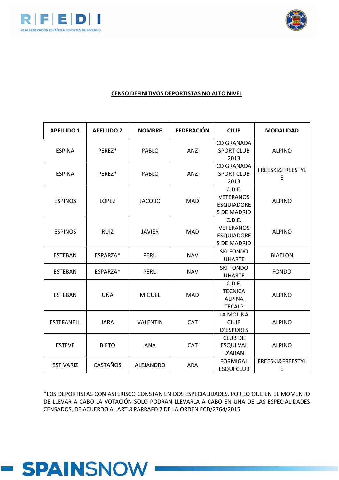



#### **CENSO DEFINITIVOS DEPORTISTAS NO ALTO NIVEL**

| <b>APELLIDO 1</b> | <b>APELLIDO 2</b> | <b>NOMBRE</b>   | <b>FEDERACIÓN</b> | <b>CLUB</b>                                                           | <b>MODALIDAD</b>      |
|-------------------|-------------------|-----------------|-------------------|-----------------------------------------------------------------------|-----------------------|
| <b>ESPINA</b>     | PEREZ*            | PABLO           | <b>ANZ</b>        | <b>CD GRANADA</b><br><b>SPORT CLUB</b><br>2013                        | <b>ALPINO</b>         |
| <b>ESPINA</b>     | PEREZ*            | <b>PABLO</b>    | <b>ANZ</b>        | <b>CD GRANADA</b><br><b>SPORT CLUB</b><br>2013                        | FREESKI&FREESTYL<br>E |
| <b>ESPINOS</b>    | <b>LOPEZ</b>      | <b>JACOBO</b>   | <b>MAD</b>        | C.D.E.<br><b>VETERANOS</b><br><b>ESQUIADORE</b><br>S DE MADRID        | <b>ALPINO</b>         |
| <b>ESPINOS</b>    | <b>RUIZ</b>       | <b>JAVIER</b>   | <b>MAD</b>        | C.D.E.<br><b>VETERANOS</b><br><b>ESQUIADORE</b><br><b>S DE MADRID</b> | <b>ALPINO</b>         |
| <b>ESTEBAN</b>    | ESPARZA*          | <b>PERU</b>     | <b>NAV</b>        | <b>SKI FONDO</b><br><b>UHARTE</b>                                     | <b>BIATLON</b>        |
| <b>ESTEBAN</b>    | ESPARZA*          | PERU            | <b>NAV</b>        | <b>SKI FONDO</b><br><b>UHARTE</b>                                     | <b>FONDO</b>          |
| <b>ESTEBAN</b>    | UÑA               | <b>MIGUEL</b>   | <b>MAD</b>        | C.D.E.<br><b>TECNICA</b><br><b>ALPINA</b><br><b>TECALP</b>            | <b>ALPINO</b>         |
| <b>ESTEFANELL</b> | <b>JARA</b>       | <b>VALENTIN</b> | CAT               | LA MOLINA<br><b>CLUB</b><br><b>D'ESPORTS</b>                          | <b>ALPINO</b>         |
| <b>ESTEVE</b>     | <b>BIETO</b>      | <b>ANA</b>      | CAT               | <b>CLUB DE</b><br><b>ESQUI VAL</b><br>D'ARAN                          | <b>ALPINO</b>         |
| <b>ESTIVARIZ</b>  | <b>CASTAÑOS</b>   | ALEJANDRO       | <b>ARA</b>        | <b>FORMIGAL</b><br><b>ESQUI CLUB</b>                                  | FREESKI&FREESTYL<br>E |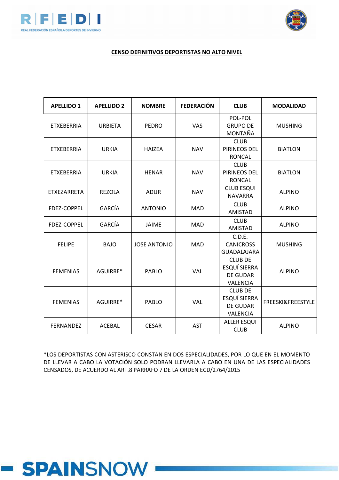



#### **CENSO DEFINITIVOS DEPORTISTAS NO ALTO NIVEL**

| <b>APELLIDO 1</b> | <b>APELLIDO 2</b> | <b>NOMBRE</b>       | <b>FEDERACIÓN</b> | <b>CLUB</b>                                                                 | <b>MODALIDAD</b>  |
|-------------------|-------------------|---------------------|-------------------|-----------------------------------------------------------------------------|-------------------|
| <b>ETXEBERRIA</b> | <b>URBIETA</b>    | <b>PEDRO</b>        | VAS               | POL-POL<br><b>GRUPO DE</b><br>MONTAÑA                                       | <b>MUSHING</b>    |
| <b>ETXEBERRIA</b> | <b>URKIA</b>      | <b>HAIZEA</b>       | <b>NAV</b>        | <b>CLUB</b><br>PIRINEOS DEL<br><b>RONCAL</b>                                | <b>BIATLON</b>    |
| <b>ETXEBERRIA</b> | <b>URKIA</b>      | <b>HENAR</b>        | <b>NAV</b>        | <b>CLUB</b><br>PIRINEOS DEL<br><b>RONCAL</b>                                | <b>BIATLON</b>    |
| ETXEZARRETA       | <b>REZOLA</b>     | <b>ADUR</b>         | <b>NAV</b>        | <b>CLUB ESQUI</b><br><b>NAVARRA</b>                                         | <b>ALPINO</b>     |
| FDEZ-COPPEL       | GARCÍA            | <b>ANTONIO</b>      | <b>MAD</b>        | <b>CLUB</b><br><b>AMISTAD</b>                                               | <b>ALPINO</b>     |
| FDEZ-COPPEL       | <b>GARCÍA</b>     | JAIME               | <b>MAD</b>        | <b>CLUB</b><br><b>AMISTAD</b>                                               | <b>ALPINO</b>     |
| <b>FELIPE</b>     | <b>BAJO</b>       | <b>JOSE ANTONIO</b> | <b>MAD</b>        | C.D.E.<br><b>CANICROSS</b><br>GUADALAJARA                                   | <b>MUSHING</b>    |
| <b>FEMENIAS</b>   | AGUIRRE*          | <b>PABLO</b>        | <b>VAL</b>        | <b>CLUB DE</b><br><b>ESQUÍ SIERRA</b><br><b>DE GUDAR</b><br><b>VALENCIA</b> | <b>ALPINO</b>     |
| <b>FEMENIAS</b>   | AGUIRRE*          | <b>PABLO</b>        | VAL               | <b>CLUB DE</b><br><b>ESQUÍ SIERRA</b><br><b>DE GUDAR</b><br><b>VALENCIA</b> | FREESKI&FREESTYLE |
| <b>FERNANDEZ</b>  | <b>ACEBAL</b>     | <b>CESAR</b>        | <b>AST</b>        | <b>ALLER ESQUI</b><br><b>CLUB</b>                                           | <b>ALPINO</b>     |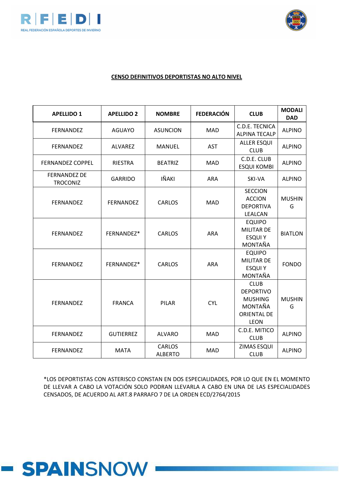



#### **CENSO DEFINITIVOS DEPORTISTAS NO ALTO NIVEL**

| <b>APELLIDO 1</b>                      | <b>APELLIDO 2</b> | <b>NOMBRE</b>                   | <b>FEDERACIÓN</b> | <b>CLUB</b>                                                                                | <b>MODALI</b><br><b>DAD</b> |
|----------------------------------------|-------------------|---------------------------------|-------------------|--------------------------------------------------------------------------------------------|-----------------------------|
| FERNANDEZ                              | <b>AGUAYO</b>     | <b>ASUNCION</b>                 | <b>MAD</b>        | C.D.E. TECNICA<br><b>ALPINA TECALP</b>                                                     | <b>ALPINO</b>               |
| FERNANDEZ                              | ALVAREZ           | <b>MANUEL</b>                   | <b>AST</b>        | <b>ALLER ESQUI</b><br><b>CLUB</b>                                                          | <b>ALPINO</b>               |
| <b>FERNANDEZ COPPEL</b>                | RIESTRA           | <b>BEATRIZ</b>                  | <b>MAD</b>        | C.D.E. CLUB<br><b>ESQUI KOMBI</b>                                                          | <b>ALPINO</b>               |
| <b>FERNANDEZ DE</b><br><b>TROCONIZ</b> | <b>GARRIDO</b>    | IÑAKI                           | <b>ARA</b>        | SKI-VA                                                                                     | <b>ALPINO</b>               |
| FERNANDEZ                              | <b>FERNANDEZ</b>  | <b>CARLOS</b>                   | <b>MAD</b>        | <b>SECCION</b><br><b>ACCION</b><br><b>DEPORTIVA</b><br>LEALCAN                             | <b>MUSHIN</b><br>G          |
| FERNANDEZ                              | FERNANDEZ*        | <b>CARLOS</b>                   | <b>ARA</b>        | <b>EQUIPO</b><br><b>MILITAR DE</b><br><b>ESQUIY</b><br>MONTAÑA                             | <b>BIATLON</b>              |
| FERNANDEZ                              | FERNANDEZ*        | <b>CARLOS</b>                   | <b>ARA</b>        | <b>EQUIPO</b><br><b>MILITAR DE</b><br><b>ESQUIY</b><br>MONTAÑA                             | <b>FONDO</b>                |
| <b>FERNANDEZ</b>                       | <b>FRANCA</b>     | <b>PILAR</b>                    | <b>CYL</b>        | <b>CLUB</b><br><b>DEPORTIVO</b><br><b>MUSHING</b><br>MONTAÑA<br><b>ORIENTAL DE</b><br>LEON | <b>MUSHIN</b><br>G          |
| FERNANDEZ                              | <b>GUTIERREZ</b>  | <b>ALVARO</b>                   | <b>MAD</b>        | C.D.E. MITICO<br><b>CLUB</b>                                                               | <b>ALPINO</b>               |
| FERNANDEZ                              | <b>MATA</b>       | <b>CARLOS</b><br><b>ALBERTO</b> | <b>MAD</b>        | ZIMAS ESQUI<br><b>CLUB</b>                                                                 | <b>ALPINO</b>               |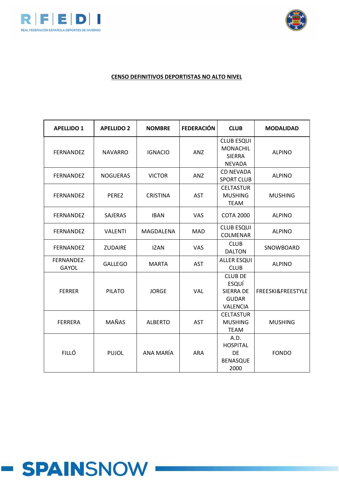



| <b>APELLIDO 1</b>          | <b>APELLIDO 2</b> | <b>NOMBRE</b>   | <b>FEDERACIÓN</b> | <b>CLUB</b>                                                             | <b>MODALIDAD</b>  |
|----------------------------|-------------------|-----------------|-------------------|-------------------------------------------------------------------------|-------------------|
| FERNANDEZ                  | <b>NAVARRO</b>    | <b>IGNACIO</b>  | <b>ANZ</b>        | <b>CLUB ESQUI</b><br><b>MONACHIL</b><br><b>SIERRA</b><br><b>NEVADA</b>  | <b>ALPINO</b>     |
| <b>FERNANDEZ</b>           | <b>NOGUERAS</b>   | <b>VICTOR</b>   | <b>ANZ</b>        | <b>CD NEVADA</b><br><b>SPORT CLUB</b>                                   | <b>ALPINO</b>     |
| <b>FERNANDEZ</b>           | <b>PEREZ</b>      | <b>CRISTINA</b> | <b>AST</b>        | <b>CELTASTUR</b><br><b>MUSHING</b><br><b>TEAM</b>                       | <b>MUSHING</b>    |
| <b>FERNANDEZ</b>           | <b>SAJERAS</b>    | <b>IBAN</b>     | <b>VAS</b>        | <b>COTA 2000</b>                                                        | <b>ALPINO</b>     |
| <b>FERNANDEZ</b>           | <b>VALENTI</b>    | MAGDALENA       | <b>MAD</b>        | <b>CLUB ESQUI</b><br><b>COLMENAR</b>                                    | <b>ALPINO</b>     |
| FERNANDEZ                  | <b>ZUDAIRE</b>    | <b>IZAN</b>     | <b>VAS</b>        | <b>CLUB</b><br><b>DALTON</b>                                            | SNOWBOARD         |
| FERNANDEZ-<br><b>GAYOL</b> | <b>GALLEGO</b>    | <b>MARTA</b>    | <b>AST</b>        | <b>ALLER ESQUI</b><br><b>CLUB</b>                                       | <b>ALPINO</b>     |
| <b>FERRER</b>              | <b>PILATO</b>     | <b>JORGE</b>    | <b>VAL</b>        | <b>CLUB DE</b><br>ESQUÍ<br><b>SIERRA DE</b><br><b>GUDAR</b><br>VALENCIA | FREESKI&FREESTYLE |
| <b>FERRERA</b>             | <b>MAÑAS</b>      | <b>ALBERTO</b>  | <b>AST</b>        | <b>CELTASTUR</b><br><b>MUSHING</b><br><b>TEAM</b>                       | <b>MUSHING</b>    |
| <b>FILLÓ</b>               | <b>PUJOL</b>      | ANA MARÍA       | <b>ARA</b>        | A.D.<br><b>HOSPITAL</b><br><b>DE</b><br><b>BENASQUE</b><br>2000         | <b>FONDO</b>      |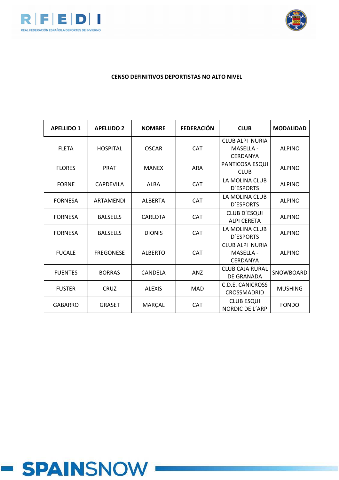



#### **CENSO DEFINITIVOS DEPORTISTAS NO ALTO NIVEL**

| <b>APELLIDO 1</b> | <b>APELLIDO 2</b> | <b>NOMBRE</b>  | <b>FEDERACIÓN</b> | <b>CLUB</b>                                            | <b>MODALIDAD</b> |
|-------------------|-------------------|----------------|-------------------|--------------------------------------------------------|------------------|
| <b>FLETA</b>      | <b>HOSPITAL</b>   | <b>OSCAR</b>   | <b>CAT</b>        | CLUB ALPI NURIA<br><b>MASELLA -</b><br><b>CERDANYA</b> | <b>ALPINO</b>    |
| <b>FLORES</b>     | <b>PRAT</b>       | <b>MANEX</b>   | <b>ARA</b>        | PANTICOSA ESQUI<br><b>CLUB</b>                         | <b>ALPINO</b>    |
| <b>FORNE</b>      | <b>CAPDEVILA</b>  | <b>ALBA</b>    | <b>CAT</b>        | LA MOLINA CLUB<br><b>D'ESPORTS</b>                     | <b>ALPINO</b>    |
| <b>FORNESA</b>    | ARTAMENDI         | <b>ALBERTA</b> | <b>CAT</b>        | LA MOLINA CLUB<br><b>D'ESPORTS</b>                     | <b>ALPINO</b>    |
| <b>FORNESA</b>    | <b>BALSELLS</b>   | <b>CARLOTA</b> | <b>CAT</b>        | <b>CLUB D'ESQUI</b><br><b>ALPI CERETA</b>              | <b>ALPINO</b>    |
| <b>FORNESA</b>    | <b>BALSELLS</b>   | <b>DIONIS</b>  | <b>CAT</b>        | LA MOLINA CLUB<br><b>D'ESPORTS</b>                     | <b>ALPINO</b>    |
| <b>FUCALE</b>     | <b>FREGONESE</b>  | <b>ALBERTO</b> | <b>CAT</b>        | CLUB ALPI NURIA<br>MASELLA -<br>CERDANYA               | <b>ALPINO</b>    |
| <b>FUENTES</b>    | <b>BORRAS</b>     | CANDELA        | AN <sub>Z</sub>   | <b>CLUB CAJA RURAL</b><br>DE GRANADA                   | SNOWBOARD        |
| <b>FUSTER</b>     | <b>CRUZ</b>       | <b>ALEXIS</b>  | <b>MAD</b>        | C.D.E. CANICROSS<br>CROSSMADRID                        | <b>MUSHING</b>   |
| <b>GABARRO</b>    | <b>GRASET</b>     | MARÇAL         | <b>CAT</b>        | <b>CLUB ESQUI</b><br>NORDIC DE L'ARP                   | <b>FONDO</b>     |

# **- SPAINSNOW**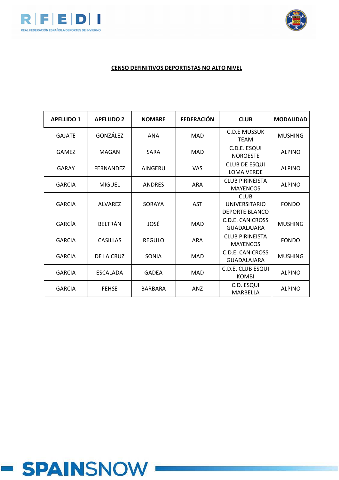



# **CENSO DEFINITIVOS DEPORTISTAS NO ALTO NIVEL**

| <b>APELLIDO 1</b> | <b>APELLIDO 2</b> | <b>NOMBRE</b>  | <b>FEDERACIÓN</b> | <b>CLUB</b>                                                  | <b>MODALIDAD</b> |
|-------------------|-------------------|----------------|-------------------|--------------------------------------------------------------|------------------|
| <b>GAJATE</b>     | GONZÁLEZ          | <b>ANA</b>     | <b>MAD</b>        | <b>C.D.E MUSSUK</b><br>TEAM                                  | <b>MUSHING</b>   |
| <b>GAMEZ</b>      | MAGAN             | <b>SARA</b>    | <b>MAD</b>        | C.D.E. ESQUI<br><b>NOROESTE</b>                              | <b>ALPINO</b>    |
| GARAY             | <b>FERNANDEZ</b>  | AINGERU        | <b>VAS</b>        | <b>CLUB DE ESQUI</b><br><b>LOMA VERDE</b>                    | <b>ALPINO</b>    |
| <b>GARCIA</b>     | <b>MIGUEL</b>     | <b>ANDRES</b>  | <b>ARA</b>        | <b>CLUB PIRINEISTA</b><br><b>MAYENCOS</b>                    | <b>ALPINO</b>    |
| <b>GARCIA</b>     | <b>ALVAREZ</b>    | SORAYA         | <b>AST</b>        | <b>CLUB</b><br><b>UNIVERSITARIO</b><br><b>DEPORTE BLANCO</b> | <b>FONDO</b>     |
| GARCÍA            | <b>BELTRÁN</b>    | JOSÉ           | <b>MAD</b>        | <b>C.D.E. CANICROSS</b><br><b>GUADALAJARA</b>                | <b>MUSHING</b>   |
| <b>GARCIA</b>     | <b>CASILLAS</b>   | <b>REGULO</b>  | <b>ARA</b>        | <b>CLUB PIRINEISTA</b><br><b>MAYENCOS</b>                    | <b>FONDO</b>     |
| <b>GARCIA</b>     | DE LA CRUZ        | SONIA          | <b>MAD</b>        | C.D.E. CANICROSS<br><b>GUADALAJARA</b>                       | <b>MUSHING</b>   |
| <b>GARCIA</b>     | <b>ESCALADA</b>   | <b>GADEA</b>   | <b>MAD</b>        | C.D.E. CLUB ESQUI<br><b>KOMBI</b>                            | <b>ALPINO</b>    |
| <b>GARCIA</b>     | <b>FEHSE</b>      | <b>BARBARA</b> | <b>ANZ</b>        | C.D. ESQUI<br>MARBELLA                                       | <b>ALPINO</b>    |

# **- SPAINSNOW**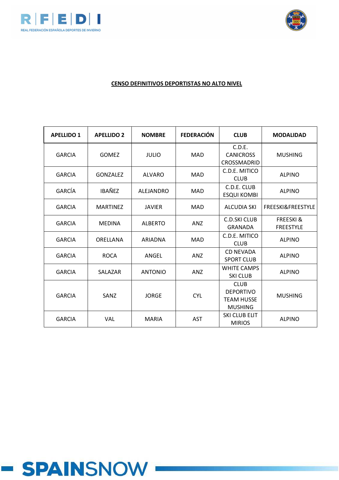



| <b>APELLIDO 1</b> | <b>APELLIDO 2</b> | <b>NOMBRE</b>  | <b>FEDERACIÓN</b> | <b>CLUB</b>                                                            | <b>MODALIDAD</b>                         |
|-------------------|-------------------|----------------|-------------------|------------------------------------------------------------------------|------------------------------------------|
| <b>GARCIA</b>     | <b>GOMEZ</b>      | <b>JULIO</b>   | <b>MAD</b>        | C.D.E.<br><b>CANICROSS</b><br>CROSSMADRID                              | <b>MUSHING</b>                           |
| <b>GARCIA</b>     | <b>GONZALEZ</b>   | <b>ALVARO</b>  | MAD               | C.D.E. MITICO<br><b>CLUB</b>                                           | <b>ALPINO</b>                            |
| GARCÍA            | <b>IBAÑEZ</b>     | ALEJANDRO      | MAD               | C.D.E. CLUB<br><b>ESQUI KOMBI</b>                                      | <b>ALPINO</b>                            |
| <b>GARCIA</b>     | <b>MARTINEZ</b>   | <b>JAVIER</b>  | MAD               | <b>ALCUDIA SKI</b>                                                     | <b>FREESKI&amp;FREESTYLE</b>             |
| <b>GARCIA</b>     | <b>MEDINA</b>     | <b>ALBERTO</b> | <b>ANZ</b>        | C.D.SKI CLUB<br><b>GRANADA</b>                                         | <b>FREESKI &amp;</b><br><b>FREESTYLE</b> |
| <b>GARCIA</b>     | ORELLANA          | ARIADNA        | <b>MAD</b>        | C.D.E. MITICO<br><b>CLUB</b>                                           | <b>ALPINO</b>                            |
| <b>GARCIA</b>     | <b>ROCA</b>       | ANGEL          | <b>ANZ</b>        | <b>CD NEVADA</b><br><b>SPORT CLUB</b>                                  | <b>ALPINO</b>                            |
| <b>GARCIA</b>     | SALAZAR           | <b>ANTONIO</b> | <b>ANZ</b>        | <b>WHITE CAMPS</b><br><b>SKI CLUB</b>                                  | <b>ALPINO</b>                            |
| <b>GARCIA</b>     | SANZ              | <b>JORGE</b>   | <b>CYL</b>        | <b>CLUB</b><br><b>DEPORTIVO</b><br><b>TEAM HUSSE</b><br><b>MUSHING</b> | <b>MUSHING</b>                           |
| <b>GARCIA</b>     | <b>VAL</b>        | <b>MARIA</b>   | <b>AST</b>        | SKI CLUB ELIT<br><b>MIRIOS</b>                                         | <b>ALPINO</b>                            |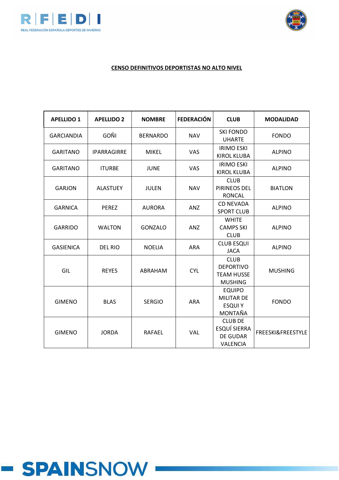



| <b>APELLIDO 1</b> | <b>APELLIDO 2</b>  | <b>NOMBRE</b>   | <b>FEDERACIÓN</b> | <b>CLUB</b>                                                            | <b>MODALIDAD</b>  |
|-------------------|--------------------|-----------------|-------------------|------------------------------------------------------------------------|-------------------|
| <b>GARCIANDIA</b> | <b>GOÑI</b>        | <b>BERNARDO</b> | <b>NAV</b>        | <b>SKI FONDO</b><br><b>UHARTE</b>                                      | <b>FONDO</b>      |
| <b>GARITANO</b>   | <b>IPARRAGIRRE</b> | <b>MIKEL</b>    | <b>VAS</b>        | <b>IRIMO ESKI</b><br><b>KIROL KLUBA</b>                                | <b>ALPINO</b>     |
| <b>GARITANO</b>   | <b>ITURBE</b>      | <b>JUNE</b>     | <b>VAS</b>        | <b>IRIMO ESKI</b><br><b>KIROL KLUBA</b>                                | <b>ALPINO</b>     |
| <b>GARJON</b>     | <b>ALASTUEY</b>    | <b>JULEN</b>    | <b>NAV</b>        | <b>CLUB</b><br>PIRINEOS DEL<br><b>RONCAL</b>                           | <b>BIATLON</b>    |
| <b>GARNICA</b>    | <b>PEREZ</b>       | <b>AURORA</b>   | <b>ANZ</b>        | <b>CD NEVADA</b><br><b>SPORT CLUB</b>                                  | <b>ALPINO</b>     |
| <b>GARRIDO</b>    | <b>WALTON</b>      | <b>GONZALO</b>  | ANZ               | <b>WHITE</b><br><b>CAMPS SKI</b><br><b>CLUB</b>                        | <b>ALPINO</b>     |
| <b>GASIENICA</b>  | <b>DEL RIO</b>     | <b>NOELIA</b>   | <b>ARA</b>        | <b>CLUB ESQUI</b><br><b>JACA</b>                                       | <b>ALPINO</b>     |
| GIL               | <b>REYES</b>       | ABRAHAM         | <b>CYL</b>        | <b>CLUB</b><br><b>DEPORTIVO</b><br><b>TEAM HUSSE</b><br><b>MUSHING</b> | <b>MUSHING</b>    |
| <b>GIMENO</b>     | <b>BLAS</b>        | <b>SERGIO</b>   | <b>ARA</b>        | <b>EQUIPO</b><br><b>MILITAR DE</b><br><b>ESQUIY</b><br>MONTAÑA         | <b>FONDO</b>      |
| <b>GIMENO</b>     | <b>JORDA</b>       | <b>RAFAEL</b>   | <b>VAL</b>        | <b>CLUB DE</b><br><b>ESQUÍ SIERRA</b><br><b>DE GUDAR</b><br>VALENCIA   | FREESKI&FREESTYLE |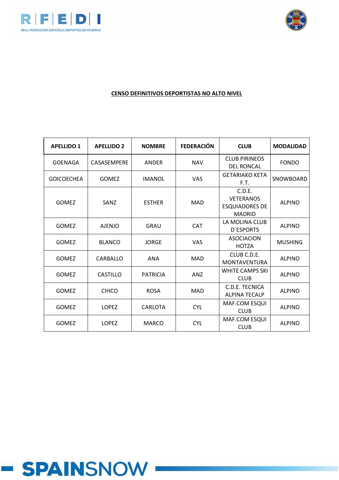



| <b>APELLIDO 1</b> | <b>APELLIDO 2</b> | <b>NOMBRE</b>   | <b>FEDERACIÓN</b> | <b>CLUB</b>                                                          | <b>MODALIDAD</b> |
|-------------------|-------------------|-----------------|-------------------|----------------------------------------------------------------------|------------------|
| <b>GOENAGA</b>    | CASASEMPERE       | <b>ANDER</b>    | <b>NAV</b>        | <b>CLUB PIRINEOS</b><br><b>DEL RONCAL</b>                            | <b>FONDO</b>     |
| <b>GOICOECHEA</b> | <b>GOMEZ</b>      | <b>IMANOL</b>   | <b>VAS</b>        | <b>GETARIAKO KETA</b><br>F.T.                                        | SNOWBOARD        |
| <b>GOMEZ</b>      | SANZ              | <b>ESTHER</b>   | <b>MAD</b>        | C.D.E.<br><b>VETERANOS</b><br><b>ESQUIADORES DE</b><br><b>MADRID</b> | <b>ALPINO</b>    |
| <b>GOMEZ</b>      | <b>AJENJO</b>     | <b>GRAU</b>     | <b>CAT</b>        | LA MOLINA CLUB<br><b>D'ESPORTS</b>                                   | <b>ALPINO</b>    |
| <b>GOMEZ</b>      | <b>BLANCO</b>     | <b>JORGE</b>    | <b>VAS</b>        | <b>ASOCIACION</b><br><b>HOTZA</b>                                    | <b>MUSHING</b>   |
| <b>GOMEZ</b>      | CARBALLO          | <b>ANA</b>      | <b>MAD</b>        | CLUB C.D.E.<br><b>MONTAVENTURA</b>                                   | <b>ALPINO</b>    |
| <b>GOMEZ</b>      | CASTILLO          | <b>PATRICIA</b> | <b>ANZ</b>        | <b>WHITE CAMPS SKI</b><br><b>CLUB</b>                                | <b>ALPINO</b>    |
| <b>GOMEZ</b>      | <b>CHICO</b>      | <b>ROSA</b>     | <b>MAD</b>        | C.D.E. TECNICA<br><b>ALPINA TECALP</b>                               | <b>ALPINO</b>    |
| <b>GOMEZ</b>      | <b>LOPEZ</b>      | CARLOTA         | <b>CYL</b>        | MAF.COM ESQUI<br><b>CLUB</b>                                         | <b>ALPINO</b>    |
| <b>GOMEZ</b>      | <b>LOPEZ</b>      | <b>MARCO</b>    | <b>CYL</b>        | MAF.COM ESQUI<br><b>CLUB</b>                                         | <b>ALPINO</b>    |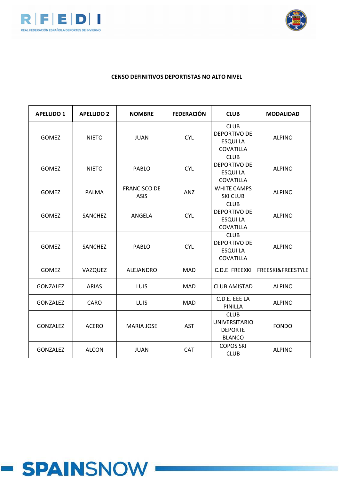



| <b>APELLIDO 1</b> | <b>APELLIDO 2</b> | <b>NOMBRE</b>                      | <b>FEDERACIÓN</b> | <b>CLUB</b>                                                            | <b>MODALIDAD</b>  |
|-------------------|-------------------|------------------------------------|-------------------|------------------------------------------------------------------------|-------------------|
| <b>GOMEZ</b>      | <b>NIETO</b>      | <b>JUAN</b>                        | <b>CYL</b>        | <b>CLUB</b><br><b>DEPORTIVO DE</b><br><b>ESQUI LA</b><br>COVATILLA     | <b>ALPINO</b>     |
| <b>GOMEZ</b>      | <b>NIETO</b>      | PABLO                              | <b>CYL</b>        | <b>CLUB</b><br><b>DEPORTIVO DE</b><br><b>ESQUI LA</b><br>COVATILLA     | <b>ALPINO</b>     |
| <b>GOMEZ</b>      | <b>PALMA</b>      | <b>FRANCISCO DE</b><br><b>ASIS</b> | ANZ               | <b>WHITE CAMPS</b><br><b>SKI CLUB</b>                                  | <b>ALPINO</b>     |
| <b>GOMEZ</b>      | SANCHEZ           | ANGELA                             | <b>CYL</b>        | <b>CLUB</b><br><b>DEPORTIVO DE</b><br><b>ESQUI LA</b><br>COVATILLA     | <b>ALPINO</b>     |
| <b>GOMEZ</b>      | <b>SANCHEZ</b>    | <b>PABLO</b>                       | <b>CYL</b>        | <b>CLUB</b><br><b>DEPORTIVO DE</b><br><b>ESQUI LA</b><br>COVATILLA     | <b>ALPINO</b>     |
| <b>GOMEZ</b>      | VAZQUEZ           | <b>ALEJANDRO</b>                   | <b>MAD</b>        | C.D.E. FREEXKI                                                         | FREESKI&FREESTYLE |
| GONZALEZ          | <b>ARIAS</b>      | LUIS                               | <b>MAD</b>        | <b>CLUB AMISTAD</b>                                                    | <b>ALPINO</b>     |
| <b>GONZALEZ</b>   | CARO              | LUIS                               | <b>MAD</b>        | C.D.E. EEE LA<br>PINILLA                                               | <b>ALPINO</b>     |
| <b>GONZALEZ</b>   | <b>ACERO</b>      | <b>MARIA JOSE</b>                  | <b>AST</b>        | <b>CLUB</b><br><b>UNIVERSITARIO</b><br><b>DEPORTE</b><br><b>BLANCO</b> | <b>FONDO</b>      |
| <b>GONZALEZ</b>   | <b>ALCON</b>      | <b>JUAN</b>                        | <b>CAT</b>        | <b>COPOS SKI</b><br><b>CLUB</b>                                        | <b>ALPINO</b>     |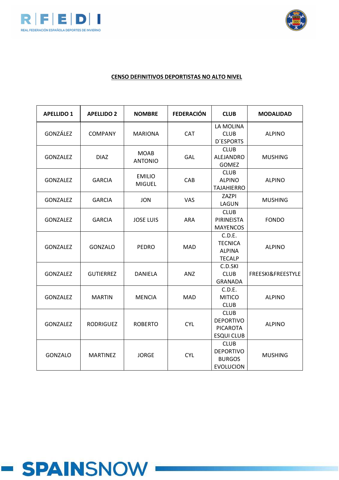



| <b>APELLIDO 1</b> | <b>APELLIDO 2</b> | <b>NOMBRE</b>                  | <b>FEDERACIÓN</b> | <b>CLUB</b>                                                             | <b>MODALIDAD</b>  |
|-------------------|-------------------|--------------------------------|-------------------|-------------------------------------------------------------------------|-------------------|
| GONZÁLEZ          | <b>COMPANY</b>    | <b>MARIONA</b>                 | <b>CAT</b>        | LA MOLINA<br><b>CLUB</b><br><b>D'ESPORTS</b>                            | <b>ALPINO</b>     |
| GONZALEZ          | <b>DIAZ</b>       | <b>MOAB</b><br><b>ANTONIO</b>  | GAL               | <b>CLUB</b><br>ALEJANDRO<br><b>GOMEZ</b>                                | <b>MUSHING</b>    |
| <b>GONZALEZ</b>   | <b>GARCIA</b>     | <b>EMILIO</b><br><b>MIGUEL</b> | CAB               | <b>CLUB</b><br><b>ALPINO</b><br><b>TAJAHIERRO</b>                       | <b>ALPINO</b>     |
| <b>GONZALEZ</b>   | <b>GARCIA</b>     | <b>JON</b>                     | <b>VAS</b>        | ZAZPI<br>LAGUN                                                          | <b>MUSHING</b>    |
| <b>GONZALEZ</b>   | <b>GARCIA</b>     | <b>JOSE LUIS</b>               | <b>ARA</b>        | <b>CLUB</b><br>PIRINEISTA<br><b>MAYENCOS</b>                            | <b>FONDO</b>      |
| <b>GONZALEZ</b>   | <b>GONZALO</b>    | <b>PEDRO</b>                   | <b>MAD</b>        | C.D.E.<br><b>TECNICA</b><br><b>ALPINA</b><br><b>TECALP</b>              | <b>ALPINO</b>     |
| <b>GONZALEZ</b>   | <b>GUTIERREZ</b>  | <b>DANIELA</b>                 | ANZ               | C.D.SKI<br><b>CLUB</b><br><b>GRANADA</b>                                | FREESKI&FREESTYLE |
| <b>GONZALEZ</b>   | <b>MARTIN</b>     | <b>MENCIA</b>                  | <b>MAD</b>        | C.D.E.<br><b>MITICO</b><br><b>CLUB</b>                                  | <b>ALPINO</b>     |
| <b>GONZALEZ</b>   | <b>RODRIGUEZ</b>  | <b>ROBERTO</b>                 | <b>CYL</b>        | <b>CLUB</b><br><b>DEPORTIVO</b><br><b>PICAROTA</b><br><b>ESQUI CLUB</b> | <b>ALPINO</b>     |
| <b>GONZALO</b>    | <b>MARTINEZ</b>   | <b>JORGE</b>                   | <b>CYL</b>        | <b>CLUB</b><br><b>DEPORTIVO</b><br><b>BURGOS</b><br><b>EVOLUCION</b>    | <b>MUSHING</b>    |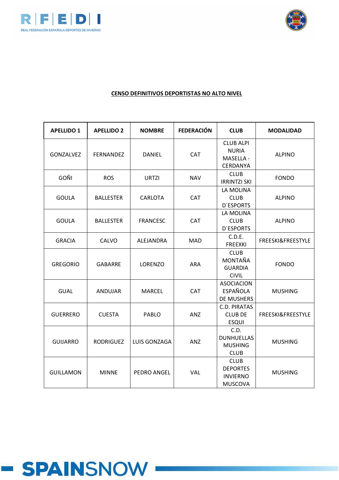



| <b>APELLIDO 1</b> | <b>APELLIDO 2</b> | <b>NOMBRE</b>   | <b>FEDERACIÓN</b> | <b>CLUB</b>                                                         | <b>MODALIDAD</b>  |
|-------------------|-------------------|-----------------|-------------------|---------------------------------------------------------------------|-------------------|
| GONZALVEZ         | <b>FERNANDEZ</b>  | <b>DANIEL</b>   | CAT               | <b>CLUB ALPI</b><br><b>NURIA</b><br>MASELLA -<br>CERDANYA           | <b>ALPINO</b>     |
| GOÑI              | <b>ROS</b>        | <b>URTZI</b>    | <b>NAV</b>        | <b>CLUB</b><br><b>IRRINTZI SKI</b>                                  | <b>FONDO</b>      |
| <b>GOULA</b>      | <b>BALLESTER</b>  | <b>CARLOTA</b>  | <b>CAT</b>        | LA MOLINA<br><b>CLUB</b><br><b>D'ESPORTS</b>                        | <b>ALPINO</b>     |
| <b>GOULA</b>      | <b>BALLESTER</b>  | <b>FRANCESC</b> | <b>CAT</b>        | LA MOLINA<br><b>CLUB</b><br><b>D'ESPORTS</b>                        | <b>ALPINO</b>     |
| <b>GRACIA</b>     | CALVO             | ALEJANDRA       | <b>MAD</b>        | C.D.E.<br><b>FREEXKI</b>                                            | FREESKI&FREESTYLE |
| <b>GREGORIO</b>   | <b>GABARRE</b>    | <b>LORENZO</b>  | <b>ARA</b>        | <b>CLUB</b><br>MONTAÑA<br><b>GUARDIA</b><br><b>CIVIL</b>            | <b>FONDO</b>      |
| <b>GUAL</b>       | ANDUJAR           | <b>MARCEL</b>   | CAT               | <b>ASOCIACION</b><br><b>ESPAÑOLA</b><br><b>DE MUSHERS</b>           | <b>MUSHING</b>    |
| <b>GUERRERO</b>   | <b>CUESTA</b>     | <b>PABLO</b>    | ANZ               | <b>C.D. PIRATAS</b><br><b>CLUB DE</b><br><b>ESQUI</b>               | FREESKI&FREESTYLE |
| <b>GUIJARRO</b>   | <b>RODRIGUEZ</b>  | LUIS GONZAGA    | ANZ               | C.D.<br><b>DUNHUELLAS</b><br><b>MUSHING</b><br><b>CLUB</b>          | <b>MUSHING</b>    |
| <b>GUILLAMON</b>  | <b>MINNE</b>      | PEDRO ANGEL     | <b>VAL</b>        | <b>CLUB</b><br><b>DEPORTES</b><br><b>INVIERNO</b><br><b>MUSCOVA</b> | <b>MUSHING</b>    |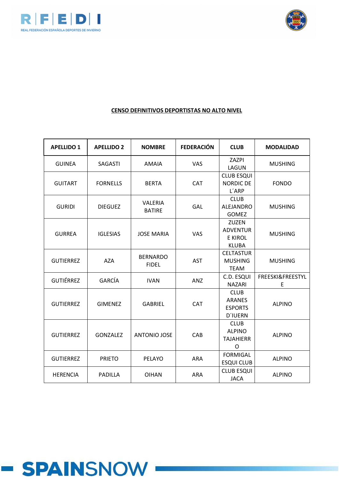



| <b>APELLIDO 1</b> | <b>APELLIDO 2</b> | <b>NOMBRE</b>                   | <b>FEDERACIÓN</b> | <b>CLUB</b>                                                       | <b>MODALIDAD</b>      |
|-------------------|-------------------|---------------------------------|-------------------|-------------------------------------------------------------------|-----------------------|
| <b>GUINEA</b>     | <b>SAGASTI</b>    | <b>AMAIA</b>                    | VAS               | ZAZPI<br>LAGUN                                                    | <b>MUSHING</b>        |
| <b>GUITART</b>    | <b>FORNELLS</b>   | <b>BERTA</b>                    | <b>CAT</b>        | <b>CLUB ESQUI</b><br><b>NORDIC DE</b><br>L'ARP                    | <b>FONDO</b>          |
| <b>GURIDI</b>     | <b>DIEGUEZ</b>    | <b>VALERIA</b><br><b>BATIRE</b> | GAL               | <b>CLUB</b><br>ALEJANDRO<br><b>GOMEZ</b>                          | <b>MUSHING</b>        |
| <b>GURREA</b>     | <b>IGLESIAS</b>   | <b>JOSE MARIA</b>               | <b>VAS</b>        | <b>ZUZEN</b><br><b>ADVENTUR</b><br><b>E KIROL</b><br><b>KLUBA</b> | <b>MUSHING</b>        |
| <b>GUTIERREZ</b>  | <b>AZA</b>        | <b>BERNARDO</b><br><b>FIDEL</b> | <b>AST</b>        | <b>CELTASTUR</b><br><b>MUSHING</b><br><b>TEAM</b>                 | <b>MUSHING</b>        |
| <b>GUTIÉRREZ</b>  | <b>GARCÍA</b>     | <b>IVAN</b>                     | <b>ANZ</b>        | C.D. ESQUI<br><b>NAZARI</b>                                       | FREESKI&FREESTYL<br>E |
| <b>GUTIERREZ</b>  | <b>GIMENEZ</b>    | <b>GABRIEL</b>                  | <b>CAT</b>        | <b>CLUB</b><br><b>ARANES</b><br><b>ESPORTS</b><br><b>D'IUERN</b>  | <b>ALPINO</b>         |
| <b>GUTIERREZ</b>  | <b>GONZALEZ</b>   | <b>ANTONIO JOSE</b>             | CAB               | <b>CLUB</b><br><b>ALPINO</b><br><b>TAJAHIERR</b><br>O             | <b>ALPINO</b>         |
| <b>GUTIERREZ</b>  | <b>PRIETO</b>     | PELAYO                          | <b>ARA</b>        | <b>FORMIGAL</b><br><b>ESQUI CLUB</b>                              | <b>ALPINO</b>         |
| <b>HERENCIA</b>   | <b>PADILLA</b>    | <b>OIHAN</b>                    | <b>ARA</b>        | <b>CLUB ESQUI</b><br><b>JACA</b>                                  | <b>ALPINO</b>         |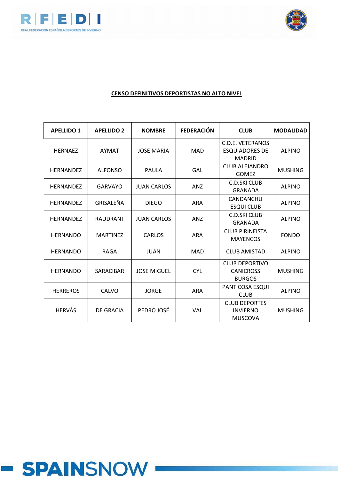



## **CENSO DEFINITIVOS DEPORTISTAS NO ALTO NIVEL**

| <b>APELLIDO 1</b> | <b>APELLIDO 2</b> | <b>NOMBRE</b>      | <b>FEDERACIÓN</b> | <b>CLUB</b>                                                | <b>MODALIDAD</b> |
|-------------------|-------------------|--------------------|-------------------|------------------------------------------------------------|------------------|
| <b>HERNAEZ</b>    | <b>AYMAT</b>      | <b>JOSE MARIA</b>  | <b>MAD</b>        | C.D.E. VETERANOS<br><b>ESQUIADORES DE</b><br><b>MADRID</b> | <b>ALPINO</b>    |
| <b>HERNANDEZ</b>  | <b>ALFONSO</b>    | PAULA              | GAL               | <b>CLUB ALEJANDRO</b><br><b>GOMEZ</b>                      | <b>MUSHING</b>   |
| <b>HERNANDEZ</b>  | GARVAYO           | <b>JUAN CARLOS</b> | <b>ANZ</b>        | C.D.SKI CLUB<br><b>GRANADA</b>                             | <b>ALPINO</b>    |
| <b>HERNANDEZ</b>  | GRISALEÑA         | <b>DIEGO</b>       | <b>ARA</b>        | CANDANCHU<br><b>ESQUI CLUB</b>                             | <b>ALPINO</b>    |
| <b>HERNANDEZ</b>  | <b>RAUDRANT</b>   | <b>JUAN CARLOS</b> | <b>ANZ</b>        | C.D.SKI CLUB<br><b>GRANADA</b>                             | <b>ALPINO</b>    |
| <b>HERNANDO</b>   | <b>MARTINEZ</b>   | <b>CARLOS</b>      | <b>ARA</b>        | <b>CLUB PIRINEISTA</b><br><b>MAYENCOS</b>                  | <b>FONDO</b>     |
| <b>HERNANDO</b>   | <b>RAGA</b>       | <b>JUAN</b>        | <b>MAD</b>        | <b>CLUB AMISTAD</b>                                        | <b>ALPINO</b>    |
| <b>HERNANDO</b>   | <b>SARACIBAR</b>  | <b>JOSE MIGUEL</b> | <b>CYL</b>        | <b>CLUB DEPORTIVO</b><br><b>CANICROSS</b><br><b>BURGOS</b> | <b>MUSHING</b>   |
| <b>HERREROS</b>   | CALVO             | <b>JORGE</b>       | <b>ARA</b>        | PANTICOSA ESQUI<br><b>CLUB</b>                             | <b>ALPINO</b>    |
| <b>HERVÁS</b>     | DE GRACIA         | PEDRO JOSÉ         | VAL               | <b>CLUB DEPORTES</b><br><b>INVIERNO</b><br><b>MUSCOVA</b>  | <b>MUSHING</b>   |

# **- SPAINSNOW**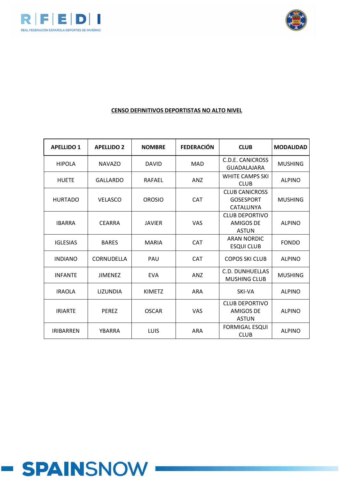



| <b>APELLIDO 1</b> | <b>APELLIDO 2</b> | <b>NOMBRE</b> | <b>FEDERACIÓN</b> | <b>CLUB</b>                                               | <b>MODALIDAD</b> |
|-------------------|-------------------|---------------|-------------------|-----------------------------------------------------------|------------------|
| <b>HIPOLA</b>     | <b>NAVAZO</b>     | <b>DAVID</b>  | <b>MAD</b>        | C.D.E. CANICROSS<br><b>GUADALAJARA</b>                    | <b>MUSHING</b>   |
| <b>HUETE</b>      | <b>GALLARDO</b>   | <b>RAFAEL</b> | ANZ               | <b>WHITE CAMPS SKI</b><br><b>CLUB</b>                     | <b>ALPINO</b>    |
| <b>HURTADO</b>    | <b>VELASCO</b>    | <b>OROSIO</b> | <b>CAT</b>        | <b>CLUB CANICROSS</b><br><b>GOSESPORT</b><br>CATALUNYA    | <b>MUSHING</b>   |
| <b>IBARRA</b>     | <b>CEARRA</b>     | <b>JAVIER</b> | <b>VAS</b>        | <b>CLUB DEPORTIVO</b><br><b>AMIGOS DE</b><br><b>ASTUN</b> | <b>ALPINO</b>    |
| <b>IGLESIAS</b>   | <b>BARES</b>      | <b>MARIA</b>  | <b>CAT</b>        | <b>ARAN NORDIC</b><br><b>ESQUI CLUB</b>                   | <b>FONDO</b>     |
| <b>INDIANO</b>    | CORNUDELLA        | PAU           | <b>CAT</b>        | <b>COPOS SKI CLUB</b>                                     | <b>ALPINO</b>    |
| <b>INFANTE</b>    | <b>JIMENEZ</b>    | <b>EVA</b>    | AN <sub>Z</sub>   | C.D. DUNHUELLAS<br><b>MUSHING CLUB</b>                    | <b>MUSHING</b>   |
| <b>IRAOLA</b>     | <b>LIZUNDIA</b>   | <b>KIMETZ</b> | <b>ARA</b>        | SKI-VA                                                    | <b>ALPINO</b>    |
| <b>IRIARTE</b>    | <b>PERFZ</b>      | <b>OSCAR</b>  | <b>VAS</b>        | <b>CLUB DEPORTIVO</b><br><b>AMIGOS DE</b><br><b>ASTUN</b> | <b>ALPINO</b>    |
| <b>IRIBARREN</b>  | YBARRA            | LUIS          | <b>ARA</b>        | <b>FORMIGAL ESQUI</b><br><b>CLUB</b>                      | <b>ALPINO</b>    |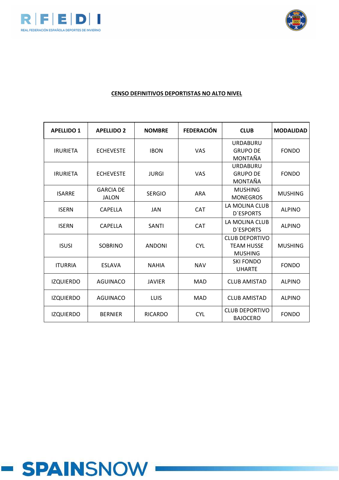



| <b>APELLIDO 1</b> | <b>APELLIDO 2</b>                | <b>NOMBRE</b>  | <b>FEDERACIÓN</b> | <b>CLUB</b>                                                  | <b>MODALIDAD</b> |
|-------------------|----------------------------------|----------------|-------------------|--------------------------------------------------------------|------------------|
| <b>IRURIETA</b>   | <b>ECHEVESTE</b>                 | <b>IBON</b>    | <b>VAS</b>        | <b>URDABURU</b><br><b>GRUPO DE</b><br>MONTAÑA                | <b>FONDO</b>     |
| <b>IRURIETA</b>   | <b>ECHEVESTE</b>                 | <b>JURGI</b>   | <b>VAS</b>        | <b>URDABURU</b><br><b>GRUPO DE</b><br>MONTAÑA                | <b>FONDO</b>     |
| <b>ISARRE</b>     | <b>GARCIA DE</b><br><b>JALON</b> | <b>SERGIO</b>  | <b>ARA</b>        | <b>MUSHING</b><br><b>MONEGROS</b>                            | <b>MUSHING</b>   |
| <b>ISERN</b>      | <b>CAPELLA</b>                   | <b>JAN</b>     | <b>CAT</b>        | LA MOLINA CLUB<br><b>D'ESPORTS</b>                           | <b>ALPINO</b>    |
| <b>ISERN</b>      | <b>CAPELLA</b>                   | <b>SANTI</b>   | <b>CAT</b>        | LA MOLINA CLUB<br><b>D'ESPORTS</b>                           | <b>ALPINO</b>    |
| <b>ISUSI</b>      | <b>SOBRINO</b>                   | <b>ANDONI</b>  | <b>CYL</b>        | <b>CLUB DEPORTIVO</b><br><b>TEAM HUSSE</b><br><b>MUSHING</b> | <b>MUSHING</b>   |
| <b>ITURRIA</b>    | <b>ESLAVA</b>                    | <b>NAHIA</b>   | <b>NAV</b>        | <b>SKI FONDO</b><br><b>UHARTE</b>                            | <b>FONDO</b>     |
| <b>IZQUIERDO</b>  | <b>AGUINACO</b>                  | <b>JAVIER</b>  | <b>MAD</b>        | <b>CLUB AMISTAD</b>                                          | <b>ALPINO</b>    |
| <b>IZQUIERDO</b>  | <b>AGUINACO</b>                  | <b>LUIS</b>    | <b>MAD</b>        | <b>CLUB AMISTAD</b>                                          | <b>ALPINO</b>    |
| <b>IZQUIERDO</b>  | <b>BERNIER</b>                   | <b>RICARDO</b> | <b>CYL</b>        | <b>CLUB DEPORTIVO</b><br><b>BAJOCERO</b>                     | <b>FONDO</b>     |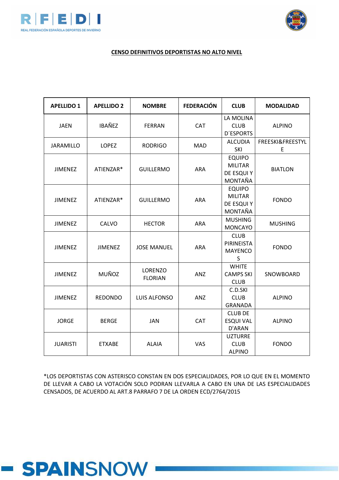



#### **CENSO DEFINITIVOS DEPORTISTAS NO ALTO NIVEL**

| <b>APELLIDO 1</b> | <b>APELLIDO 2</b> | <b>NOMBRE</b>                    | <b>FEDERACIÓN</b> | <b>CLUB</b>                                              | <b>MODALIDAD</b>      |
|-------------------|-------------------|----------------------------------|-------------------|----------------------------------------------------------|-----------------------|
| <b>JAEN</b>       | <b>IBAÑEZ</b>     | <b>FERRAN</b>                    | CAT               | LA MOLINA<br><b>CLUB</b><br><b>D'ESPORTS</b>             | <b>ALPINO</b>         |
| <b>JARAMILLO</b>  | <b>LOPEZ</b>      | <b>RODRIGO</b>                   | <b>MAD</b>        | <b>ALCUDIA</b><br>SKI                                    | FREESKI&FREESTYL<br>E |
| <b>JIMENEZ</b>    | ATIENZAR*         | <b>GUILLERMO</b>                 | <b>ARA</b>        | <b>EQUIPO</b><br><b>MILITAR</b><br>DE ESQUI Y<br>MONTAÑA | <b>BIATLON</b>        |
| <b>JIMENEZ</b>    | ATIENZAR*         | <b>GUILLERMO</b>                 | <b>ARA</b>        | <b>EQUIPO</b><br><b>MILITAR</b><br>DE ESQUI Y<br>MONTAÑA | <b>FONDO</b>          |
| <b>JIMENEZ</b>    | CALVO             | <b>HECTOR</b>                    | <b>ARA</b>        | <b>MUSHING</b><br><b>MONCAYO</b>                         | <b>MUSHING</b>        |
| <b>JIMENEZ</b>    | <b>JIMENEZ</b>    | <b>JOSE MANUEL</b>               | <b>ARA</b>        | <b>CLUB</b><br>PIRINEISTA<br><b>MAYENCO</b><br>S         | <b>FONDO</b>          |
| <b>JIMENEZ</b>    | <b>MUÑOZ</b>      | <b>LORENZO</b><br><b>FLORIAN</b> | ANZ               | <b>WHITE</b><br><b>CAMPS SKI</b><br><b>CLUB</b>          | SNOWBOARD             |
| <b>JIMENEZ</b>    | <b>REDONDO</b>    | <b>LUIS ALFONSO</b>              | ANZ               | C.D.SKI<br><b>CLUB</b><br><b>GRANADA</b>                 | <b>ALPINO</b>         |
| <b>JORGE</b>      | <b>BERGE</b>      | <b>JAN</b>                       | <b>CAT</b>        | <b>CLUB DE</b><br><b>ESQUI VAL</b><br>D'ARAN             | <b>ALPINO</b>         |
| <b>JUARISTI</b>   | <b>ETXABE</b>     | <b>ALAIA</b>                     | <b>VAS</b>        | <b>UZTURRE</b><br><b>CLUB</b><br><b>ALPINO</b>           | <b>FONDO</b>          |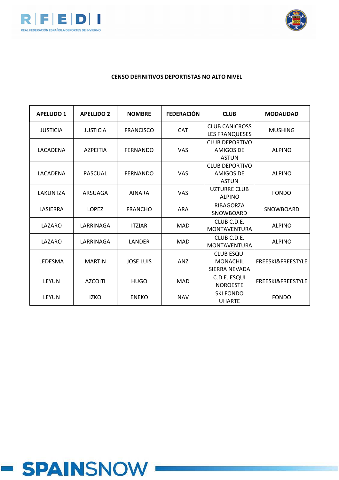



| <b>APELLIDO 1</b> | <b>APELLIDO 2</b> | <b>NOMBRE</b>    | <b>FEDERACIÓN</b> | <b>CLUB</b>                                               | <b>MODALIDAD</b>  |
|-------------------|-------------------|------------------|-------------------|-----------------------------------------------------------|-------------------|
| <b>JUSTICIA</b>   | <b>JUSTICIA</b>   | <b>FRANCISCO</b> | <b>CAT</b>        | <b>CLUB CANICROSS</b><br><b>LES FRANQUESES</b>            | <b>MUSHING</b>    |
| LACADENA          | <b>AZPEITIA</b>   | <b>FERNANDO</b>  | <b>VAS</b>        | <b>CLUB DEPORTIVO</b><br><b>AMIGOS DE</b><br><b>ASTUN</b> | <b>ALPINO</b>     |
| LACADENA          | PASCUAL           | <b>FERNANDO</b>  | <b>VAS</b>        | <b>CLUB DEPORTIVO</b><br><b>AMIGOS DE</b><br><b>ASTUN</b> | <b>ALPINO</b>     |
| LAKUNTZA          | ARSUAGA           | <b>AINARA</b>    | <b>VAS</b>        | <b>UZTURRE CLUB</b><br><b>ALPINO</b>                      | <b>FONDO</b>      |
| LASIERRA          | <b>LOPEZ</b>      | <b>FRANCHO</b>   | <b>ARA</b>        | RIBAGORZA<br>SNOWBOARD                                    | SNOWBOARD         |
| LAZARO            | LARRINAGA         | <b>ITZIAR</b>    | <b>MAD</b>        | CLUB C.D.E.<br><b>MONTAVENTURA</b>                        | <b>ALPINO</b>     |
| LAZARO            | LARRINAGA         | LANDER           | <b>MAD</b>        | CLUB C.D.E.<br><b>MONTAVENTURA</b>                        | <b>ALPINO</b>     |
| LEDESMA           | <b>MARTIN</b>     | <b>JOSE LUIS</b> | <b>ANZ</b>        | <b>CLUB ESQUI</b><br><b>MONACHIL</b><br>SIERRA NEVADA     | FREESKI&FREESTYLE |
| <b>LEYUN</b>      | <b>AZCOITI</b>    | <b>HUGO</b>      | <b>MAD</b>        | C.D.E. ESQUI<br><b>NOROESTE</b>                           | FREESKI&FREESTYLE |
| <b>LEYUN</b>      | <b>IZKO</b>       | <b>ENEKO</b>     | <b>NAV</b>        | <b>SKI FONDO</b><br><b>UHARTE</b>                         | <b>FONDO</b>      |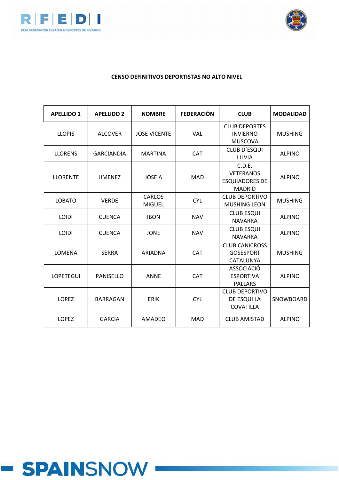



| <b>APELLIDO 1</b> | <b>APELLIDO 2</b> | <b>NOMBRE</b>                  | <b>FEDERACIÓN</b> | <b>CLUB</b>                                                          | <b>MODALIDAD</b> |
|-------------------|-------------------|--------------------------------|-------------------|----------------------------------------------------------------------|------------------|
| <b>LLOPIS</b>     | <b>ALCOVER</b>    | <b>JOSE VICENTE</b>            | <b>VAL</b>        | <b>CLUB DEPORTES</b><br><b>INVIERNO</b><br><b>MUSCOVA</b>            | <b>MUSHING</b>   |
| <b>LLORENS</b>    | <b>GARCIANDIA</b> | <b>MARTINA</b>                 | <b>CAT</b>        | <b>CLUB D'ESQUI</b><br>LLIVIA                                        | <b>ALPINO</b>    |
| <b>LLORENTE</b>   | <b>JIMENEZ</b>    | <b>JOSE A</b>                  | <b>MAD</b>        | C.D.E.<br><b>VETERANOS</b><br><b>ESQUIADORES DE</b><br><b>MADRID</b> | <b>ALPINO</b>    |
| <b>LOBATO</b>     | <b>VERDE</b>      | <b>CARLOS</b><br><b>MIGUEL</b> | <b>CYL</b>        | <b>CLUB DEPORTIVO</b><br><b>MUSHING LEON</b>                         | <b>MUSHING</b>   |
| <b>LOIDI</b>      | <b>CUENCA</b>     | <b>IBON</b>                    | <b>NAV</b>        | <b>CLUB ESQUI</b><br><b>NAVARRA</b>                                  | <b>ALPINO</b>    |
| <b>LOIDI</b>      | <b>CUENCA</b>     | <b>JONE</b>                    | <b>NAV</b>        | <b>CLUB ESQUI</b><br><b>NAVARRA</b>                                  | <b>ALPINO</b>    |
| LOMEÑA            | <b>SERRA</b>      | ARIADNA                        | <b>CAT</b>        | <b>CLUB CANICROSS</b><br><b>GOSESPORT</b><br>CATALUNYA               | <b>MUSHING</b>   |
| <b>LOPETEGUI</b>  | <b>PANISELLO</b>  | <b>ANNE</b>                    | <b>CAT</b>        | <b>ASSOCIACIÓ</b><br><b>ESPORTIVA</b><br><b>PALLARS</b>              | <b>ALPINO</b>    |
| <b>LOPEZ</b>      | <b>BARRAGAN</b>   | <b>ERIK</b>                    | <b>CYL</b>        | <b>CLUB DEPORTIVO</b><br>DE ESQUI LA<br>COVATILLA                    | SNOWBOARD        |
| <b>LOPEZ</b>      | <b>GARCIA</b>     | AMADEO                         | <b>MAD</b>        | <b>CLUB AMISTAD</b>                                                  | <b>ALPINO</b>    |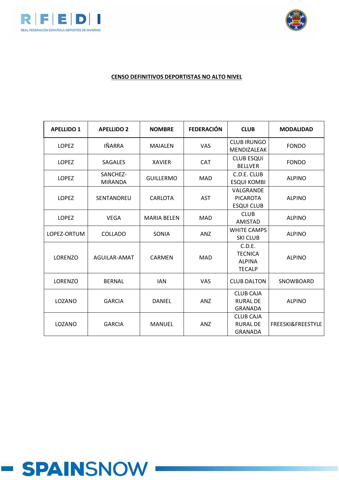



| <b>APELLIDO 1</b> | <b>APELLIDO 2</b>          | <b>NOMBRE</b>      | <b>FEDERACIÓN</b> | <b>CLUB</b>                                                | <b>MODALIDAD</b>  |
|-------------------|----------------------------|--------------------|-------------------|------------------------------------------------------------|-------------------|
| <b>LOPEZ</b>      | <b>IÑARRA</b>              | <b>MAIALEN</b>     | <b>VAS</b>        | <b>CLUB IRUNGO</b><br>MENDIZALEAK                          | <b>FONDO</b>      |
| <b>LOPEZ</b>      | <b>SAGALES</b>             | <b>XAVIER</b>      | <b>CAT</b>        | <b>CLUB ESQUÍ</b><br><b>BELLVER</b>                        | <b>FONDO</b>      |
| <b>LOPEZ</b>      | SANCHEZ-<br><b>MIRANDA</b> | <b>GUILLERMO</b>   | <b>MAD</b>        | C.D.E. CLUB<br><b>ESQUI KOMBI</b>                          | <b>ALPINO</b>     |
| <b>LOPEZ</b>      | SENTANDREU                 | CARLOTA            | <b>AST</b>        | VALGRANDE<br><b>PICAROTA</b><br><b>ESQUI CLUB</b>          | <b>ALPINO</b>     |
| <b>LOPEZ</b>      | <b>VEGA</b>                | <b>MARIA BELEN</b> | <b>MAD</b>        | <b>CLUB</b><br><b>AMISTAD</b>                              | <b>ALPINO</b>     |
| LOPEZ-ORTUM       | <b>COLLADO</b>             | SONIA              | <b>ANZ</b>        | <b>WHITE CAMPS</b><br><b>SKI CLUB</b>                      | <b>ALPINO</b>     |
| <b>LORENZO</b>    | AGUILAR-AMAT               | <b>CARMEN</b>      | <b>MAD</b>        | C.D.E.<br><b>TECNICA</b><br><b>ALPINA</b><br><b>TECALP</b> | <b>ALPINO</b>     |
| LORENZO           | <b>BERNAL</b>              | <b>IAN</b>         | <b>VAS</b>        | <b>CLUB DALTON</b>                                         | SNOWBOARD         |
| LOZANO            | <b>GARCIA</b>              | <b>DANIEL</b>      | <b>ANZ</b>        | <b>CLUB CAJA</b><br>RURAL DE<br><b>GRANADA</b>             | <b>ALPINO</b>     |
| LOZANO            | <b>GARCIA</b>              | <b>MANUEL</b>      | <b>ANZ</b>        | <b>CLUB CAJA</b><br><b>RURAL DE</b><br><b>GRANADA</b>      | FREESKI&FREESTYLE |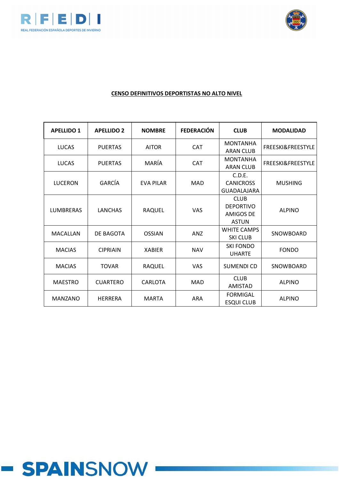



## **CENSO DEFINITIVOS DEPORTISTAS NO ALTO NIVEL**

| <b>APELLIDO 1</b> | <b>APELLIDO 2</b> | <b>NOMBRE</b>    | <b>FEDERACIÓN</b> | <b>CLUB</b>                                                         | <b>MODALIDAD</b>             |
|-------------------|-------------------|------------------|-------------------|---------------------------------------------------------------------|------------------------------|
| <b>LUCAS</b>      | <b>PUERTAS</b>    | <b>AITOR</b>     | <b>CAT</b>        | <b>MONTANHA</b><br><b>ARAN CLUB</b>                                 | FREESKI&FREESTYLE            |
| <b>LUCAS</b>      | <b>PUERTAS</b>    | MARÍA            | <b>CAT</b>        | <b>MONTANHA</b><br><b>ARAN CLUB</b>                                 | <b>FREESKI&amp;FREESTYLE</b> |
| LUCERON           | GARCÍA            | <b>EVA PILAR</b> | <b>MAD</b>        | C.D.E.<br><b>CANICROSS</b><br><b>GUADALAJARA</b>                    | <b>MUSHING</b>               |
| <b>LUMBRERAS</b>  | <b>LANCHAS</b>    | <b>RAQUEL</b>    | <b>VAS</b>        | <b>CLUB</b><br><b>DEPORTIVO</b><br><b>AMIGOS DE</b><br><b>ASTUN</b> | <b>ALPINO</b>                |
| MACALLAN          | DE BAGOTA         | <b>OSSIAN</b>    | <b>ANZ</b>        | <b>WHITE CAMPS</b><br><b>SKI CLUB</b>                               | SNOWBOARD                    |
| <b>MACIAS</b>     | <b>CIPRIAIN</b>   | <b>XABIER</b>    | <b>NAV</b>        | <b>SKI FONDO</b><br><b>UHARTE</b>                                   | <b>FONDO</b>                 |
| <b>MACIAS</b>     | <b>TOVAR</b>      | RAQUEL           | <b>VAS</b>        | <b>SUMENDI CD</b>                                                   | SNOWBOARD                    |
| <b>MAESTRO</b>    | <b>CUARTERO</b>   | CARLOTA          | <b>MAD</b>        | <b>CLUB</b><br>AMISTAD                                              | <b>ALPINO</b>                |
| <b>MANZANO</b>    | <b>HERRERA</b>    | <b>MARTA</b>     | <b>ARA</b>        | <b>FORMIGAL</b><br><b>ESQUI CLUB</b>                                | <b>ALPINO</b>                |

# **- SPAINSNOW**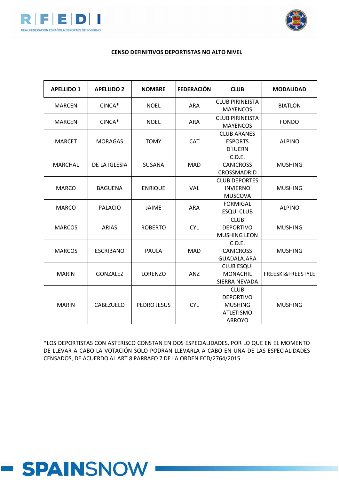



#### **CENSO DEFINITIVOS DEPORTISTAS NO ALTO NIVEL**

| <b>APELLIDO 1</b> | <b>APELLIDO 2</b>                | <b>NOMBRE</b>              | <b>FEDERACIÓN</b>                                         | <b>CLUB</b>                                                                            | <b>MODALIDAD</b>             |
|-------------------|----------------------------------|----------------------------|-----------------------------------------------------------|----------------------------------------------------------------------------------------|------------------------------|
| <b>MARCEN</b>     | CINCA*                           | <b>NOEL</b>                | <b>ARA</b>                                                | <b>CLUB PIRINEISTA</b><br><b>MAYENCOS</b>                                              | <b>BIATLON</b>               |
| <b>MARCEN</b>     | CINCA*                           | <b>NOEL</b>                | <b>ARA</b>                                                | <b>CLUB PIRINEISTA</b><br><b>MAYENCOS</b>                                              | <b>FONDO</b>                 |
| <b>MARCET</b>     | <b>MORAGAS</b>                   | <b>TOMY</b>                | <b>CAT</b>                                                | <b>CLUB ARANES</b><br><b>ESPORTS</b><br><b>D'IUERN</b>                                 | <b>ALPINO</b>                |
| <b>MARCHAL</b>    | DE LA IGLESIA                    | <b>SUSANA</b>              | C.D.E.<br><b>MAD</b><br><b>CANICROSS</b><br>CROSSMADRID   |                                                                                        | <b>MUSHING</b>               |
| <b>MARCO</b>      | <b>BAGUENA</b><br><b>ENRIQUE</b> | VAL                        | <b>CLUB DEPORTES</b><br><b>INVIERNO</b><br><b>MUSCOVA</b> | <b>MUSHING</b>                                                                         |                              |
| <b>MARCO</b>      | <b>PALACIO</b>                   | <b>JAIME</b>               |                                                           | <b>FORMIGAL</b><br><b>ESQUI CLUB</b>                                                   | <b>ALPINO</b>                |
| <b>MARCOS</b>     | <b>ARIAS</b>                     | <b>ROBERTO</b>             | <b>CYL</b>                                                | <b>CLUB</b><br><b>DEPORTIVO</b><br><b>MUSHING LEON</b>                                 | <b>MUSHING</b>               |
| <b>MARCOS</b>     | <b>ESCRIBANO</b>                 | <b>PAULA</b><br><b>MAD</b> |                                                           | C.D.E.<br><b>CANICROSS</b><br><b>GUADALAJARA</b>                                       | <b>MUSHING</b>               |
| <b>MARIN</b>      | <b>GONZALEZ</b>                  | LORENZO                    | <b>ANZ</b>                                                | <b>CLUB ESQUI</b><br><b>MONACHIL</b><br>SIERRA NEVADA                                  | <b>FREESKI&amp;FREESTYLE</b> |
| <b>MARIN</b>      | <b>CABEZUELO</b>                 | PEDRO JESUS                | <b>CYL</b>                                                | <b>CLUB</b><br><b>DEPORTIVO</b><br><b>MUSHING</b><br><b>ATLETISMO</b><br><b>ARROYO</b> | <b>MUSHING</b>               |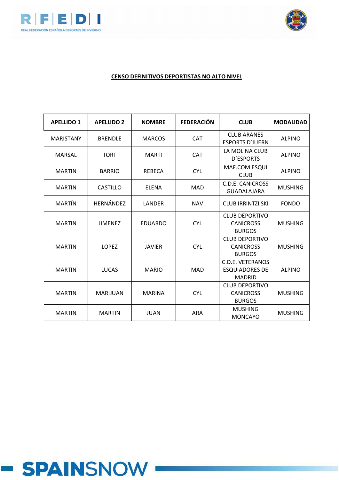



#### **CENSO DEFINITIVOS DEPORTISTAS NO ALTO NIVEL**

| <b>APELLIDO 1</b> | <b>APELLIDO 2</b> | <b>NOMBRE</b>                                          | <b>FEDERACIÓN</b>                                                                              | <b>CLUB</b>                                                | <b>MODALIDAD</b> |
|-------------------|-------------------|--------------------------------------------------------|------------------------------------------------------------------------------------------------|------------------------------------------------------------|------------------|
| <b>MARISTANY</b>  | <b>BRENDLE</b>    | <b>MARCOS</b>                                          | <b>CAT</b>                                                                                     | <b>CLUB ARANES</b><br><b>ESPORTS D'IUERN</b>               | <b>ALPINO</b>    |
| <b>MARSAL</b>     | <b>TORT</b>       | <b>MARTI</b>                                           | <b>CAT</b>                                                                                     | LA MOLINA CLUB<br><b>D'ESPORTS</b>                         | <b>ALPINO</b>    |
| <b>MARTIN</b>     | <b>BARRIO</b>     | <b>REBECA</b>                                          | <b>CYL</b>                                                                                     | MAF.COM ESQUI<br><b>CLUB</b>                               | <b>ALPINO</b>    |
| <b>MARTIN</b>     | <b>CASTILLO</b>   | <b>ELENA</b>                                           | C.D.E. CANICROSS<br><b>MAD</b><br><b>GUADALAJARA</b><br><b>CLUB IRRINTZI SKI</b><br><b>NAV</b> |                                                            | <b>MUSHING</b>   |
| <b>MARTÍN</b>     | <b>HERNÁNDEZ</b>  | LANDER                                                 |                                                                                                |                                                            | <b>FONDO</b>     |
| <b>MARTIN</b>     | <b>JIMENEZ</b>    | <b>EDUARDO</b>                                         | <b>CYL</b>                                                                                     | <b>CLUB DEPORTIVO</b><br><b>CANICROSS</b><br><b>BURGOS</b> | <b>MUSHING</b>   |
| <b>MARTIN</b>     | <b>LOPEZ</b>      | <b>JAVIER</b>                                          | <b>CYL</b>                                                                                     | <b>CLUB DEPORTIVO</b><br><b>CANICROSS</b><br><b>BURGOS</b> | <b>MUSHING</b>   |
| <b>MARTIN</b>     | <b>LUCAS</b>      | <b>MARIO</b>                                           | <b>MAD</b>                                                                                     | C.D.E. VETERANOS<br><b>ESQUIADORES DE</b><br><b>MADRID</b> |                  |
| <b>MARTIN</b>     | <b>MARIJUAN</b>   | <b>MARINA</b>                                          | <b>CLUB DEPORTIVO</b><br><b>CYL</b><br><b>CANICROSS</b><br><b>BURGOS</b>                       |                                                            | <b>MUSHING</b>   |
| <b>MARTIN</b>     | <b>MARTIN</b>     | <b>MUSHING</b><br><b>JUAN</b><br>ARA<br><b>MONCAYO</b> |                                                                                                | <b>MUSHING</b>                                             |                  |

# **- SPAINSNOW**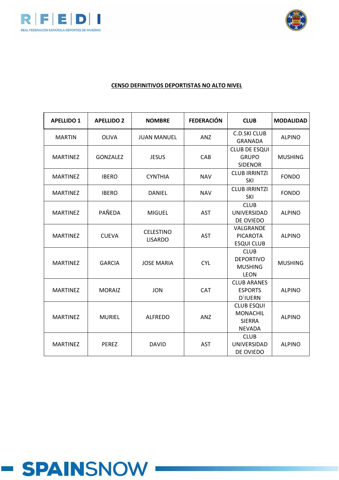



| <b>APELLIDO 1</b> | <b>APELLIDO 2</b> | <b>NOMBRE</b>                      | <b>FEDERACIÓN</b>                                               | <b>CLUB</b>                                                            | <b>MODALIDAD</b> |
|-------------------|-------------------|------------------------------------|-----------------------------------------------------------------|------------------------------------------------------------------------|------------------|
| <b>MARTIN</b>     | <b>OLIVA</b>      | <b>JUAN MANUEL</b>                 | ANZ                                                             | <b>C.D.SKI CLUB</b><br><b>GRANADA</b>                                  | <b>ALPINO</b>    |
| <b>MARTINEZ</b>   | <b>GONZALEZ</b>   | <b>JESUS</b>                       | CAB                                                             | <b>CLUB DE ESQUI</b><br><b>GRUPO</b><br><b>SIDENOR</b>                 | <b>MUSHING</b>   |
| <b>MARTINEZ</b>   | <b>IBERO</b>      | <b>CYNTHIA</b>                     | <b>NAV</b>                                                      | <b>CLUB IRRINTZI</b><br>SKI                                            | <b>FONDO</b>     |
| <b>MARTINEZ</b>   | <b>IBERO</b>      | DANIEL                             | <b>NAV</b>                                                      | <b>CLUB IRRINTZI</b><br><b>SKI</b>                                     | <b>FONDO</b>     |
| <b>MARTINEZ</b>   | PAÑEDA            | <b>MIGUEL</b>                      | <b>AST</b>                                                      | <b>CLUB</b><br><b>UNIVERSIDAD</b><br>DE OVIEDO                         | <b>ALPINO</b>    |
| <b>MARTINEZ</b>   | <b>CUEVA</b>      | <b>CELESTINO</b><br><b>LISARDO</b> | VALGRANDE<br><b>AST</b><br><b>PICAROTA</b><br><b>ESQUI CLUB</b> | <b>ALPINO</b>                                                          |                  |
| <b>MARTINEZ</b>   | <b>GARCIA</b>     | <b>JOSE MARIA</b>                  | <b>CYL</b>                                                      | <b>CLUB</b><br><b>DEPORTIVO</b><br><b>MUSHING</b><br><b>LEON</b>       | <b>MUSHING</b>   |
| <b>MARTINEZ</b>   | <b>MORAIZ</b>     | <b>JON</b>                         | CAT                                                             | <b>CLUB ARANES</b><br><b>ESPORTS</b><br><b>D'IUERN</b>                 | <b>ALPINO</b>    |
| <b>MARTINEZ</b>   | <b>MURIEL</b>     | <b>ALFREDO</b>                     | ANZ                                                             | <b>CLUB ESQUI</b><br><b>MONACHIL</b><br><b>SIERRA</b><br><b>NEVADA</b> | <b>ALPINO</b>    |
| <b>MARTINEZ</b>   | <b>PEREZ</b>      | <b>DAVID</b>                       | <b>AST</b>                                                      | <b>CLUB</b><br>UNIVERSIDAD<br>DE OVIEDO                                | <b>ALPINO</b>    |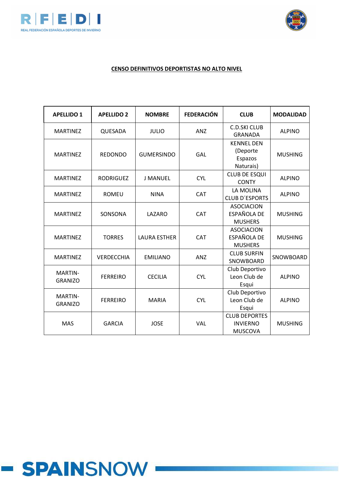



| <b>APELLIDO 1</b>                | <b>APELLIDO 2</b>                 | <b>NOMBRE</b>       | <b>FEDERACIÓN</b> | <b>CLUB</b>                                               | <b>MODALIDAD</b> |
|----------------------------------|-----------------------------------|---------------------|-------------------|-----------------------------------------------------------|------------------|
| <b>MARTINEZ</b>                  | QUESADA                           | <b>JULIO</b>        | ANZ               | <b>C.D.SKI CLUB</b><br><b>GRANADA</b>                     | <b>ALPINO</b>    |
| <b>MARTINEZ</b>                  | <b>REDONDO</b>                    | <b>GUMERSINDO</b>   | GAL               | <b>KENNEL DEN</b><br>(Deporte<br>Espazos<br>Naturais)     | <b>MUSHING</b>   |
| <b>MARTINEZ</b>                  | <b>RODRIGUEZ</b>                  | <b>J MANUEL</b>     | <b>CYL</b>        | <b>CLUB DE ESQUI</b><br><b>CONTY</b>                      | <b>ALPINO</b>    |
| <b>MARTINEZ</b>                  | <b>ROMEU</b><br><b>NINA</b>       |                     | CAT               | LA MOLINA<br><b>CLUB D'ESPORTS</b>                        | <b>ALPINO</b>    |
| <b>MARTINEZ</b>                  | SONSONA                           | LAZARO              | <b>CAT</b>        | <b>ASOCIACION</b><br><b>ESPAÑOLA DE</b><br><b>MUSHERS</b> | <b>MUSHING</b>   |
| <b>MARTINEZ</b>                  | <b>TORRES</b>                     | <b>LAURA ESTHER</b> | CAT               | <b>ASOCIACION</b><br>ESPAÑOLA DE<br><b>MUSHERS</b>        | <b>MUSHING</b>   |
| <b>MARTINEZ</b>                  | <b>VERDECCHIA</b>                 | <b>EMILIANO</b>     | ANZ               | <b>CLUB SURFIN</b><br>SNOWBOARD                           | SNOWBOARD        |
| <b>MARTIN-</b><br><b>GRANIZO</b> | <b>FERREIRO</b><br><b>CECILIA</b> |                     | <b>CYL</b>        | Club Deportivo<br>Leon Club de<br>Esqui                   | <b>ALPINO</b>    |
| <b>MARTIN-</b><br><b>GRANIZO</b> | <b>FERREIRO</b>                   | <b>MARIA</b>        | <b>CYL</b>        | Club Deportivo<br>Leon Club de<br>Esqui                   | <b>ALPINO</b>    |
| <b>MAS</b>                       | <b>GARCIA</b>                     | <b>JOSE</b>         | VAL               | <b>CLUB DEPORTES</b><br><b>INVIERNO</b><br><b>MUSCOVA</b> | <b>MUSHING</b>   |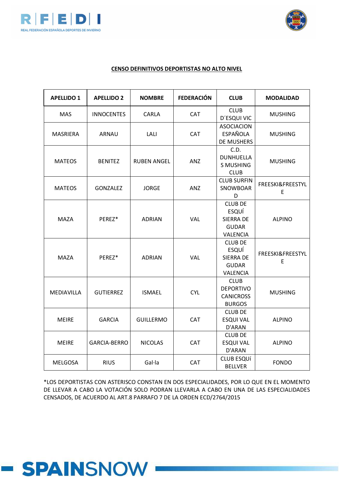



#### **CENSO DEFINITIVOS DEPORTISTAS NO ALTO NIVEL**

| <b>APELLIDO 1</b> | <b>APELLIDO 2</b>                 | <b>NOMBRE</b>      | <b>FEDERACIÓN</b> | <b>CLUB</b>                                                             | <b>MODALIDAD</b>      |
|-------------------|-----------------------------------|--------------------|-------------------|-------------------------------------------------------------------------|-----------------------|
| <b>MAS</b>        | <b>INNOCENTES</b>                 | <b>CARLA</b>       | <b>CAT</b>        | <b>CLUB</b><br>D'ESQUI VIC                                              | <b>MUSHING</b>        |
| <b>MASRIERA</b>   | ARNAU                             | LALI               | <b>CAT</b>        | <b>ASOCIACION</b><br><b>ESPAÑOLA</b><br><b>DE MUSHERS</b>               | <b>MUSHING</b>        |
| <b>MATEOS</b>     | <b>BENITEZ</b>                    | <b>RUBEN ANGEL</b> | <b>ANZ</b>        | C.D.<br><b>DUNHUELLA</b><br><b>S MUSHING</b><br><b>CLUB</b>             | <b>MUSHING</b>        |
| <b>MATEOS</b>     | <b>GONZALEZ</b>                   | <b>JORGE</b>       | ANZ               | <b>CLUB SURFIN</b><br>SNOWBOAR<br>D                                     | FREESKI&FREESTYL<br>E |
| <b>MAZA</b>       | PEREZ*                            | <b>ADRIAN</b>      | VAL               | <b>CLUB DE</b><br>ESQUÍ<br><b>SIERRA DE</b><br><b>GUDAR</b><br>VALENCIA | <b>ALPINO</b>         |
| <b>MAZA</b>       | PEREZ*                            | <b>ADRIAN</b>      | <b>VAL</b>        | <b>CLUB DE</b><br>ESQUÍ<br><b>SIERRA DE</b><br><b>GUDAR</b><br>VALENCIA | FREESKI&FREESTYL<br>F |
| MEDIAVILLA        | <b>GUTIERREZ</b>                  | <b>ISMAEL</b>      | <b>CYL</b>        | <b>CLUB</b><br><b>DEPORTIVO</b><br><b>CANICROSS</b><br><b>BURGOS</b>    | <b>MUSHING</b>        |
| <b>MEIRE</b>      | <b>GARCIA</b><br><b>GUILLERMO</b> |                    | <b>CAT</b>        | <b>CLUB DE</b><br><b>ESQUI VAL</b><br>D'ARAN                            | <b>ALPINO</b>         |
| <b>MEIRE</b>      | <b>GARCIA-BERRO</b>               | <b>NICOLAS</b>     | <b>CAT</b>        | <b>CLUB DE</b><br><b>ESQUI VAL</b><br>D'ARAN                            | <b>ALPINO</b>         |
| <b>MELGOSA</b>    | <b>RIUS</b>                       | Gal·la             | <b>CAT</b>        | <b>CLUB ESQUÍ</b><br><b>BELLVER</b>                                     | <b>FONDO</b>          |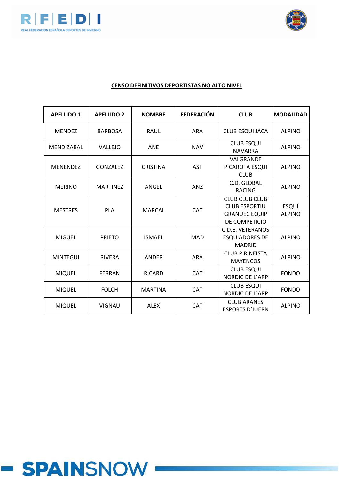



## **CENSO DEFINITIVOS DEPORTISTAS NO ALTO NIVEL**

| <b>APELLIDO 1</b> | <b>APELLIDO 2</b> | <b>NOMBRE</b>                                                             | <b>FEDERACIÓN</b>                                                                                    | <b>CLUB</b>                                                       | <b>MODALIDAD</b>       |
|-------------------|-------------------|---------------------------------------------------------------------------|------------------------------------------------------------------------------------------------------|-------------------------------------------------------------------|------------------------|
| <b>MENDEZ</b>     | <b>BARBOSA</b>    | <b>RAUL</b>                                                               | <b>ARA</b>                                                                                           | <b>CLUB ESQUI JACA</b>                                            | <b>ALPINO</b>          |
| MENDIZABAL        | <b>VALLEJO</b>    | <b>ANE</b>                                                                | <b>NAV</b>                                                                                           | <b>CLUB ESQUI</b><br><b>NAVARRA</b>                               | <b>ALPINO</b>          |
| <b>MENENDEZ</b>   | GONZALEZ          | <b>CRISTINA</b>                                                           | VALGRANDE<br><b>AST</b><br>PICAROTA ESQUI<br><b>CLUB</b>                                             |                                                                   | <b>ALPINO</b>          |
| <b>MERINO</b>     | <b>MARTINEZ</b>   | C.D. GLOBAL<br>ANGEL<br><b>ANZ</b><br><b>RACING</b>                       |                                                                                                      |                                                                   | <b>ALPINO</b>          |
| <b>MESTRES</b>    | <b>PLA</b>        | <b>MARCAL</b>                                                             | <b>CLUB CLUB CLUB</b><br><b>CLUB ESPORTIU</b><br><b>CAT</b><br><b>GRANUEC EQUIP</b><br>DE COMPETICIÓ |                                                                   | ESQUÍ<br><b>ALPINO</b> |
| <b>MIGUEL</b>     | <b>PRIETO</b>     | <b>ISMAEL</b>                                                             | <b>MAD</b>                                                                                           | <b>C.D.E. VETERANOS</b><br><b>ESQUIADORES DE</b><br><b>MADRID</b> | <b>ALPINO</b>          |
| <b>MINTEGUI</b>   | <b>RIVERA</b>     | ANDER                                                                     | <b>ARA</b>                                                                                           | <b>CLUB PIRINEISTA</b><br><b>MAYENCOS</b>                         | <b>ALPINO</b>          |
| <b>MIQUEL</b>     | <b>FERRAN</b>     | <b>RICARD</b>                                                             | <b>CLUB ESQUI</b><br><b>CAT</b><br><b>NORDIC DE L'ARP</b>                                            |                                                                   | <b>FONDO</b>           |
| <b>MIQUEL</b>     | <b>FOLCH</b>      | <b>MARTINA</b>                                                            | CAT                                                                                                  | <b>CLUB ESQUI</b><br><b>NORDIC DE L'ARP</b>                       | <b>FONDO</b>           |
| <b>MIQUEL</b>     | <b>VIGNAU</b>     | <b>CLUB ARANES</b><br><b>ALEX</b><br><b>CAT</b><br><b>ESPORTS D'IUERN</b> |                                                                                                      | <b>ALPINO</b>                                                     |                        |

# - SPAINSNOW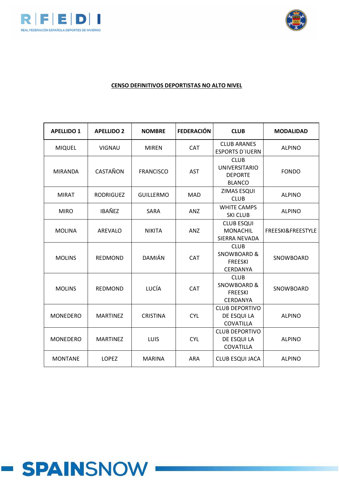



| <b>APELLIDO 1</b> | <b>APELLIDO 2</b> | <b>NOMBRE</b>    | <b>FEDERACIÓN</b>                                               | <b>CLUB</b>                                                                | <b>MODALIDAD</b>             |  |
|-------------------|-------------------|------------------|-----------------------------------------------------------------|----------------------------------------------------------------------------|------------------------------|--|
| <b>MIQUEL</b>     | <b>VIGNAU</b>     | <b>MIREN</b>     | <b>CAT</b>                                                      | <b>CLUB ARANES</b><br><b>ESPORTS D'IUERN</b>                               | <b>ALPINO</b>                |  |
| <b>MIRANDA</b>    | CASTAÑON          | <b>FRANCISCO</b> | <b>AST</b>                                                      | <b>CLUB</b><br><b>UNIVERSITARIO</b><br><b>DEPORTE</b><br><b>BLANCO</b>     | <b>FONDO</b>                 |  |
| <b>MIRAT</b>      | <b>RODRIGUEZ</b>  | <b>GUILLERMO</b> | <b>MAD</b>                                                      | ZIMAS ESQUI<br><b>CLUB</b>                                                 | <b>ALPINO</b>                |  |
| <b>MIRO</b>       | <b>IBAÑEZ</b>     | SARA             | <b>WHITE CAMPS</b><br>ANZ<br><b>SKI CLUB</b>                    |                                                                            | <b>ALPINO</b>                |  |
| <b>MOLINA</b>     | <b>AREVALO</b>    | <b>NIKITA</b>    | ANZ                                                             | <b>CLUB ESQUI</b><br><b>MONACHIL</b><br>SIERRA NEVADA                      | <b>FREESKI&amp;FREESTYLE</b> |  |
| <b>MOLINS</b>     | <b>REDMOND</b>    | <b>DAMIÁN</b>    | <b>CAT</b>                                                      | <b>CLUB</b><br><b>SNOWBOARD &amp;</b><br><b>FREESKI</b><br>CERDANYA        | SNOWBOARD                    |  |
| <b>MOLINS</b>     | <b>REDMOND</b>    | LUCÍA            | <b>CAT</b>                                                      | <b>CLUB</b><br><b>SNOWBOARD &amp;</b><br><b>FREESKI</b><br><b>CERDANYA</b> | SNOWBOARD                    |  |
| <b>MONEDERO</b>   | <b>MARTINEZ</b>   | <b>CRISTINA</b>  | <b>CLUB DEPORTIVO</b><br><b>CYL</b><br>DE ESQUI LA<br>COVATILLA |                                                                            | <b>ALPINO</b>                |  |
| <b>MONEDERO</b>   | <b>MARTINEZ</b>   | LUIS             | <b>CYL</b>                                                      | <b>CLUB DEPORTIVO</b><br>DE ESQUI LA<br>COVATILLA                          | <b>ALPINO</b>                |  |
| <b>MONTANE</b>    | <b>LOPEZ</b>      | <b>MARINA</b>    | <b>ARA</b>                                                      | <b>CLUB ESQUI JACA</b>                                                     | <b>ALPINO</b>                |  |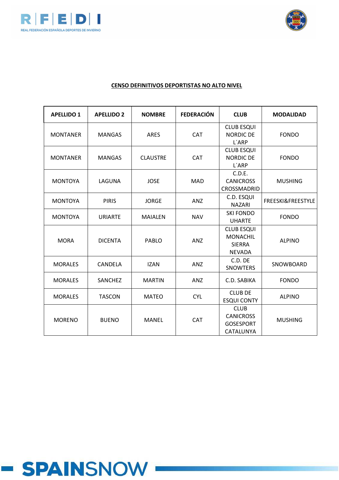



| <b>APELLIDO 1</b> | <b>APELLIDO 2</b> | <b>NOMBRE</b>        | <b>FEDERACIÓN</b> | <b>CLUB</b>                                                            | <b>MODALIDAD</b>  |
|-------------------|-------------------|----------------------|-------------------|------------------------------------------------------------------------|-------------------|
| <b>MONTANER</b>   | <b>MANGAS</b>     | <b>ARES</b>          | <b>CAT</b>        | <b>CLUB ESQUI</b><br><b>NORDIC DE</b><br>L'ARP                         | <b>FONDO</b>      |
| <b>MONTANER</b>   | <b>MANGAS</b>     | <b>CLAUSTRE</b>      | <b>CAT</b>        | <b>CLUB ESQUI</b><br><b>NORDIC DE</b><br>L'ARP                         | <b>FONDO</b>      |
| <b>MONTOYA</b>    | LAGUNA            | <b>JOSE</b>          | <b>MAD</b>        | C.D.E.<br><b>CANICROSS</b><br>CROSSMADRID                              | <b>MUSHING</b>    |
| <b>MONTOYA</b>    | <b>PIRIS</b>      | <b>JORGE</b>         | <b>ANZ</b>        | C.D. ESQUI<br><b>NAZARI</b>                                            | FREESKI&FREESTYLE |
| <b>MONTOYA</b>    | <b>URIARTE</b>    | <b>MAIALEN</b>       | <b>NAV</b>        | <b>SKI FONDO</b><br><b>UHARTE</b>                                      | <b>FONDO</b>      |
| <b>MORA</b>       | <b>DICENTA</b>    | PABLO                | ANZ               | <b>CLUB ESQUI</b><br><b>MONACHIL</b><br><b>SIERRA</b><br><b>NEVADA</b> | <b>ALPINO</b>     |
| <b>MORALES</b>    | CANDELA           | <b>IZAN</b>          | <b>ANZ</b>        | C.D. DE<br><b>SNOWTERS</b>                                             | SNOWBOARD         |
| <b>MORALES</b>    | SANCHEZ           | <b>MARTIN</b><br>ANZ |                   | C.D. SABIKA                                                            | <b>FONDO</b>      |
| <b>MORALES</b>    | <b>TASCON</b>     | <b>MATEO</b>         | <b>CYL</b>        | <b>CLUB DE</b><br><b>ESQUI CONTY</b>                                   | <b>ALPINO</b>     |
| <b>MORENO</b>     | <b>BUENO</b>      | <b>MANEL</b>         | <b>CAT</b>        | <b>CLUB</b><br><b>CANICROSS</b><br><b>GOSESPORT</b><br>CATALUNYA       | <b>MUSHING</b>    |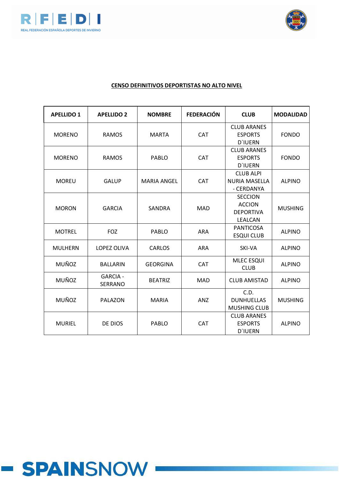



| <b>APELLIDO 1</b> | <b>APELLIDO 2</b>                 | <b>NOMBRE</b>       | <b>FEDERACIÓN</b>                                              | <b>CLUB</b>                                                    | <b>MODALIDAD</b> |
|-------------------|-----------------------------------|---------------------|----------------------------------------------------------------|----------------------------------------------------------------|------------------|
| <b>MORENO</b>     | <b>RAMOS</b>                      | <b>MARTA</b>        | <b>CAT</b>                                                     | <b>CLUB ARANES</b><br><b>ESPORTS</b><br><b>D'IUERN</b>         | <b>FONDO</b>     |
| <b>MORENO</b>     | <b>RAMOS</b>                      | <b>CAT</b><br>PABLO |                                                                | <b>CLUB ARANES</b><br><b>ESPORTS</b><br><b>D'IUERN</b>         | <b>FONDO</b>     |
| <b>MOREU</b>      | <b>GALUP</b>                      | <b>MARIA ANGEL</b>  | <b>CAT</b>                                                     | <b>CLUB ALPI</b><br><b>NURIA MASELLA</b><br>- CERDANYA         | <b>ALPINO</b>    |
| <b>MORON</b>      | <b>GARCIA</b>                     | SANDRA              | <b>MAD</b>                                                     | <b>SECCION</b><br><b>ACCION</b><br><b>DEPORTIVA</b><br>LEALCAN | <b>MUSHING</b>   |
| <b>MOTREL</b>     | <b>FOZ</b>                        | <b>PABLO</b>        | <b>ARA</b>                                                     | <b>PANTICOSA</b><br><b>ESQUI CLUB</b>                          | <b>ALPINO</b>    |
| <b>MULHERN</b>    | <b>LOPEZ OLIVA</b>                | <b>CARLOS</b>       | <b>ARA</b>                                                     | SKI-VA                                                         | <b>ALPINO</b>    |
| MUÑOZ             | <b>BALLARIN</b>                   | <b>GEORGINA</b>     | <b>CAT</b>                                                     | <b>MLEC ESQUI</b><br><b>CLUB</b>                               | <b>ALPINO</b>    |
| <b>MUÑOZ</b>      | <b>GARCIA -</b><br><b>SERRANO</b> | <b>BEATRIZ</b>      | <b>MAD</b>                                                     | <b>CLUB AMISTAD</b>                                            | <b>ALPINO</b>    |
| MUÑOZ             | <b>PALAZON</b>                    | <b>MARIA</b>        | C.D.<br><b>ANZ</b><br><b>DUNHUELLAS</b><br><b>MUSHING CLUB</b> |                                                                | <b>MUSHING</b>   |
| <b>MURIEL</b>     | PABLO<br><b>CAT</b><br>DE DIOS    |                     |                                                                | <b>CLUB ARANES</b><br><b>ESPORTS</b><br><b>D'IUERN</b>         | <b>ALPINO</b>    |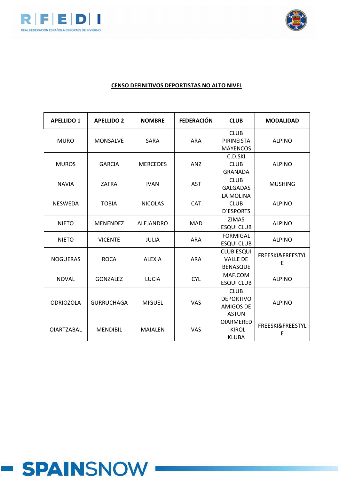



| <b>APELLIDO 1</b> | <b>APELLIDO 2</b> | <b>NOMBRE</b>    | <b>FEDERACIÓN</b> | <b>CLUB</b>                                                         | <b>MODALIDAD</b>      |
|-------------------|-------------------|------------------|-------------------|---------------------------------------------------------------------|-----------------------|
| <b>MURO</b>       | <b>MONSALVE</b>   | <b>SARA</b>      | <b>ARA</b>        | <b>CLUB</b><br>PIRINEISTA<br><b>MAYENCOS</b>                        | <b>ALPINO</b>         |
| <b>MUROS</b>      | <b>GARCIA</b>     | <b>MERCEDES</b>  | <b>ANZ</b>        | C.D.SKI<br><b>CLUB</b><br><b>GRANADA</b>                            | <b>ALPINO</b>         |
| <b>NAVIA</b>      | ZAFRA             | <b>IVAN</b>      | <b>AST</b>        | <b>CLUB</b><br><b>GALGADAS</b>                                      | <b>MUSHING</b>        |
| <b>NESWEDA</b>    | <b>TOBIA</b>      | <b>NICOLAS</b>   | <b>CAT</b>        | LA MOLINA<br><b>CLUB</b><br><b>D'ESPORTS</b>                        | <b>ALPINO</b>         |
| <b>NIETO</b>      | <b>MENENDEZ</b>   | <b>ALEJANDRO</b> | <b>MAD</b>        | <b>ZIMAS</b><br><b>ESQUI CLUB</b>                                   | <b>ALPINO</b>         |
| <b>NIETO</b>      | <b>VICENTE</b>    | <b>JULIA</b>     | <b>ARA</b>        | <b>FORMIGAL</b><br><b>ESQUI CLUB</b>                                | <b>ALPINO</b>         |
| <b>NOGUERAS</b>   | <b>ROCA</b>       | <b>ALEXIA</b>    | <b>ARA</b>        | <b>CLUB ESQUI</b><br><b>VALLE DE</b><br><b>BENASQUE</b>             | FREESKI&FREESTYL<br>E |
| <b>NOVAL</b>      | <b>GONZALEZ</b>   | <b>LUCIA</b>     | <b>CYL</b>        | MAF.COM<br><b>ESQUI CLUB</b>                                        | <b>ALPINO</b>         |
| <b>ODRIOZOLA</b>  | <b>GURRUCHAGA</b> | <b>MIGUEL</b>    | <b>VAS</b>        | <b>CLUB</b><br><b>DEPORTIVO</b><br><b>AMIGOS DE</b><br><b>ASTUN</b> | <b>ALPINO</b>         |
| <b>OIARTZABAL</b> | <b>MENDIBIL</b>   | <b>MAIALEN</b>   | VAS               | <b>OIARMERED</b><br><b>I KIROL</b><br><b>KLUBA</b>                  | FREESKI&FREESTYL<br>E |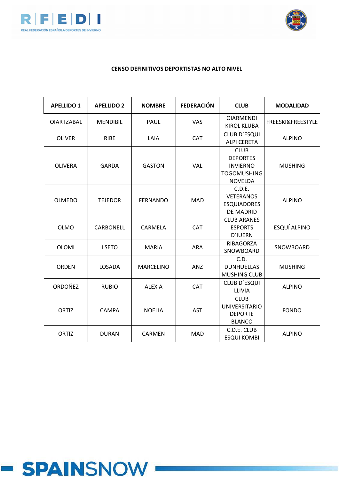



| <b>APELLIDO 1</b> | <b>APELLIDO 2</b> | <b>NOMBRE</b>    | <b>FEDERACIÓN</b> | <b>CLUB</b>                                                                               | <b>MODALIDAD</b>  |
|-------------------|-------------------|------------------|-------------------|-------------------------------------------------------------------------------------------|-------------------|
| <b>OIARTZABAL</b> | <b>MENDIBIL</b>   | PAUL             | VAS               | <b>OIARMENDI</b><br><b>KIROL KLUBA</b>                                                    | FREESKI&FREESTYLE |
| <b>OLIVER</b>     | <b>RIBE</b>       | LAIA             | <b>CAT</b>        | CLUB D'ESQUI<br><b>ALPI CERETA</b>                                                        | <b>ALPINO</b>     |
| <b>OLIVERA</b>    | <b>GARDA</b>      | <b>GASTON</b>    | VAL               | <b>CLUB</b><br><b>DEPORTES</b><br><b>INVIERNO</b><br><b>TOGOMUSHING</b><br><b>NOVELDA</b> | <b>MUSHING</b>    |
| <b>OLMEDO</b>     | <b>TEJEDOR</b>    | <b>FERNANDO</b>  | MAD               | C.D.E.<br><b>VETERANOS</b><br><b>ESQUIADORES</b><br>DE MADRID                             | <b>ALPINO</b>     |
| <b>OLMO</b>       | <b>CARBONELL</b>  | CARMELA          | <b>CAT</b>        | <b>CLUB ARANES</b><br><b>ESPORTS</b><br><b>D'IUERN</b>                                    | ESQUÍ ALPINO      |
| <b>OLOMI</b>      | I SETO            | <b>MARIA</b>     | <b>ARA</b>        | RIBAGORZA<br>SNOWBOARD                                                                    | SNOWBOARD         |
| <b>ORDEN</b>      | LOSADA            | <b>MARCELINO</b> | ANZ               | C.D.<br><b>DUNHUELLAS</b><br><b>MUSHING CLUB</b>                                          | <b>MUSHING</b>    |
| <b>ORDOÑEZ</b>    | <b>RUBIO</b>      | <b>ALEXIA</b>    | CAT               | CLUB D'ESQUI<br>LLIVIA                                                                    | <b>ALPINO</b>     |
| <b>ORTIZ</b>      | <b>CAMPA</b>      | <b>NOELIA</b>    | <b>AST</b>        | <b>CLUB</b><br><b>UNIVERSITARIO</b><br><b>DEPORTE</b><br><b>BLANCO</b>                    | <b>FONDO</b>      |
| ORTIZ             | <b>DURAN</b>      | <b>CARMEN</b>    | <b>MAD</b>        | C.D.E. CLUB<br><b>ESQUI KOMBI</b>                                                         | <b>ALPINO</b>     |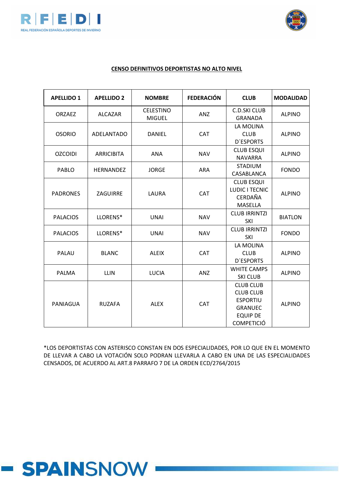



#### **CENSO DEFINITIVOS DEPORTISTAS NO ALTO NIVEL**

| <b>APELLIDO 1</b> | <b>APELLIDO 2</b> | <b>NOMBRE</b>                     | <b>FEDERACIÓN</b> | <b>CLUB</b>                                                                                                       | <b>MODALIDAD</b> |
|-------------------|-------------------|-----------------------------------|-------------------|-------------------------------------------------------------------------------------------------------------------|------------------|
| <b>ORZAEZ</b>     | <b>ALCAZAR</b>    | <b>CELESTINO</b><br><b>MIGUEL</b> | ANZ               | <b>C.D.SKI CLUB</b><br><b>GRANADA</b>                                                                             | <b>ALPINO</b>    |
| <b>OSORIO</b>     | <b>ADELANTADO</b> | <b>CAT</b><br>DANIEL              |                   | LA MOLINA<br><b>CLUB</b><br><b>D'ESPORTS</b>                                                                      | <b>ALPINO</b>    |
| <b>OZCOIDI</b>    | <b>ARRICIBITA</b> | <b>ANA</b>                        | <b>NAV</b>        | <b>CLUB ESQUI</b><br><b>NAVARRA</b>                                                                               | <b>ALPINO</b>    |
| PABLO             | <b>HERNANDEZ</b>  | <b>JORGE</b>                      | ARA               | <b>STADIUM</b><br>CASABLANCA                                                                                      | <b>FONDO</b>     |
| <b>PADRONES</b>   | ZAGUIRRE          | LAURA                             | CAT               | <b>CLUB ESQUI</b><br>LUDIC I TECNIC<br>CERDAÑA<br>MASELLA                                                         | <b>ALPINO</b>    |
| <b>PALACIOS</b>   | LLORENS*          | <b>UNAI</b><br><b>NAV</b>         |                   | <b>CLUB IRRINTZI</b><br><b>SKI</b>                                                                                | <b>BIATLON</b>   |
| <b>PALACIOS</b>   | LLORENS*          | <b>UNAI</b>                       | <b>NAV</b>        | <b>CLUB IRRINTZI</b><br>SKI                                                                                       | <b>FONDO</b>     |
| PALAU             | <b>BLANC</b>      | <b>ALEIX</b>                      | CAT               | LA MOLINA<br><b>CLUB</b><br><b>D'ESPORTS</b>                                                                      | <b>ALPINO</b>    |
| <b>PALMA</b>      | <b>LLIN</b>       | <b>LUCIA</b>                      | ANZ               | <b>WHITE CAMPS</b><br><b>SKI CLUB</b>                                                                             | <b>ALPINO</b>    |
| PANIAGUA          | <b>RUZAFA</b>     | <b>ALEX</b><br>CAT                |                   | <b>CLUB CLUB</b><br><b>CLUB CLUB</b><br><b>ESPORTIU</b><br><b>GRANUEC</b><br><b>EQUIP DE</b><br><b>COMPETICIÓ</b> | <b>ALPINO</b>    |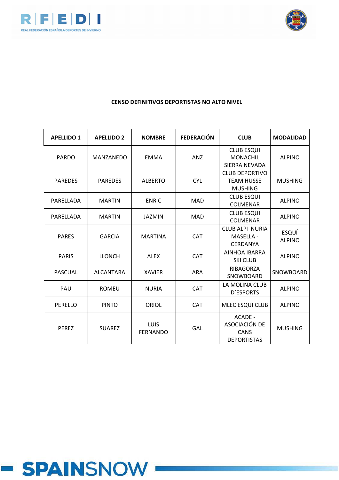



| <b>APELLIDO 1</b> | <b>APELLIDO 2</b> | <b>NOMBRE</b>           | <b>FEDERACIÓN</b> | <b>CLUB</b>                                                   | <b>MODALIDAD</b>       |
|-------------------|-------------------|-------------------------|-------------------|---------------------------------------------------------------|------------------------|
| <b>PARDO</b>      | <b>MANZANEDO</b>  | <b>EMMA</b>             | <b>ANZ</b>        | <b>CLUB ESQUI</b><br><b>MONACHIL</b><br><b>SIERRA NEVADA</b>  | <b>ALPINO</b>          |
| <b>PAREDES</b>    | <b>PAREDES</b>    | <b>ALBERTO</b>          | <b>CYL</b>        | <b>CLUB DEPORTIVO</b><br><b>TEAM HUSSE</b><br><b>MUSHING</b>  | <b>MUSHING</b>         |
| PARELLADA         | <b>MARTIN</b>     | <b>ENRIC</b>            | <b>MAD</b>        | <b>CLUB ESQUI</b><br><b>COLMENAR</b>                          | <b>ALPINO</b>          |
| PARELLADA         | <b>MARTIN</b>     | <b>JAZMIN</b>           | <b>MAD</b>        | <b>CLUB ESQUI</b><br><b>COLMENAR</b>                          | <b>ALPINO</b>          |
| <b>PARES</b>      | <b>GARCIA</b>     | <b>MARTINA</b>          | <b>CAT</b>        | <b>CLUB ALPI NURIA</b><br><b>MASELLA -</b><br><b>CERDANYA</b> | ESQUÍ<br><b>ALPINO</b> |
| <b>PARIS</b>      | <b>LLONCH</b>     | <b>ALEX</b>             | <b>CAT</b>        | AINHOA IBARRA<br><b>SKI CLUB</b>                              | <b>ALPINO</b>          |
| <b>PASCUAL</b>    | <b>ALCANTARA</b>  | <b>XAVIER</b>           | <b>ARA</b>        | RIBAGORZA<br>SNOWBOARD                                        | SNOWBOARD              |
| PAU               | <b>ROMEU</b>      | <b>NURIA</b>            | <b>CAT</b>        | LA MOLINA CLUB<br><b>D'ESPORTS</b>                            | <b>ALPINO</b>          |
| PERELLO           | <b>PINTO</b>      | <b>ORIOL</b>            | <b>CAT</b>        | MLEC ESQUI CLUB                                               | <b>ALPINO</b>          |
| <b>PEREZ</b>      | <b>SUAREZ</b>     | LUIS<br><b>FERNANDO</b> | GAL               | ACADE -<br>ASOCIACIÓN DE<br>CANS<br><b>DEPORTISTAS</b>        | <b>MUSHING</b>         |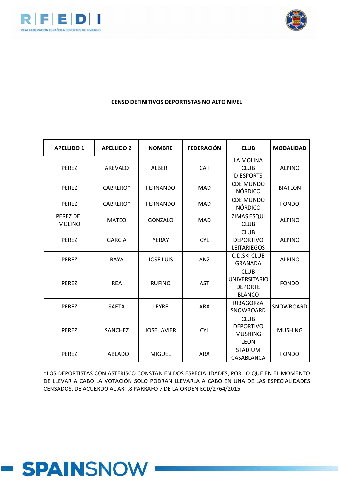



### **CENSO DEFINITIVOS DEPORTISTAS NO ALTO NIVEL**

| <b>APELLIDO 1</b>          | <b>APELLIDO 2</b> | <b>NOMBRE</b>      | <b>FEDERACIÓN</b> | <b>CLUB</b>                                                            | <b>MODALIDAD</b> |
|----------------------------|-------------------|--------------------|-------------------|------------------------------------------------------------------------|------------------|
| <b>PEREZ</b>               | AREVALO           | <b>ALBERT</b>      | <b>CAT</b>        | LA MOLINA<br><b>CLUB</b><br><b>D'ESPORTS</b>                           | <b>ALPINO</b>    |
| <b>PEREZ</b>               | CABRERO*          | <b>FERNANDO</b>    | <b>MAD</b>        | <b>CDE MUNDO</b><br><b>NÓRDICO</b>                                     | <b>BIATLON</b>   |
| <b>PEREZ</b>               | CABRERO*          | <b>FERNANDO</b>    | <b>MAD</b>        | <b>CDE MUNDO</b><br><b>NÓRDICO</b>                                     | <b>FONDO</b>     |
| PEREZ DEL<br><b>MOLINO</b> | <b>MATEO</b>      | <b>GONZALO</b>     | <b>MAD</b>        | ZIMAS ESQUI<br><b>CLUB</b>                                             | <b>ALPINO</b>    |
| <b>PEREZ</b>               | <b>GARCIA</b>     | YERAY              | <b>CYL</b>        | <b>CLUB</b><br><b>DEPORTIVO</b><br><b>LEITARIEGOS</b>                  | <b>ALPINO</b>    |
| <b>PEREZ</b>               | <b>RAYA</b>       | <b>JOSE LUIS</b>   | <b>ANZ</b>        | <b>C.D.SKI CLUB</b><br><b>GRANADA</b>                                  | <b>ALPINO</b>    |
| <b>PEREZ</b>               | <b>REA</b>        | <b>RUFINO</b>      | <b>AST</b>        | <b>CLUB</b><br><b>UNIVERSITARIO</b><br><b>DEPORTE</b><br><b>BLANCO</b> | <b>FONDO</b>     |
| <b>PEREZ</b>               | <b>SAETA</b>      | LEYRE              | <b>ARA</b>        | RIBAGORZA<br>SNOWBOARD                                                 | SNOWBOARD        |
| <b>PEREZ</b>               | <b>SANCHEZ</b>    | <b>JOSE JAVIER</b> | <b>CYL</b>        | <b>CLUB</b><br><b>DEPORTIVO</b><br><b>MUSHING</b><br><b>LEON</b>       | <b>MUSHING</b>   |
| <b>PEREZ</b>               | <b>TABLADO</b>    | <b>MIGUEL</b>      | <b>ARA</b>        | <b>STADIUM</b><br>CASABLANCA                                           | <b>FONDO</b>     |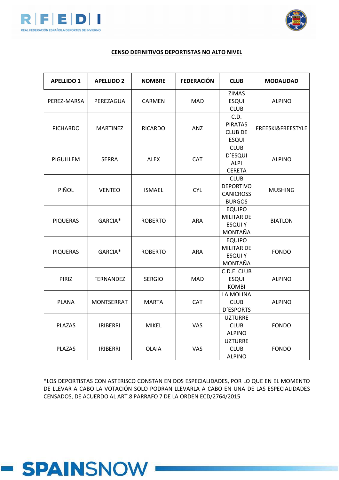



#### **CENSO DEFINITIVOS DEPORTISTAS NO ALTO NIVEL**

| <b>APELLIDO 1</b> | <b>APELLIDO 2</b> | <b>NOMBRE</b>  | <b>FEDERACIÓN</b> | <b>CLUB</b>                   | <b>MODALIDAD</b>  |
|-------------------|-------------------|----------------|-------------------|-------------------------------|-------------------|
|                   |                   |                |                   | <b>ZIMAS</b>                  |                   |
| PEREZ-MARSA       | PEREZAGUA         | CARMEN         | MAD               | <b>ESQUI</b>                  | <b>ALPINO</b>     |
|                   |                   |                |                   | <b>CLUB</b><br>C.D.           |                   |
|                   |                   |                |                   | <b>PIRATAS</b>                |                   |
| <b>PICHARDO</b>   | <b>MARTINEZ</b>   | <b>RICARDO</b> | ANZ               | <b>CLUB DE</b>                | FREESKI&FREESTYLE |
|                   |                   |                |                   | <b>ESQUI</b>                  |                   |
|                   |                   |                |                   | <b>CLUB</b>                   |                   |
|                   |                   |                |                   | <b>D'ESQUI</b>                |                   |
| PIGUILLEM         | <b>SERRA</b>      | <b>ALEX</b>    | CAT               | <b>ALPI</b>                   | <b>ALPINO</b>     |
|                   |                   |                |                   | <b>CERETA</b>                 |                   |
|                   |                   |                |                   | <b>CLUB</b>                   |                   |
| PIÑOL             | <b>VENTEO</b>     | <b>ISMAEL</b>  | <b>CYL</b>        | <b>DEPORTIVO</b>              | <b>MUSHING</b>    |
|                   |                   |                |                   | <b>CANICROSS</b>              |                   |
|                   |                   |                |                   | <b>BURGOS</b>                 |                   |
|                   |                   |                |                   | <b>EQUIPO</b>                 |                   |
| <b>PIQUERAS</b>   | GARCIA*           | <b>ROBERTO</b> | <b>ARA</b>        | MILITAR DE                    | <b>BIATLON</b>    |
|                   |                   |                |                   | <b>ESQUIY</b>                 |                   |
|                   |                   |                |                   | MONTAÑA                       |                   |
|                   |                   |                |                   | <b>EQUIPO</b>                 |                   |
| <b>PIQUERAS</b>   | GARCIA*           | <b>ROBERTO</b> | <b>ARA</b>        | <b>MILITAR DE</b>             | <b>FONDO</b>      |
|                   |                   |                |                   | <b>ESQUIY</b>                 |                   |
|                   |                   |                |                   | MONTAÑA                       |                   |
|                   |                   |                |                   | C.D.E. CLUB                   |                   |
| PIRIZ             | <b>FERNANDEZ</b>  | <b>SERGIO</b>  | <b>MAD</b>        | <b>ESQUI</b>                  | <b>ALPINO</b>     |
|                   |                   |                |                   | <b>KOMBI</b>                  |                   |
|                   |                   |                |                   | LA MOLINA                     |                   |
| <b>PLANA</b>      | <b>MONTSERRAT</b> | <b>MARTA</b>   | CAT               | <b>CLUB</b>                   | <b>ALPINO</b>     |
|                   |                   |                |                   | <b>D'ESPORTS</b>              |                   |
| <b>PLAZAS</b>     | <b>IRIBERRI</b>   | <b>MIKEL</b>   | VAS               | <b>UZTURRE</b><br><b>CLUB</b> | <b>FONDO</b>      |
|                   |                   |                |                   | <b>ALPINO</b>                 |                   |
|                   |                   |                |                   | <b>UZTURRE</b>                |                   |
| <b>PLAZAS</b>     | <b>IRIBERRI</b>   | <b>OLAIA</b>   | VAS               | <b>CLUB</b>                   | <b>FONDO</b>      |
|                   |                   |                |                   | <b>ALPINO</b>                 |                   |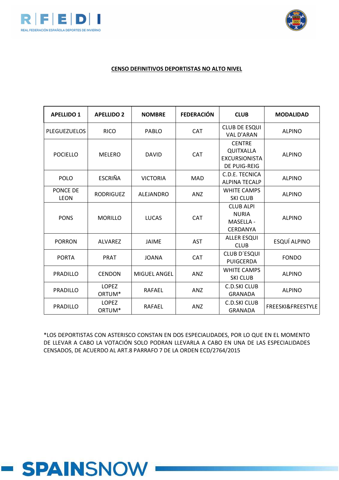



#### **CENSO DEFINITIVOS DEPORTISTAS NO ALTO NIVEL**

| <b>APELLIDO 1</b>       | <b>APELLIDO 2</b>                  | <b>NOMBRE</b>       | <b>FEDERACIÓN</b> | <b>CLUB</b>                                                               | <b>MODALIDAD</b>             |
|-------------------------|------------------------------------|---------------------|-------------------|---------------------------------------------------------------------------|------------------------------|
| <b>PLEGUEZUELOS</b>     | <b>RICO</b>                        | PABLO               | <b>CAT</b>        | <b>CLUB DE ESQUI</b><br><b>VAL D'ARAN</b>                                 | <b>ALPINO</b>                |
| <b>POCIELLO</b>         | <b>MELERO</b>                      | <b>DAVID</b>        | <b>CAT</b>        | <b>CENTRE</b><br>QUITXALLA<br><b>EXCURSIONISTA</b><br><b>DE PUIG-REIG</b> | <b>ALPINO</b>                |
| <b>POLO</b>             | <b>ESCRIÑA</b>                     | <b>VICTORIA</b>     | <b>MAD</b>        | C.D.E. TECNICA<br><b>ALPINA TECALP</b>                                    | <b>ALPINO</b>                |
| PONCE DE<br><b>LEON</b> | <b>RODRIGUEZ</b>                   | ALEJANDRO           | <b>ANZ</b>        | <b>WHITE CAMPS</b><br><b>SKI CLUB</b>                                     | <b>ALPINO</b>                |
| <b>PONS</b>             | <b>MORILLO</b>                     | <b>LUCAS</b>        | <b>CAT</b>        | <b>CLUB ALPI</b><br><b>NURIA</b><br><b>MASELLA -</b><br><b>CERDANYA</b>   | <b>ALPINO</b>                |
| <b>PORRON</b>           | <b>ALVAREZ</b>                     | <b>JAIME</b>        | <b>AST</b>        | <b>ALLER ESQUI</b><br><b>CLUB</b>                                         | ESQUÍ ALPINO                 |
| <b>PORTA</b>            | <b>PRAT</b>                        | <b>JOANA</b>        | <b>CAT</b>        | <b>CLUB D'ESQUI</b><br>PUIGCERDA                                          | <b>FONDO</b>                 |
| PRADILLO                | <b>CENDON</b>                      | <b>MIGUEL ANGEL</b> | <b>ANZ</b>        | <b>WHITE CAMPS</b><br><b>SKI CLUB</b>                                     | <b>ALPINO</b>                |
| PRADILLO                | <b>LOPEZ</b><br>ORTUM*             | RAFAEL              | ANZ               | C.D.SKI CLUB<br><b>GRANADA</b>                                            | <b>ALPINO</b>                |
| <b>PRADILLO</b>         | <b>LOPEZ</b><br>ORTUM <sup>*</sup> | <b>RAFAEL</b>       | ANZ               | <b>C.D.SKI CLUB</b><br><b>GRANADA</b>                                     | <b>FREESKI&amp;FREESTYLE</b> |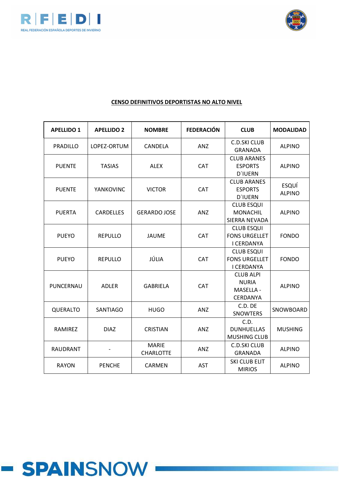



| <b>APELLIDO 1</b> | <b>APELLIDO 2</b> | <b>NOMBRE</b>                    | <b>FEDERACIÓN</b> | <b>CLUB</b>                                                    | <b>MODALIDAD</b>       |
|-------------------|-------------------|----------------------------------|-------------------|----------------------------------------------------------------|------------------------|
| PRADILLO          | LOPEZ-ORTUM       | CANDELA                          | <b>ANZ</b>        | <b>C.D.SKI CLUB</b><br><b>GRANADA</b>                          | <b>ALPINO</b>          |
| <b>PUENTE</b>     | <b>TASIAS</b>     | <b>ALEX</b>                      | <b>CAT</b>        | <b>CLUB ARANES</b><br><b>ESPORTS</b><br><b>D'IUERN</b>         | <b>ALPINO</b>          |
| <b>PUENTE</b>     | <b>YANKOVINC</b>  | <b>VICTOR</b>                    | <b>CAT</b>        | <b>CLUB ARANES</b><br><b>ESPORTS</b><br><b>D'IUERN</b>         | ESQUÍ<br><b>ALPINO</b> |
| <b>PUERTA</b>     | <b>CARDELLES</b>  | <b>GERARDO JOSE</b>              | <b>ANZ</b>        | <b>CLUB ESQUI</b><br><b>MONACHIL</b><br>SIERRA NEVADA          | <b>ALPINO</b>          |
| <b>PUEYO</b>      | <b>REPULLO</b>    | <b>JAUME</b>                     | <b>CAT</b>        | <b>CLUB ESQUI</b><br><b>FONS URGELLET</b><br>I CERDANYA        | <b>FONDO</b>           |
| <b>PUEYO</b>      | <b>REPULLO</b>    | JÚLIA                            | <b>CAT</b>        | <b>CLUB ESQUI</b><br><b>FONS URGELLET</b><br><b>I CERDANYA</b> | <b>FONDO</b>           |
| PUNCERNAU         | <b>ADLER</b>      | <b>GABRIELA</b>                  | <b>CAT</b>        | <b>CLUB ALPI</b><br><b>NURIA</b><br>MASELLA -<br>CERDANYA      | <b>ALPINO</b>          |
| QUERALTO          | <b>SANTIAGO</b>   | <b>HUGO</b>                      | ANZ               | C.D. DE<br><b>SNOWTERS</b>                                     | SNOWBOARD              |
| <b>RAMIREZ</b>    | <b>DIAZ</b>       | <b>CRISTIAN</b>                  | ANZ               | C.D.<br><b>DUNHUELLAS</b><br><b>MUSHING CLUB</b>               | <b>MUSHING</b>         |
| <b>RAUDRANT</b>   |                   | <b>MARIE</b><br><b>CHARLOTTE</b> | ANZ               | <b>C.D.SKI CLUB</b><br><b>GRANADA</b>                          | <b>ALPINO</b>          |
| <b>RAYON</b>      | <b>PENCHE</b>     | <b>CARMEN</b>                    | <b>AST</b>        | <b>SKI CLUB ELIT</b><br><b>MIRIOS</b>                          | <b>ALPINO</b>          |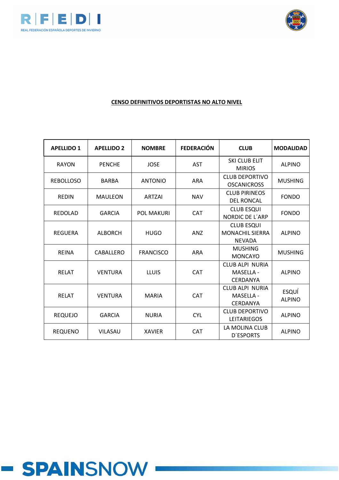



| <b>APELLIDO 1</b> | <b>APELLIDO 2</b> | <b>NOMBRE</b>    | <b>FEDERACIÓN</b> | <b>CLUB</b>                                                  | <b>MODALIDAD</b>              |
|-------------------|-------------------|------------------|-------------------|--------------------------------------------------------------|-------------------------------|
| <b>RAYON</b>      | <b>PENCHE</b>     | <b>JOSE</b>      | <b>AST</b>        | <b>SKI CLUB ELIT</b><br><b>MIRIOS</b>                        | <b>ALPINO</b>                 |
| <b>REBOLLOSO</b>  | <b>BARBA</b>      | <b>ANTONIO</b>   | <b>ARA</b>        | <b>CLUB DEPORTIVO</b><br><b>OSCANICROSS</b>                  | <b>MUSHING</b>                |
| <b>REDIN</b>      | <b>MAULEON</b>    | <b>ARTZAI</b>    | <b>NAV</b>        | <b>CLUB PIRINEOS</b><br><b>DEL RONCAL</b>                    | <b>FONDO</b>                  |
| <b>REDOLAD</b>    | <b>GARCIA</b>     | POL MAKURI       | <b>CAT</b>        | <b>CLUB ESQUI</b><br><b>NORDIC DE L'ARP</b>                  | <b>FONDO</b>                  |
| <b>REGUERA</b>    | <b>ALBORCH</b>    | <b>HUGO</b>      | <b>ANZ</b>        | <b>CLUB ESQUI</b><br><b>MONACHIL SIERRA</b><br><b>NEVADA</b> | <b>ALPINO</b>                 |
| <b>REINA</b>      | CABALLERO         | <b>FRANCISCO</b> | <b>ARA</b>        | <b>MUSHING</b><br><b>MONCAYO</b>                             | <b>MUSHING</b>                |
| <b>RELAT</b>      | <b>VENTURA</b>    | <b>LLUIS</b>     | <b>CAT</b>        | CLUB ALPI NURIA<br><b>MASELLA -</b><br><b>CERDANYA</b>       | <b>ALPINO</b>                 |
| <b>RELAT</b>      | <b>VENTURA</b>    | <b>MARIA</b>     | <b>CAT</b>        | CLUB ALPI NURIA<br><b>MASELLA -</b><br><b>CERDANYA</b>       | <b>ESQUÍ</b><br><b>ALPINO</b> |
| <b>REQUEJO</b>    | <b>GARCIA</b>     | <b>NURIA</b>     | <b>CYL</b>        | <b>CLUB DEPORTIVO</b><br><b>LEITARIEGOS</b>                  | <b>ALPINO</b>                 |
| <b>REQUENO</b>    | <b>VILASAU</b>    | <b>XAVIER</b>    | <b>CAT</b>        | LA MOLINA CLUB<br><b>D'ESPORTS</b>                           | <b>ALPINO</b>                 |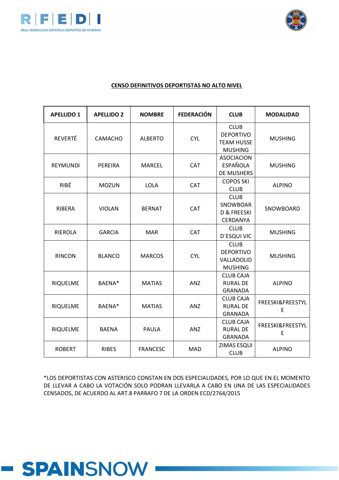



# **CENSO DEFINITIVOS DEPORTISTAS NO ALTO NIVEL**

| <b>APELLIDO 1</b> | <b>APELLIDO 2</b> | <b>NOMBRE</b>   | <b>FEDERACIÓN</b> | <b>CLUB</b>                                                            | <b>MODALIDAD</b>      |
|-------------------|-------------------|-----------------|-------------------|------------------------------------------------------------------------|-----------------------|
| <b>REVERTÉ</b>    | <b>CAMACHO</b>    | <b>ALBERTO</b>  | <b>CYL</b>        | <b>CLUB</b><br><b>DEPORTIVO</b><br><b>TEAM HUSSE</b><br><b>MUSHING</b> | <b>MUSHING</b>        |
| <b>REYMUNDI</b>   | PEREIRA           | <b>MARCEL</b>   | <b>CAT</b>        | <b>ASOCIACION</b><br><b>ESPAÑOLA</b><br>DE MUSHERS                     | <b>MUSHING</b>        |
| <b>RIBÉ</b>       | <b>MOZUN</b>      | <b>LOLA</b>     | <b>CAT</b>        | <b>COPOS SKI</b><br><b>CLUB</b>                                        | <b>ALPINO</b>         |
| RIBERA            | <b>VIOLAN</b>     | <b>BERNAT</b>   | CAT               | <b>CLUB</b><br>SNOWBOAR<br>D & FREESKI<br>CERDANYA                     | SNOWBOARD             |
| <b>RIEROLA</b>    | <b>GARCIA</b>     | <b>MAR</b>      | <b>CAT</b>        | <b>CLUB</b><br>D'ESQUI VIC                                             | <b>MUSHING</b>        |
| <b>RINCON</b>     | <b>BLANCO</b>     | <b>MARCOS</b>   | <b>CYL</b>        | <b>CLUB</b><br><b>DEPORTIVO</b><br>VALLADOLID<br><b>MUSHING</b>        | <b>MUSHING</b>        |
| <b>RIQUELME</b>   | BAENA*            | <b>MATIAS</b>   | <b>ANZ</b>        | <b>CLUB CAJA</b><br><b>RURAL DE</b><br><b>GRANADA</b>                  | <b>ALPINO</b>         |
| RIQUELME          | BAENA*            | <b>MATIAS</b>   | ANZ               | <b>CLUB CAJA</b><br><b>RURAL DE</b><br><b>GRANADA</b>                  | FREESKI&FREESTYL<br>E |
| RIQUELME          | <b>BAENA</b>      | PAULA           | ANZ               | <b>CLUB CAJA</b><br><b>RURAL DE</b><br><b>GRANADA</b>                  | FREESKI&FREESTYL<br>E |
| <b>ROBERT</b>     | <b>RIBES</b>      | <b>FRANCESC</b> | <b>MAD</b>        | <b>ZIMAS ESQUI</b><br><b>CLUB</b>                                      | <b>ALPINO</b>         |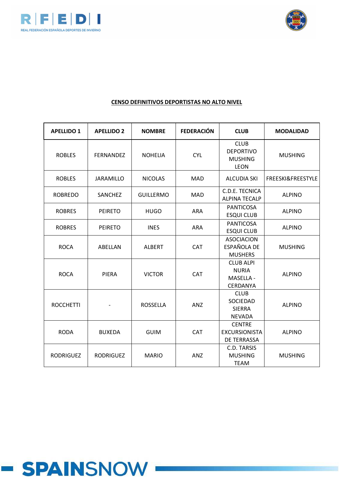



| <b>APELLIDO 1</b> | <b>APELLIDO 2</b> | <b>NOMBRE</b>    | <b>FEDERACIÓN</b> | <b>CLUB</b>                                                      | <b>MODALIDAD</b>  |
|-------------------|-------------------|------------------|-------------------|------------------------------------------------------------------|-------------------|
| <b>ROBLES</b>     | <b>FERNANDEZ</b>  | <b>NOHELIA</b>   | <b>CYL</b>        | <b>CLUB</b><br><b>DEPORTIVO</b><br><b>MUSHING</b><br><b>LEON</b> | <b>MUSHING</b>    |
| <b>ROBLES</b>     | <b>JARAMILLO</b>  | <b>NICOLAS</b>   | <b>MAD</b>        | <b>ALCUDIA SKI</b>                                               | FREESKI&FREESTYLE |
| <b>ROBREDO</b>    | SANCHEZ           | <b>GUILLERMO</b> | MAD               | C.D.E. TECNICA<br><b>ALPINA TECALP</b>                           | <b>ALPINO</b>     |
| <b>ROBRES</b>     | <b>PEIRETO</b>    | <b>HUGO</b>      | <b>ARA</b>        | <b>PANTICOSA</b><br><b>ESQUI CLUB</b>                            | <b>ALPINO</b>     |
| <b>ROBRES</b>     | <b>PEIRETO</b>    | <b>INES</b>      | <b>ARA</b>        | <b>PANTICOSA</b><br><b>ESQUI CLUB</b>                            | <b>ALPINO</b>     |
| <b>ROCA</b>       | ABELLAN           | <b>ALBERT</b>    | CAT               | <b>ASOCIACION</b><br>ESPAÑOLA DE<br><b>MUSHERS</b>               | <b>MUSHING</b>    |
| <b>ROCA</b>       | <b>PIERA</b>      | <b>VICTOR</b>    | <b>CAT</b>        | <b>CLUB ALPI</b><br><b>NURIA</b><br>MASELLA -<br>CERDANYA        | <b>ALPINO</b>     |
| <b>ROCCHETTI</b>  |                   | <b>ROSSELLA</b>  | ANZ               | <b>CLUB</b><br><b>SOCIEDAD</b><br><b>SIERRA</b><br><b>NEVADA</b> | <b>ALPINO</b>     |
| <b>RODA</b>       | <b>BUXEDA</b>     | <b>GUIM</b>      | <b>CAT</b>        | <b>CENTRE</b><br><b>EXCURSIONISTA</b><br>DE TERRASSA             | <b>ALPINO</b>     |
| <b>RODRIGUEZ</b>  | <b>RODRIGUEZ</b>  | <b>MARIO</b>     | ANZ               | C.D. TARSIS<br><b>MUSHING</b><br><b>TEAM</b>                     | <b>MUSHING</b>    |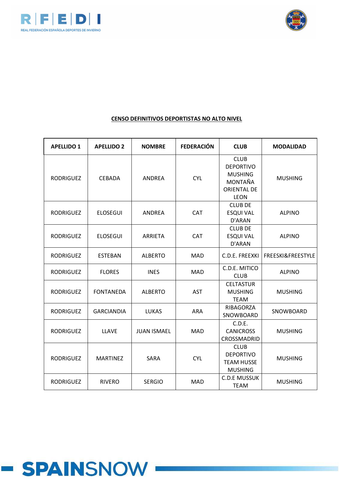



| <b>APELLIDO 1</b> | <b>APELLIDO 2</b> | <b>NOMBRE</b>      | <b>FEDERACIÓN</b> | <b>CLUB</b>                                                                                       | <b>MODALIDAD</b>  |
|-------------------|-------------------|--------------------|-------------------|---------------------------------------------------------------------------------------------------|-------------------|
| <b>RODRIGUEZ</b>  | <b>CEBADA</b>     | <b>ANDREA</b>      | <b>CYL</b>        | <b>CLUB</b><br><b>DEPORTIVO</b><br><b>MUSHING</b><br>MONTAÑA<br><b>ORIENTAL DE</b><br><b>LEON</b> | <b>MUSHING</b>    |
| <b>RODRIGUEZ</b>  | <b>ELOSEGUI</b>   | <b>ANDREA</b>      | <b>CAT</b>        | <b>CLUB DE</b><br><b>ESQUI VAL</b><br>D'ARAN                                                      | <b>ALPINO</b>     |
| <b>RODRIGUEZ</b>  | <b>ELOSEGUI</b>   | <b>ARRIETA</b>     | <b>CAT</b>        | <b>CLUB DE</b><br><b>ESQUI VAL</b><br>D'ARAN                                                      | <b>ALPINO</b>     |
| <b>RODRIGUEZ</b>  | <b>ESTEBAN</b>    | <b>ALBERTO</b>     | MAD               | C.D.E. FREEXKI                                                                                    | FREESKI&FREESTYLE |
| <b>RODRIGUEZ</b>  | <b>FLORES</b>     | <b>INES</b>        | <b>MAD</b>        | C.D.E. MITICO<br><b>CLUB</b>                                                                      | <b>ALPINO</b>     |
| <b>RODRIGUEZ</b>  | <b>FONTANEDA</b>  | <b>ALBERTO</b>     | <b>AST</b>        | <b>CELTASTUR</b><br><b>MUSHING</b><br><b>TEAM</b>                                                 | <b>MUSHING</b>    |
| <b>RODRIGUEZ</b>  | <b>GARCIANDIA</b> | <b>LUKAS</b>       | <b>ARA</b>        | RIBAGORZA<br>SNOWBOARD                                                                            | SNOWBOARD         |
| <b>RODRIGUEZ</b>  | <b>LLAVE</b>      | <b>JUAN ISMAEL</b> | <b>MAD</b>        | C.D.E.<br><b>CANICROSS</b><br>CROSSMADRID                                                         | <b>MUSHING</b>    |
| <b>RODRIGUEZ</b>  | <b>MARTINEZ</b>   | <b>SARA</b>        | <b>CYL</b>        | <b>CLUB</b><br><b>DEPORTIVO</b><br><b>TEAM HUSSE</b><br><b>MUSHING</b>                            | <b>MUSHING</b>    |
| <b>RODRIGUEZ</b>  | <b>RIVERO</b>     | <b>SERGIO</b>      | <b>MAD</b>        | <b>C.D.E MUSSUK</b><br><b>TEAM</b>                                                                | <b>MUSHING</b>    |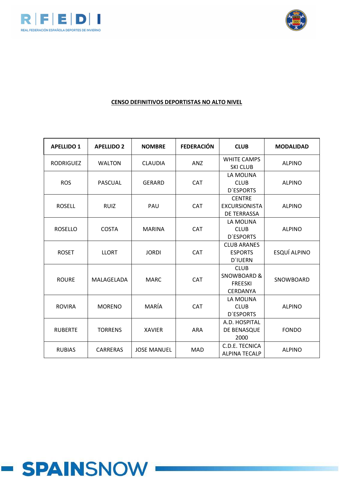



| <b>APELLIDO 1</b> | <b>APELLIDO 2</b> | <b>NOMBRE</b>      | <b>FEDERACIÓN</b> | <b>CLUB</b>                                                                | <b>MODALIDAD</b> |
|-------------------|-------------------|--------------------|-------------------|----------------------------------------------------------------------------|------------------|
| <b>RODRIGUEZ</b>  | <b>WALTON</b>     | <b>CLAUDIA</b>     | ANZ               | <b>WHITE CAMPS</b><br><b>SKI CLUB</b>                                      | <b>ALPINO</b>    |
| <b>ROS</b>        | <b>PASCUAL</b>    | <b>GERARD</b>      | <b>CAT</b>        | LA MOLINA<br><b>CLUB</b><br><b>D'ESPORTS</b>                               | <b>ALPINO</b>    |
| <b>ROSELL</b>     | <b>RUIZ</b>       | PAU                | <b>CAT</b>        | <b>CENTRE</b><br><b>EXCURSIONISTA</b><br><b>DE TERRASSA</b>                | <b>ALPINO</b>    |
| <b>ROSELLO</b>    | <b>COSTA</b>      | <b>MARINA</b>      | <b>CAT</b>        | LA MOLINA<br><b>CLUB</b><br><b>D'ESPORTS</b>                               | <b>ALPINO</b>    |
| <b>ROSET</b>      | <b>LLORT</b>      | <b>JORDI</b>       | <b>CAT</b>        | <b>CLUB ARANES</b><br><b>ESPORTS</b><br><b>D'IUERN</b>                     | ESQUÍ ALPINO     |
| <b>ROURE</b>      | MALAGELADA        | <b>MARC</b>        | CAT               | <b>CLUB</b><br><b>SNOWBOARD &amp;</b><br><b>FREESKI</b><br><b>CERDANYA</b> | SNOWBOARD        |
| <b>ROVIRA</b>     | <b>MORENO</b>     | MARÍA              | CAT               | LA MOLINA<br><b>CLUB</b><br><b>D'ESPORTS</b>                               | <b>ALPINO</b>    |
| <b>RUBERTE</b>    | <b>TORRENS</b>    | <b>XAVIER</b>      | <b>ARA</b>        | A.D. HOSPITAL<br>DE BENASQUE<br>2000                                       | <b>FONDO</b>     |
| <b>RUBIAS</b>     | <b>CARRERAS</b>   | <b>JOSE MANUEL</b> | <b>MAD</b>        | C.D.E. TECNICA<br><b>ALPINA TECALP</b>                                     | <b>ALPINO</b>    |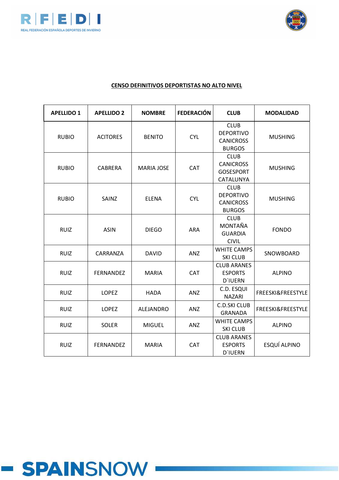



| <b>APELLIDO 1</b> | <b>APELLIDO 2</b> | <b>NOMBRE</b>     | <b>FEDERACIÓN</b> | <b>CLUB</b>                                                          | <b>MODALIDAD</b>  |
|-------------------|-------------------|-------------------|-------------------|----------------------------------------------------------------------|-------------------|
| <b>RUBIO</b>      | <b>ACITORES</b>   | <b>BENITO</b>     | <b>CYL</b>        | <b>CLUB</b><br><b>DEPORTIVO</b><br><b>CANICROSS</b><br><b>BURGOS</b> | <b>MUSHING</b>    |
| <b>RUBIO</b>      | <b>CABRERA</b>    | <b>MARIA JOSE</b> | <b>CAT</b>        | <b>CLUB</b><br><b>CANICROSS</b><br><b>GOSESPORT</b><br>CATALUNYA     | <b>MUSHING</b>    |
| <b>RUBIO</b>      | SAINZ             | <b>ELENA</b>      | <b>CYL</b>        | <b>CLUB</b><br><b>DEPORTIVO</b><br><b>CANICROSS</b><br><b>BURGOS</b> | <b>MUSHING</b>    |
| <b>RUIZ</b>       | <b>ASIN</b>       | <b>DIEGO</b>      | <b>ARA</b>        | <b>CLUB</b><br>MONTAÑA<br><b>GUARDIA</b><br><b>CIVIL</b>             | <b>FONDO</b>      |
| <b>RUIZ</b>       | CARRANZA          | <b>DAVID</b>      | ANZ               | <b>WHITE CAMPS</b><br><b>SKI CLUB</b>                                | SNOWBOARD         |
| <b>RUIZ</b>       | <b>FERNANDEZ</b>  | <b>MARIA</b>      | <b>CAT</b>        | <b>CLUB ARANES</b><br><b>ESPORTS</b><br><b>D'IUERN</b>               | <b>ALPINO</b>     |
| <b>RUIZ</b>       | <b>LOPEZ</b>      | <b>HADA</b>       | ANZ               | C.D. ESQUI<br><b>NAZARI</b>                                          | FREESKI&FREESTYLE |
| <b>RUIZ</b>       | <b>LOPEZ</b>      | ALEJANDRO         | ANZ               | <b>C.D.SKI CLUB</b><br><b>GRANADA</b>                                | FREESKI&FREESTYLE |
| <b>RUIZ</b>       | <b>SOLER</b>      | <b>MIGUEL</b>     | ANZ               | <b>WHITE CAMPS</b><br><b>SKI CLUB</b>                                | <b>ALPINO</b>     |
| <b>RUIZ</b>       | <b>FERNANDEZ</b>  | <b>MARIA</b>      | <b>CAT</b>        | <b>CLUB ARANES</b><br><b>ESPORTS</b><br><b>D'IUERN</b>               | ESQUÍ ALPINO      |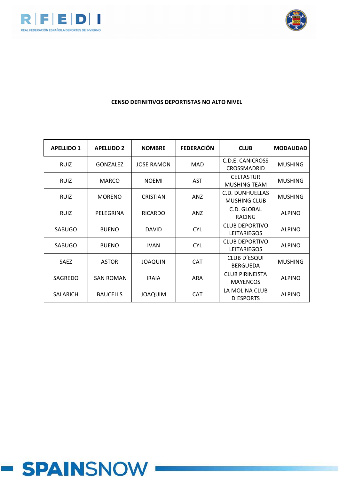



### **CENSO DEFINITIVOS DEPORTISTAS NO ALTO NIVEL**

| <b>APELLIDO 1</b> | <b>APELLIDO 2</b> | <b>NOMBRE</b>     | <b>FEDERACIÓN</b> | <b>CLUB</b>                                   | <b>MODALIDAD</b> |
|-------------------|-------------------|-------------------|-------------------|-----------------------------------------------|------------------|
| <b>RUIZ</b>       | <b>GONZALEZ</b>   | <b>JOSE RAMON</b> | <b>MAD</b>        | C.D.E. CANICROSS<br>CROSSMADRID               | <b>MUSHING</b>   |
| <b>RUIZ</b>       | <b>MARCO</b>      | <b>NOEMI</b>      | <b>AST</b>        | <b>CELTASTUR</b><br><b>MUSHING TEAM</b>       | <b>MUSHING</b>   |
| <b>RUIZ</b>       | <b>MORENO</b>     | <b>CRISTIAN</b>   | ANZ               | <b>C.D. DUNHUELLAS</b><br><b>MUSHING CLUB</b> | <b>MUSHING</b>   |
| <b>RUIZ</b>       | PELEGRINA         | <b>RICARDO</b>    | ANZ               | C.D. GLOBAL<br><b>RACING</b>                  | <b>ALPINO</b>    |
| <b>SABUGO</b>     | <b>BUENO</b>      | <b>DAVID</b>      | <b>CYL</b>        | <b>CLUB DEPORTIVO</b><br><b>LEITARIEGOS</b>   | <b>ALPINO</b>    |
| <b>SABUGO</b>     | <b>BUENO</b>      | <b>IVAN</b>       | <b>CYL</b>        | <b>CLUB DEPORTIVO</b><br><b>LEITARIEGOS</b>   | <b>ALPINO</b>    |
| <b>SAEZ</b>       | <b>ASTOR</b>      | <b>JOAQUIN</b>    | <b>CAT</b>        | <b>CLUB D'ESQUI</b><br><b>BERGUEDA</b>        | <b>MUSHING</b>   |
| SAGREDO           | <b>SAN ROMAN</b>  | <b>IRAIA</b>      | ARA               | <b>CLUB PIRINEISTA</b><br><b>MAYENCOS</b>     | <b>ALPINO</b>    |
| <b>SALARICH</b>   | <b>BAUCELLS</b>   | <b>MIUDACI</b>    | <b>CAT</b>        | LA MOLINA CLUB<br><b>D'ESPORTS</b>            | <b>ALPINO</b>    |

# **- SPAINSNOW**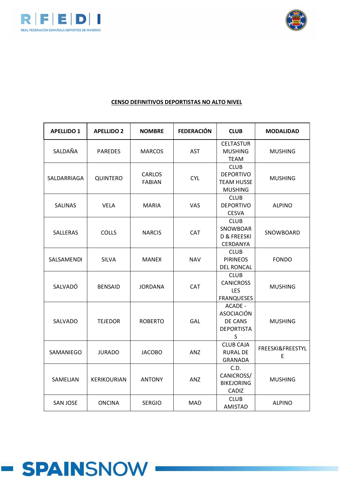



| <b>APELLIDO 1</b> | <b>APELLIDO 2</b> | <b>NOMBRE</b>                  | <b>FEDERACIÓN</b> | <b>CLUB</b>                                                            | <b>MODALIDAD</b>      |
|-------------------|-------------------|--------------------------------|-------------------|------------------------------------------------------------------------|-----------------------|
| SALDAÑA           | <b>PAREDES</b>    | <b>MARCOS</b>                  | <b>AST</b>        | <b>CELTASTUR</b><br><b>MUSHING</b><br><b>TEAM</b>                      | <b>MUSHING</b>        |
| SALDARRIAGA       | QUINTERO          | <b>CARLOS</b><br><b>FABIAN</b> | <b>CYL</b>        | <b>CLUB</b><br><b>DEPORTIVO</b><br><b>TEAM HUSSE</b><br><b>MUSHING</b> | <b>MUSHING</b>        |
| <b>SALINAS</b>    | <b>VELA</b>       | <b>MARIA</b>                   | <b>VAS</b>        | <b>CLUB</b><br><b>DEPORTIVO</b><br><b>CESVA</b>                        | <b>ALPINO</b>         |
| <b>SALLERAS</b>   | <b>COLLS</b>      | <b>NARCIS</b>                  | CAT               | <b>CLUB</b><br>SNOWBOAR<br><b>D &amp; FREESKI</b><br>CERDANYA          | SNOWBOARD             |
| SALSAMENDI        | <b>SILVA</b>      | <b>MANEX</b>                   | <b>NAV</b>        | <b>CLUB</b><br><b>PIRINEOS</b><br><b>DEL RONCAL</b>                    | <b>FONDO</b>          |
| SALVADÓ           | <b>BENSAID</b>    | <b>JORDANA</b>                 | <b>CAT</b>        | <b>CLUB</b><br><b>CANICROSS</b><br><b>LES</b><br><b>FRANQUESES</b>     | <b>MUSHING</b>        |
| SALVADO           | <b>TEJEDOR</b>    | <b>ROBERTO</b>                 | GAL               | ACADE -<br><b>ASOCIACIÓN</b><br>DE CANS<br><b>DEPORTISTA</b><br>S.     | <b>MUSHING</b>        |
| SAMANIEGO         | <b>JURADO</b>     | <b>JACOBO</b>                  | ANZ               | <b>CLUB CAJA</b><br><b>RURAL DE</b><br><b>GRANADA</b>                  | FREESKI&FREESTYL<br>E |
| SAMELIAN          | KERIKOURIAN       | <b>ANTONY</b>                  | <b>ANZ</b>        | C.D.<br>CANICROSS/<br><b>BIKEJORING</b><br>CADIZ                       | <b>MUSHING</b>        |
| <b>SAN JOSE</b>   | <b>ONCINA</b>     | <b>SERGIO</b>                  | <b>MAD</b>        | <b>CLUB</b><br><b>AMISTAD</b>                                          | <b>ALPINO</b>         |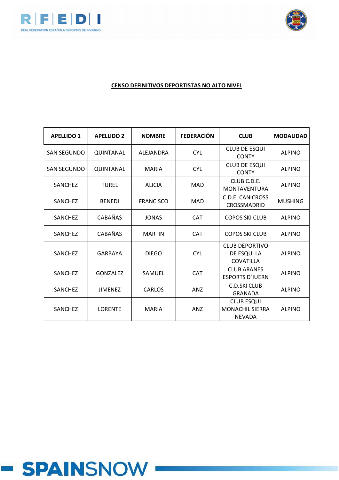



# **CENSO DEFINITIVOS DEPORTISTAS NO ALTO NIVEL**

| <b>APELLIDO 1</b>  | <b>APELLIDO 2</b> | <b>NOMBRE</b>    | <b>FEDERACIÓN</b> | <b>CLUB</b>                                                  | <b>MODALIDAD</b> |
|--------------------|-------------------|------------------|-------------------|--------------------------------------------------------------|------------------|
| <b>SAN SEGUNDO</b> | QUINTANAL         | ALEJANDRA        | <b>CYL</b>        | <b>CLUB DE ESQUI</b><br><b>CONTY</b>                         | <b>ALPINO</b>    |
| SAN SEGUNDO        | QUINTANAL         | <b>MARIA</b>     | <b>CYL</b>        | <b>CLUB DE ESQUI</b><br><b>CONTY</b>                         | <b>ALPINO</b>    |
| SANCHEZ            | <b>TUREL</b>      | <b>ALICIA</b>    | <b>MAD</b>        | CLUB C.D.E.<br><b>MONTAVENTURA</b>                           | <b>ALPINO</b>    |
| <b>SANCHEZ</b>     | <b>BENEDI</b>     | <b>FRANCISCO</b> | MAD               | C.D.E. CANICROSS<br>CROSSMADRID                              | <b>MUSHING</b>   |
| <b>SANCHEZ</b>     | CABAÑAS           | <b>JONAS</b>     | <b>CAT</b>        | <b>COPOS SKI CLUB</b>                                        | <b>ALPINO</b>    |
| <b>SANCHEZ</b>     | CABAÑAS           | <b>MARTIN</b>    | <b>CAT</b>        | <b>COPOS SKI CLUB</b>                                        | <b>ALPINO</b>    |
| <b>SANCHEZ</b>     | <b>GARBAYA</b>    | <b>DIEGO</b>     | <b>CYL</b>        | <b>CLUB DEPORTIVO</b><br>DE ESQUI LA<br>COVATILLA            | <b>ALPINO</b>    |
| <b>SANCHEZ</b>     | <b>GONZALEZ</b>   | SAMUEL           | <b>CAT</b>        | <b>CLUB ARANES</b><br><b>ESPORTS D'IUERN</b>                 | <b>ALPINO</b>    |
| <b>SANCHEZ</b>     | <b>JIMENEZ</b>    | CARLOS           | <b>ANZ</b>        | <b>C.D.SKI CLUB</b><br><b>GRANADA</b>                        | <b>ALPINO</b>    |
| SANCHEZ            | <b>LORENTE</b>    | <b>MARIA</b>     | <b>ANZ</b>        | <b>CLUB ESQUI</b><br><b>MONACHIL SIERRA</b><br><b>NEVADA</b> | <b>ALPINO</b>    |

# - SPAINSNOW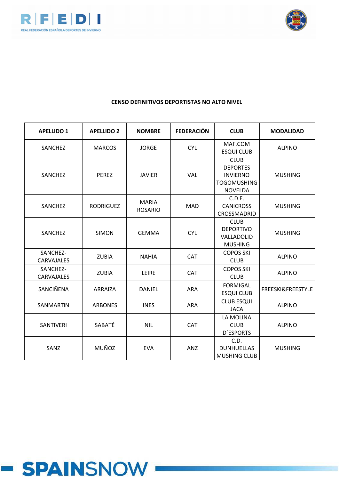



| <b>APELLIDO 1</b>      | <b>APELLIDO 2</b> | <b>NOMBRE</b>                  | <b>FEDERACIÓN</b> | <b>CLUB</b>                                                                               | <b>MODALIDAD</b>  |
|------------------------|-------------------|--------------------------------|-------------------|-------------------------------------------------------------------------------------------|-------------------|
| SANCHEZ                | <b>MARCOS</b>     | <b>JORGE</b>                   | <b>CYL</b>        | MAF.COM<br><b>ESQUI CLUB</b>                                                              | <b>ALPINO</b>     |
| SANCHEZ                | <b>PEREZ</b>      | <b>JAVIER</b>                  | VAL               | <b>CLUB</b><br><b>DEPORTES</b><br><b>INVIERNO</b><br><b>TOGOMUSHING</b><br><b>NOVELDA</b> | <b>MUSHING</b>    |
| SANCHEZ                | <b>RODRIGUEZ</b>  | <b>MARIA</b><br><b>ROSARIO</b> | <b>MAD</b>        | C.D.E.<br><b>CANICROSS</b><br>CROSSMADRID                                                 | <b>MUSHING</b>    |
| SANCHEZ                | <b>SIMON</b>      | <b>GEMMA</b>                   | <b>CYL</b>        | <b>CLUB</b><br><b>DEPORTIVO</b><br>VALLADOLID<br><b>MUSHING</b>                           | <b>MUSHING</b>    |
| SANCHEZ-<br>CARVAJALES | <b>ZUBIA</b>      | <b>NAHIA</b>                   | CAT               | <b>COPOS SKI</b><br><b>CLUB</b>                                                           | <b>ALPINO</b>     |
| SANCHEZ-<br>CARVAJALES | <b>ZUBIA</b>      | LEIRE                          | <b>CAT</b>        | <b>COPOS SKI</b><br><b>CLUB</b>                                                           | <b>ALPINO</b>     |
| SANCIÑENA              | <b>ARRAIZA</b>    | DANIEL                         | <b>ARA</b>        | <b>FORMIGAL</b><br><b>ESQUI CLUB</b>                                                      | FREESKI&FREESTYLE |
| <b>SANMARTIN</b>       | <b>ARBONES</b>    | <b>INES</b>                    | <b>ARA</b>        | <b>CLUB ESQUI</b><br><b>JACA</b>                                                          | <b>ALPINO</b>     |
| SANTIVERI              | SABATÉ            | <b>NIL</b>                     | CAT               | LA MOLINA<br><b>CLUB</b><br><b>D'ESPORTS</b>                                              | <b>ALPINO</b>     |
| SANZ                   | MUÑOZ             | <b>EVA</b>                     | ANZ               | C.D.<br><b>DUNHUELLAS</b><br><b>MUSHING CLUB</b>                                          | <b>MUSHING</b>    |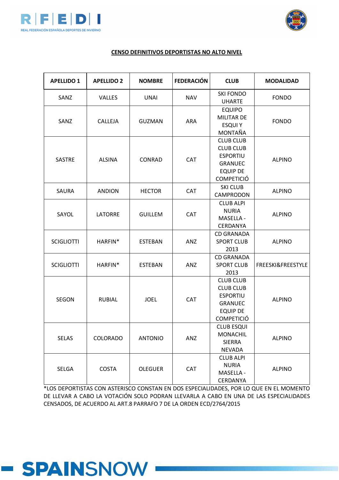



#### **CENSO DEFINITIVOS DEPORTISTAS NO ALTO NIVEL**

| <b>APELLIDO 1</b> | <b>APELLIDO 2</b> | <b>NOMBRE</b>  | <b>FEDERACIÓN</b> | <b>CLUB</b>                                                                                                       | <b>MODALIDAD</b>  |
|-------------------|-------------------|----------------|-------------------|-------------------------------------------------------------------------------------------------------------------|-------------------|
| SANZ              | VALLES            | <b>UNAI</b>    | <b>NAV</b>        | <b>SKI FONDO</b><br><b>UHARTE</b>                                                                                 | <b>FONDO</b>      |
| SANZ              | CALLEJA           | <b>GUZMAN</b>  | <b>ARA</b>        | <b>EQUIPO</b><br><b>MILITAR DE</b><br><b>ESQUI Y</b><br>MONTAÑA                                                   | <b>FONDO</b>      |
| <b>SASTRE</b>     | <b>ALSINA</b>     | CONRAD         | <b>CAT</b>        | <b>CLUB CLUB</b><br><b>CLUB CLUB</b><br><b>ESPORTIU</b><br><b>GRANUEC</b><br><b>EQUIP DE</b><br><b>COMPETICIÓ</b> | <b>ALPINO</b>     |
| SAURA             | <b>ANDION</b>     | <b>HECTOR</b>  | <b>CAT</b>        | <b>SKI CLUB</b><br>CAMPRODON                                                                                      | <b>ALPINO</b>     |
| SAYOL             | <b>LATORRE</b>    | <b>GUILLEM</b> | <b>CAT</b>        | <b>CLUB ALPI</b><br><b>NURIA</b><br>MASELLA -<br><b>CERDANYA</b>                                                  | <b>ALPINO</b>     |
| <b>SCIGLIOTTI</b> | HARFIN*           | <b>ESTEBAN</b> | ANZ               | <b>CD GRANADA</b><br><b>SPORT CLUB</b><br>2013                                                                    | <b>ALPINO</b>     |
| <b>SCIGLIOTTI</b> | HARFIN*           | <b>ESTEBAN</b> | ANZ               | <b>CD GRANADA</b><br><b>SPORT CLUB</b><br>2013                                                                    | FREESKI&FREESTYLE |
| <b>SEGON</b>      | <b>RUBIAL</b>     | <b>JOEL</b>    | CAT               | <b>CLUB CLUB</b><br><b>CLUB CLUB</b><br><b>ESPORTIU</b><br><b>GRANUEC</b><br><b>EQUIP DE</b><br><b>COMPETICIÓ</b> | <b>ALPINO</b>     |
| <b>SELAS</b>      | <b>COLORADO</b>   | <b>ANTONIO</b> | ANZ               | <b>CLUB ESQUI</b><br><b>MONACHIL</b><br><b>SIERRA</b><br><b>NEVADA</b>                                            | <b>ALPINO</b>     |
| SELGA             | <b>COSTA</b>      | <b>OLEGUER</b> | CAT               | <b>CLUB ALPI</b><br><b>NURIA</b><br>MASELLA -<br>CERDANYA                                                         | <b>ALPINO</b>     |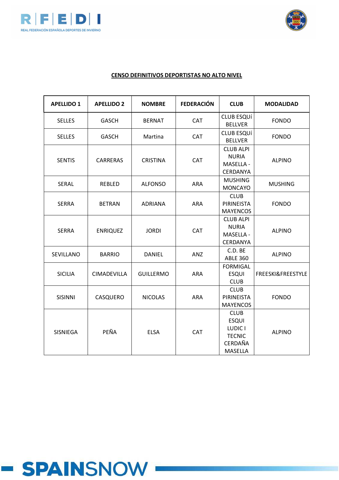



| <b>APELLIDO 1</b> | <b>APELLIDO 2</b> | <b>NOMBRE</b>    | <b>FEDERACIÓN</b> | <b>CLUB</b>                                                                          | <b>MODALIDAD</b>  |
|-------------------|-------------------|------------------|-------------------|--------------------------------------------------------------------------------------|-------------------|
| <b>SELLES</b>     | <b>GASCH</b>      | <b>BERNAT</b>    | <b>CAT</b>        | <b>CLUB ESQUÍ</b><br><b>BELLVER</b>                                                  | <b>FONDO</b>      |
| <b>SELLES</b>     | <b>GASCH</b>      | Martina          | <b>CAT</b>        | <b>CLUB ESQUÍ</b><br><b>BELLVER</b>                                                  | <b>FONDO</b>      |
| <b>SENTIS</b>     | <b>CARRERAS</b>   | <b>CRISTINA</b>  | <b>CAT</b>        | <b>CLUB ALPI</b><br><b>NURIA</b><br>MASELLA -<br>CERDANYA                            | <b>ALPINO</b>     |
| SERAL             | REBLED            | <b>ALFONSO</b>   | ARA               | <b>MUSHING</b><br><b>MONCAYO</b>                                                     | <b>MUSHING</b>    |
| <b>SERRA</b>      | <b>BETRAN</b>     | <b>ADRIANA</b>   | <b>ARA</b>        | <b>CLUB</b><br>PIRINEISTA<br><b>MAYENCOS</b>                                         | <b>FONDO</b>      |
| <b>SERRA</b>      | <b>ENRIQUEZ</b>   | <b>JORDI</b>     | CAT               | <b>CLUB ALPI</b><br><b>NURIA</b><br>MASELLA -<br>CERDANYA                            | <b>ALPINO</b>     |
| SEVILLANO         | <b>BARRIO</b>     | <b>DANIEL</b>    | ANZ               | C.D. BE<br><b>ABLE 360</b>                                                           | <b>ALPINO</b>     |
| <b>SICILIA</b>    | CIMADEVILLA       | <b>GUILLERMO</b> | <b>ARA</b>        | <b>FORMIGAL</b><br><b>ESQUI</b><br><b>CLUB</b>                                       | FREESKI&FREESTYLE |
| <b>SISINNI</b>    | CASQUERO          | <b>NICOLAS</b>   | <b>ARA</b>        | <b>CLUB</b><br>PIRINEISTA<br><b>MAYENCOS</b>                                         | <b>FONDO</b>      |
| SISNIEGA          | PEÑA              | <b>ELSA</b>      | CAT               | <b>CLUB</b><br><b>ESQUI</b><br>LUDIC I<br><b>TECNIC</b><br>CERDAÑA<br><b>MASELLA</b> | <b>ALPINO</b>     |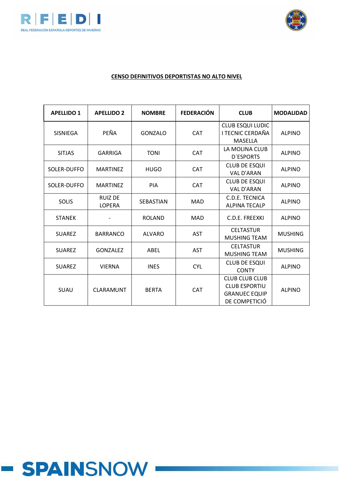



| <b>APELLIDO 1</b> | <b>APELLIDO 2</b>               | <b>NOMBRE</b>    | <b>FEDERACIÓN</b> | <b>CLUB</b>                                                                            | <b>MODALIDAD</b> |
|-------------------|---------------------------------|------------------|-------------------|----------------------------------------------------------------------------------------|------------------|
| <b>SISNIEGA</b>   | PEÑA                            | <b>GONZALO</b>   | <b>CAT</b>        | CLUB ESQUI LUDIC<br><b>I TECNIC CERDAÑA</b><br>MASELLA                                 | <b>ALPINO</b>    |
| <b>SITJAS</b>     | GARRIGA                         | <b>TONI</b>      | CAT               | LA MOLINA CLUB<br><b>D'ESPORTS</b>                                                     | <b>ALPINO</b>    |
| SOLER-DUFFO       | <b>MARTINEZ</b>                 | <b>HUGO</b>      | CAT               | <b>CLUB DE ESQUI</b><br>VAL D'ARAN                                                     | <b>ALPINO</b>    |
| SOLER-DUFFO       | <b>MARTINEZ</b>                 | PIA              | <b>CAT</b>        | <b>CLUB DE ESQUI</b><br><b>VAL D'ARAN</b>                                              | <b>ALPINO</b>    |
| <b>SOLIS</b>      | <b>RUIZ DE</b><br><b>LOPERA</b> | <b>SEBASTIAN</b> | <b>MAD</b>        | C.D.E. TECNICA<br><b>ALPINA TECALP</b>                                                 | <b>ALPINO</b>    |
| <b>STANEK</b>     |                                 | <b>ROLAND</b>    | <b>MAD</b>        | C.D.E. FREEXKI                                                                         | <b>ALPINO</b>    |
| <b>SUAREZ</b>     | <b>BARRANCO</b>                 | ALVARO           | <b>AST</b>        | <b>CELTASTUR</b><br><b>MUSHING TEAM</b>                                                | <b>MUSHING</b>   |
| <b>SUAREZ</b>     | <b>GONZALEZ</b>                 | ABEL             | <b>AST</b>        | <b>CELTASTUR</b><br><b>MUSHING TEAM</b>                                                | <b>MUSHING</b>   |
| <b>SUAREZ</b>     | <b>VIERNA</b>                   | <b>INES</b>      | <b>CYL</b>        | <b>CLUB DE ESQUI</b><br><b>CONTY</b>                                                   | <b>ALPINO</b>    |
| SUAU              | <b>CLARAMUNT</b>                | <b>BERTA</b>     | <b>CAT</b>        | <b>CLUB CLUB CLUB</b><br><b>CLUB ESPORTIU</b><br><b>GRANUEC EQUIP</b><br>DE COMPETICIÓ | <b>ALPINO</b>    |

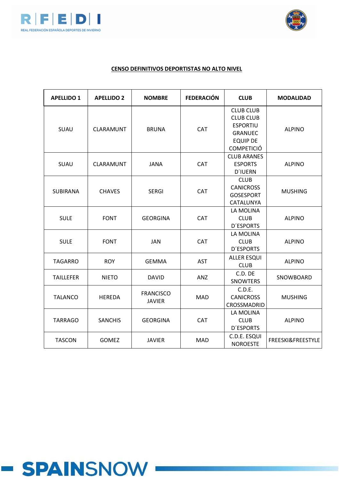



| <b>APELLIDO 1</b> | <b>APELLIDO 2</b> | <b>NOMBRE</b>                     | <b>FEDERACIÓN</b> | <b>CLUB</b>                                                                                                       | <b>MODALIDAD</b>  |
|-------------------|-------------------|-----------------------------------|-------------------|-------------------------------------------------------------------------------------------------------------------|-------------------|
| SUAU              | CLARAMUNT         | <b>BRUNA</b>                      | <b>CAT</b>        | <b>CLUB CLUB</b><br><b>CLUB CLUB</b><br><b>ESPORTIU</b><br><b>GRANUEC</b><br><b>EQUIP DE</b><br><b>COMPETICIÓ</b> | <b>ALPINO</b>     |
| SUAU              | CLARAMUNT         | <b>JANA</b>                       | CAT               | <b>CLUB ARANES</b><br><b>ESPORTS</b><br><b>D'IUERN</b>                                                            | <b>ALPINO</b>     |
| <b>SUBIRANA</b>   | <b>CHAVES</b>     | <b>SERGI</b>                      | CAT               | <b>CLUB</b><br><b>CANICROSS</b><br><b>GOSESPORT</b><br>CATALUNYA                                                  | <b>MUSHING</b>    |
| <b>SULE</b>       | <b>FONT</b>       | <b>GEORGINA</b>                   | <b>CAT</b>        | LA MOLINA<br><b>CLUB</b><br><b>D'ESPORTS</b>                                                                      | <b>ALPINO</b>     |
| <b>SULE</b>       | <b>FONT</b>       | <b>JAN</b>                        | CAT               | LA MOLINA<br><b>CLUB</b><br><b>D'ESPORTS</b>                                                                      | <b>ALPINO</b>     |
| <b>TAGARRO</b>    | <b>ROY</b>        | <b>GEMMA</b>                      | <b>AST</b>        | <b>ALLER ESQUI</b><br><b>CLUB</b>                                                                                 | <b>ALPINO</b>     |
| <b>TAILLEFER</b>  | <b>NIETO</b>      | <b>DAVID</b>                      | ANZ               | C.D. DE<br><b>SNOWTERS</b>                                                                                        | SNOWBOARD         |
| <b>TALANCO</b>    | <b>HEREDA</b>     | <b>FRANCISCO</b><br><b>JAVIER</b> | MAD               | C.D.E.<br><b>CANICROSS</b><br>CROSSMADRID                                                                         | <b>MUSHING</b>    |
| <b>TARRAGO</b>    | <b>SANCHIS</b>    | <b>GEORGINA</b>                   | CAT               | LA MOLINA<br><b>CLUB</b><br><b>D'ESPORTS</b>                                                                      | <b>ALPINO</b>     |
| <b>TASCON</b>     | <b>GOMEZ</b>      | <b>JAVIER</b>                     | <b>MAD</b>        | C.D.E. ESQUI<br><b>NOROESTE</b>                                                                                   | FREESKI&FREESTYLE |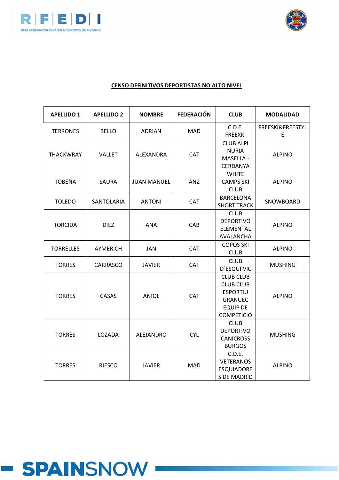



| <b>APELLIDO 1</b> | <b>APELLIDO 2</b> | <b>NOMBRE</b>      | <b>FEDERACIÓN</b> | <b>CLUB</b>                                                                                                       | <b>MODALIDAD</b>      |
|-------------------|-------------------|--------------------|-------------------|-------------------------------------------------------------------------------------------------------------------|-----------------------|
| <b>TERRONES</b>   | <b>BELLO</b>      | <b>ADRIAN</b>      | <b>MAD</b>        | C.D.E.<br><b>FREEXKI</b>                                                                                          | FREESKI&FREESTYL<br>E |
| <b>THACKWRAY</b>  | <b>VALLET</b>     | ALEXANDRA          | CAT               | <b>CLUB ALPI</b><br><b>NURIA</b><br>MASELLA -<br>CERDANYA                                                         | <b>ALPINO</b>         |
| <b>TOBEÑA</b>     | SAURA             | <b>JUAN MANUEL</b> | ANZ               | <b>WHITE</b><br><b>CAMPS SKI</b><br><b>CLUB</b>                                                                   | <b>ALPINO</b>         |
| <b>TOLEDO</b>     | SANTOLARIA        | <b>ANTONI</b>      | <b>CAT</b>        | <b>BARCELONA</b><br><b>SHORT TRACK</b>                                                                            | SNOWBOARD             |
| <b>TORCIDA</b>    | <b>DIEZ</b>       | <b>ANA</b>         | CAB               | <b>CLUB</b><br><b>DEPORTIVO</b><br>ELEMENTAL<br>AVALANCHA                                                         | <b>ALPINO</b>         |
| <b>TORRELLES</b>  | <b>AYMERICH</b>   | JAN                | <b>CAT</b>        | <b>COPOS SKI</b><br><b>CLUB</b>                                                                                   | <b>ALPINO</b>         |
| <b>TORRES</b>     | CARRASCO          | <b>JAVIER</b>      | CAT               | <b>CLUB</b><br>D'ESQUI VIC                                                                                        | <b>MUSHING</b>        |
| <b>TORRES</b>     | CASAS             | <b>ANIOL</b>       | <b>CAT</b>        | <b>CLUB CLUB</b><br><b>CLUB CLUB</b><br><b>ESPORTIU</b><br><b>GRANUEC</b><br><b>EQUIP DE</b><br><b>COMPETICIÓ</b> | <b>ALPINO</b>         |
| <b>TORRES</b>     | LOZADA            | ALEJANDRO          | <b>CYL</b>        | <b>CLUB</b><br><b>DEPORTIVO</b><br><b>CANICROSS</b><br><b>BURGOS</b>                                              | <b>MUSHING</b>        |
| <b>TORRES</b>     | <b>RIESCO</b>     | <b>JAVIER</b>      | <b>MAD</b>        | C.D.E.<br><b>VETERANOS</b><br><b>ESQUIADORE</b><br><b>S DE MADRID</b>                                             | <b>ALPINO</b>         |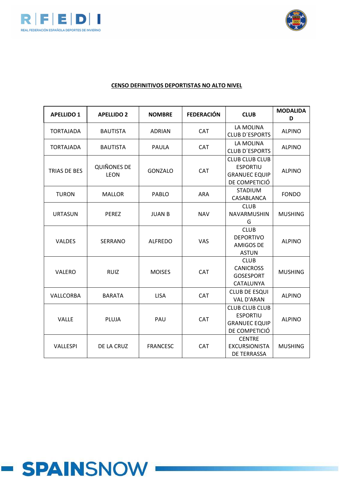



| <b>APELLIDO 1</b>   | <b>APELLIDO 2</b>                 | <b>NOMBRE</b>   | <b>FEDERACIÓN</b> | <b>CLUB</b>                                                                       | <b>MODALIDA</b><br>D |
|---------------------|-----------------------------------|-----------------|-------------------|-----------------------------------------------------------------------------------|----------------------|
| <b>TORTAJADA</b>    | <b>BAUTISTA</b>                   | <b>ADRIAN</b>   | <b>CAT</b>        | LA MOLINA<br><b>CLUB D'ESPORTS</b>                                                | <b>ALPINO</b>        |
| <b>TORTAJADA</b>    | <b>BAUTISTA</b>                   | <b>PAULA</b>    | <b>CAT</b>        | LA MOLINA<br><b>CLUB D'ESPORTS</b>                                                | <b>ALPINO</b>        |
| <b>TRIAS DE BES</b> | <b>QUIÑONES DE</b><br><b>LEON</b> | <b>GONZALO</b>  | <b>CAT</b>        | <b>CLUB CLUB CLUB</b><br><b>ESPORTIU</b><br><b>GRANUEC EQUIP</b><br>DE COMPETICIÓ | <b>ALPINO</b>        |
| <b>TURON</b>        | <b>MALLOR</b>                     | <b>PABLO</b>    | <b>ARA</b>        | <b>STADIUM</b><br>CASABLANCA                                                      | <b>FONDO</b>         |
| <b>URTASUN</b>      | <b>PEREZ</b>                      | <b>JUAN B</b>   | <b>NAV</b>        | <b>CLUB</b><br><b>NAVARMUSHIN</b><br>G                                            | <b>MUSHING</b>       |
| <b>VALDES</b>       | <b>SERRANO</b>                    | <b>ALFREDO</b>  | <b>VAS</b>        | <b>CLUB</b><br><b>DEPORTIVO</b><br><b>AMIGOS DE</b><br><b>ASTUN</b>               | <b>ALPINO</b>        |
| VALERO              | <b>RUIZ</b>                       | <b>MOISES</b>   | <b>CAT</b>        | <b>CLUB</b><br><b>CANICROSS</b><br><b>GOSESPORT</b><br>CATALUNYA                  | <b>MUSHING</b>       |
| VALLCORBA           | <b>BARATA</b>                     | <b>LISA</b>     | <b>CAT</b>        | <b>CLUB DE ESQUI</b><br><b>VAL D'ARAN</b>                                         | <b>ALPINO</b>        |
| <b>VALLE</b>        | PLUJA                             | PAU             | <b>CAT</b>        | <b>CLUB CLUB CLUB</b><br><b>ESPORTIU</b><br><b>GRANUEC EQUIP</b><br>DE COMPETICIÓ | <b>ALPINO</b>        |
| VALLESPI            | DE LA CRUZ                        | <b>FRANCESC</b> | <b>CAT</b>        | <b>CENTRE</b><br><b>EXCURSIONISTA</b><br>DE TERRASSA                              | <b>MUSHING</b>       |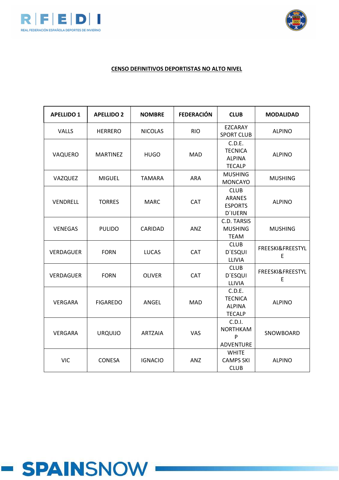



| <b>APELLIDO 1</b> | <b>APELLIDO 2</b> | <b>NOMBRE</b>  | <b>FEDERACIÓN</b> | <b>CLUB</b>                                                      | <b>MODALIDAD</b>                 |
|-------------------|-------------------|----------------|-------------------|------------------------------------------------------------------|----------------------------------|
| VALLS             | <b>HERRERO</b>    | <b>NICOLAS</b> | <b>RIO</b>        | EZCARAY<br><b>SPORT CLUB</b>                                     | <b>ALPINO</b>                    |
| VAQUERO           | <b>MARTINEZ</b>   | <b>HUGO</b>    | <b>MAD</b>        | C.D.E.<br><b>TECNICA</b><br><b>ALPINA</b><br><b>TECALP</b>       | <b>ALPINO</b>                    |
| VAZQUEZ           | <b>MIGUEL</b>     | <b>TAMARA</b>  | <b>ARA</b>        | <b>MUSHING</b><br><b>MONCAYO</b>                                 | <b>MUSHING</b>                   |
| VENDRELL          | <b>TORRES</b>     | <b>MARC</b>    | <b>CAT</b>        | <b>CLUB</b><br><b>ARANES</b><br><b>ESPORTS</b><br><b>D'IUERN</b> | <b>ALPINO</b>                    |
| <b>VENEGAS</b>    | <b>PULIDO</b>     | CARIDAD        | ANZ               | C.D. TARSIS<br><b>MUSHING</b><br><b>TEAM</b>                     | <b>MUSHING</b>                   |
| <b>VERDAGUER</b>  | <b>FORN</b>       | <b>LUCAS</b>   | <b>CAT</b>        | <b>CLUB</b><br><b>D'ESQUI</b><br>LLIVIA                          | <b>FREESKI&amp;FREESTYL</b><br>E |
| <b>VERDAGUER</b>  | <b>FORN</b>       | <b>OLIVER</b>  | <b>CAT</b>        | <b>CLUB</b><br><b>D'ESQUI</b><br>LLIVIA                          | FREESKI&FREESTYL<br>E            |
| <b>VERGARA</b>    | <b>FIGAREDO</b>   | ANGEL          | <b>MAD</b>        | C.D.E.<br><b>TECNICA</b><br><b>ALPINA</b><br><b>TECALP</b>       | <b>ALPINO</b>                    |
| <b>VERGARA</b>    | <b>URQUIJO</b>    | <b>ARTZAIA</b> | <b>VAS</b>        | C.D.I.<br><b>NORTHKAM</b><br>P<br><b>ADVENTURE</b>               | SNOWBOARD                        |
| <b>VIC</b>        | <b>CONESA</b>     | <b>IGNACIO</b> | ANZ               | <b>WHITE</b><br><b>CAMPS SKI</b><br><b>CLUB</b>                  | <b>ALPINO</b>                    |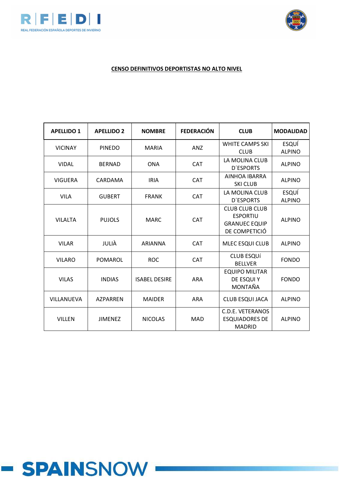



## **CENSO DEFINITIVOS DEPORTISTAS NO ALTO NIVEL**

| <b>APELLIDO 1</b> | <b>APELLIDO 2</b> | <b>NOMBRE</b>        | <b>FEDERACIÓN</b> | <b>CLUB</b>                                                                       | <b>MODALIDAD</b>       |
|-------------------|-------------------|----------------------|-------------------|-----------------------------------------------------------------------------------|------------------------|
| <b>VICINAY</b>    | <b>PINEDO</b>     | <b>MARIA</b>         | <b>ANZ</b>        | <b>WHITE CAMPS SKI</b><br><b>CLUB</b>                                             | ESQUÍ<br><b>ALPINO</b> |
| <b>VIDAL</b>      | <b>BERNAD</b>     | <b>ONA</b>           | <b>CAT</b>        | LA MOLINA CLUB<br><b>D'ESPORTS</b>                                                | <b>ALPINO</b>          |
| <b>VIGUERA</b>    | CARDAMA           | <b>IRIA</b>          | CAT               | AINHOA IBARRA<br><b>SKI CLUB</b>                                                  | <b>ALPINO</b>          |
| <b>VILA</b>       | <b>GUBERT</b>     | <b>FRANK</b>         | <b>CAT</b>        | LA MOLINA CLUB<br><b>D'ESPORTS</b>                                                | ESQUÍ<br><b>ALPINO</b> |
| <b>VILALTA</b>    | <b>PUJOLS</b>     | <b>MARC</b>          | <b>CAT</b>        | <b>CLUB CLUB CLUB</b><br><b>ESPORTIU</b><br><b>GRANUEC EQUIP</b><br>DE COMPETICIÓ | <b>ALPINO</b>          |
| <b>VILAR</b>      | JULIÀ             | <b>ARIANNA</b>       | <b>CAT</b>        | <b>MLEC ESQUI CLUB</b>                                                            | <b>ALPINO</b>          |
| <b>VILARO</b>     | POMAROL           | <b>ROC</b>           | <b>CAT</b>        | <b>CLUB ESQUÍ</b><br><b>BELLVER</b>                                               | <b>FONDO</b>           |
| <b>VILAS</b>      | <b>INDIAS</b>     | <b>ISABEL DESIRE</b> | <b>ARA</b>        | <b>EQUIPO MILITAR</b><br>DE ESQUI Y<br><b>MONTAÑA</b>                             | <b>FONDO</b>           |
| <b>VILLANUEVA</b> | <b>AZPARREN</b>   | <b>MAIDER</b>        | <b>ARA</b>        | <b>CLUB ESQUI JACA</b>                                                            | <b>ALPINO</b>          |
| <b>VILLEN</b>     | <b>JIMENEZ</b>    | <b>NICOLAS</b>       | <b>MAD</b>        | <b>C.D.E. VETERANOS</b><br><b>ESQUIADORES DE</b><br><b>MADRID</b>                 | <b>ALPINO</b>          |

# **- SPAINSNOW**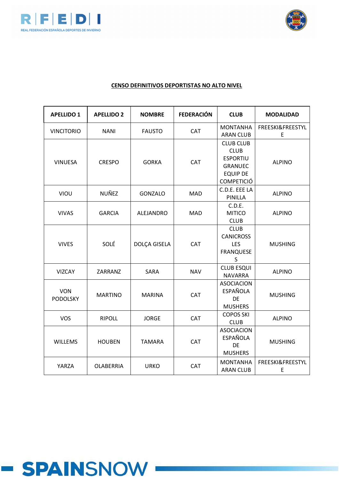



| <b>APELLIDO 1</b>             | <b>APELLIDO 2</b> | <b>NOMBRE</b>  | <b>FEDERACIÓN</b> | <b>CLUB</b>                                                                                                  | <b>MODALIDAD</b>      |
|-------------------------------|-------------------|----------------|-------------------|--------------------------------------------------------------------------------------------------------------|-----------------------|
| <b>VINCITORIO</b>             | <b>NANI</b>       | <b>FAUSTO</b>  | CAT               | <b>MONTANHA</b><br><b>ARAN CLUB</b>                                                                          | FREESKI&FREESTYL<br>E |
| <b>VINUESA</b>                | <b>CRESPO</b>     | <b>GORKA</b>   | CAT               | <b>CLUB CLUB</b><br><b>CLUB</b><br><b>ESPORTIU</b><br><b>GRANUEC</b><br><b>EQUIP DE</b><br><b>COMPETICIÓ</b> | <b>ALPINO</b>         |
| VIOU                          | NUÑEZ             | <b>GONZALO</b> | <b>MAD</b>        | C.D.E. EEE LA<br>PINILLA                                                                                     | <b>ALPINO</b>         |
| <b>VIVAS</b>                  | <b>GARCIA</b>     | ALEJANDRO      | <b>MAD</b>        | C.D.E.<br><b>MITICO</b><br><b>CLUB</b>                                                                       | <b>ALPINO</b>         |
| <b>VIVES</b>                  | SOLÉ              | DOLÇA GISELA   | CAT               | <b>CLUB</b><br><b>CANICROSS</b><br><b>LES</b><br><b>FRANQUESE</b><br>$\sf S$                                 | <b>MUSHING</b>        |
| <b>VIZCAY</b>                 | ZARRANZ           | SARA           | <b>NAV</b>        | <b>CLUB ESQUI</b><br><b>NAVARRA</b>                                                                          | <b>ALPINO</b>         |
| <b>VON</b><br><b>PODOLSKY</b> | <b>MARTINO</b>    | <b>MARINA</b>  | <b>CAT</b>        | <b>ASOCIACION</b><br><b>ESPAÑOLA</b><br>DE<br><b>MUSHERS</b>                                                 | <b>MUSHING</b>        |
| <b>VOS</b>                    | <b>RIPOLL</b>     | <b>JORGE</b>   | CAT               | <b>COPOS SKI</b><br><b>CLUB</b>                                                                              | <b>ALPINO</b>         |
| <b>WILLEMS</b>                | <b>HOUBEN</b>     | <b>TAMARA</b>  | CAT               | <b>ASOCIACION</b><br><b>ESPAÑOLA</b><br><b>DE</b><br><b>MUSHERS</b>                                          | <b>MUSHING</b>        |
| YARZA                         | <b>OLABERRIA</b>  | <b>URKO</b>    | <b>CAT</b>        | <b>MONTANHA</b><br><b>ARAN CLUB</b>                                                                          | FREESKI&FREESTYL<br>E |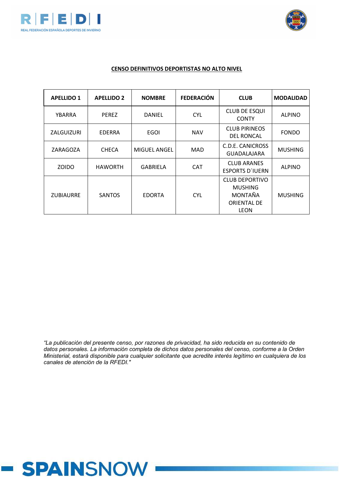



#### **CENSO DEFINITIVOS DEPORTISTAS NO ALTO NIVEL**

| <b>APELLIDO 1</b> | <b>APELLIDO 2</b> | <b>NOMBRE</b>       | <b>FEDERACIÓN</b> | <b>CLUB</b>                                                                      | <b>MODALIDAD</b> |
|-------------------|-------------------|---------------------|-------------------|----------------------------------------------------------------------------------|------------------|
| YBARRA            | <b>PEREZ</b>      | <b>DANIEL</b>       | <b>CYL</b>        | <b>CLUB DE ESQUI</b><br><b>CONTY</b>                                             | <b>ALPINO</b>    |
| ZALGUIZURI        | <b>EDERRA</b>     | <b>EGOI</b>         | <b>NAV</b>        | <b>CLUB PIRINEOS</b><br><b>DEL RONCAL</b>                                        | <b>FONDO</b>     |
| ZARAGOZA          | <b>CHECA</b>      | <b>MIGUEL ANGEL</b> | MAD               | C.D.E. CANICROSS<br>GUADALAJARA                                                  | <b>MUSHING</b>   |
| <b>ZOIDO</b>      | <b>HAWORTH</b>    | <b>GABRIELA</b>     | <b>CAT</b>        | <b>CLUB ARANES</b><br><b>ESPORTS D'IUERN</b>                                     | <b>ALPINO</b>    |
| <b>ZUBIAURRE</b>  | <b>SANTOS</b>     | <b>EDORTA</b>       | <b>CYL</b>        | <b>CLUB DEPORTIVO</b><br><b>MUSHING</b><br>MONTAÑA<br><b>ORIENTAL DE</b><br>LEON | <b>MUSHING</b>   |

*"La publicación del presente censo, por razones de privacidad, ha sido reducida en su contenido de datos personales. La información completa de dichos datos personales del censo, conforme a la Orden Ministerial, estará disponible para cualquier solicitante que acredite interés legítimo en cualquiera de los canales de atención de la RFEDI."*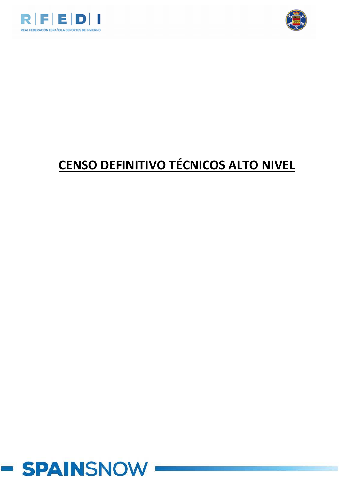



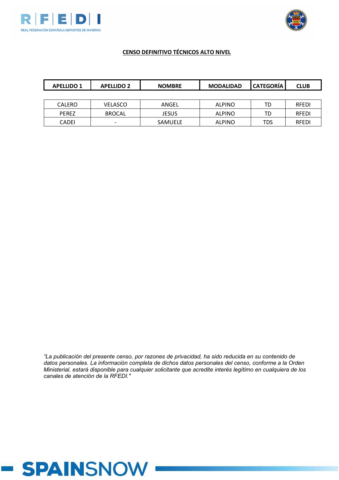



# **CENSO DEFINITIVO TÉCNICOS ALTO NIVEL**

| <b>APELLIDO 1</b> | <b>APELLIDO 2</b>        | <b>NOMBRE</b> | <b>MODALIDAD</b> | <b>CATEGORÍA</b> | <b>CLUB</b>  |
|-------------------|--------------------------|---------------|------------------|------------------|--------------|
|                   |                          |               |                  |                  |              |
| <b>CALERO</b>     | VELASCO                  | ANGEL         | <b>ALPINO</b>    | TD               | <b>RFEDI</b> |
| <b>PEREZ</b>      | <b>BROCAL</b>            | JESUS         | <b>ALPINO</b>    | TD               | <b>RFEDI</b> |
| <b>CADEI</b>      | $\overline{\phantom{0}}$ | SAMUELE       | <b>ALPINO</b>    | TDS              | <b>RFEDI</b> |

*"La publicación del presente censo, por razones de privacidad, ha sido reducida en su contenido de datos personales. La información completa de dichos datos personales del censo, conforme a la Orden Ministerial, estará disponible para cualquier solicitante que acredite interés legítimo en cualquiera de los canales de atención de la RFEDI."*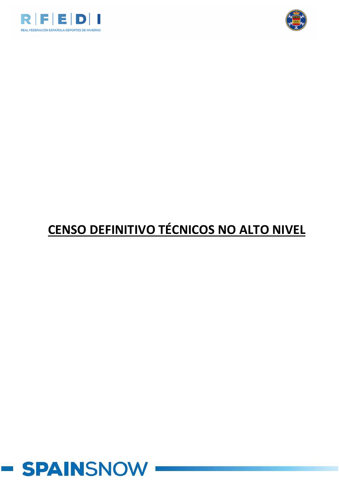



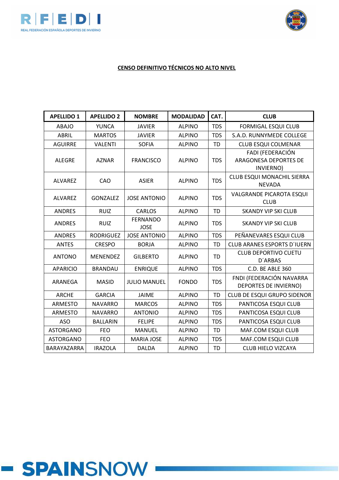



| <b>APELLIDO 1</b> | <b>APELLIDO 2</b> | <b>NOMBRE</b>                  | <b>MODALIDAD</b> | CAT.       | <b>CLUB</b>                                                   |
|-------------------|-------------------|--------------------------------|------------------|------------|---------------------------------------------------------------|
| <b>ABAJO</b>      | <b>YUNCA</b>      | <b>JAVIER</b>                  | <b>ALPINO</b>    | <b>TDS</b> | <b>FORMIGAL ESQUI CLUB</b>                                    |
| <b>ABRIL</b>      | <b>MARTOS</b>     | <b>JAVIER</b>                  | <b>ALPINO</b>    | <b>TDS</b> | S.A.D. RUNNYMEDE COLLEGE                                      |
| <b>AGUIRRE</b>    | <b>VALENTI</b>    | <b>SOFIA</b>                   | <b>ALPINO</b>    | <b>TD</b>  | <b>CLUB ESQUI COLMENAR</b>                                    |
| <b>ALEGRE</b>     | <b>AZNAR</b>      | <b>FRANCISCO</b>               | <b>ALPINO</b>    | <b>TDS</b> | FADI (FEDERACIÓN<br><b>ARAGONESA DEPORTES DE</b><br>INVIERNO) |
| ALVAREZ           | CAO               | <b>ASIER</b>                   | <b>ALPINO</b>    | <b>TDS</b> | CLUB ESQUI MONACHIL SIERRA<br><b>NEVADA</b>                   |
| <b>ALVAREZ</b>    | <b>GONZALEZ</b>   | <b>JOSE ANTONIO</b>            | <b>ALPINO</b>    | <b>TDS</b> | <b>VALGRANDE PICAROTA ESQUI</b><br><b>CLUB</b>                |
| <b>ANDRES</b>     | <b>RUIZ</b>       | <b>CARLOS</b>                  | <b>ALPINO</b>    | <b>TD</b>  | <b>SKANDY VIP SKI CLUB</b>                                    |
| <b>ANDRES</b>     | <b>RUIZ</b>       | <b>FERNANDO</b><br><b>JOSE</b> | <b>ALPINO</b>    | <b>TDS</b> | <b>SKANDY VIP SKI CLUB</b>                                    |
| <b>ANDRES</b>     | <b>RODRIGUEZ</b>  | <b>JOSE ANTONIO</b>            | <b>ALPINO</b>    | <b>TDS</b> | PEÑANEVARES ESQUI CLUB                                        |
| <b>ANTES</b>      | <b>CRESPO</b>     | <b>BORJA</b>                   | <b>ALPINO</b>    | <b>TD</b>  | <b>CLUB ARANES ESPORTS D'IUERN</b>                            |
| <b>ANTONO</b>     | <b>MENENDEZ</b>   | <b>GILBERTO</b>                | <b>ALPINO</b>    | TD         | <b>CLUB DEPORTIVO CUETU</b><br><b>D'ARBAS</b>                 |
| <b>APARICIO</b>   | <b>BRANDAU</b>    | <b>ENRIQUE</b>                 | <b>ALPINO</b>    | <b>TDS</b> | C.D. BE ABLE 360                                              |
| ARANEGA           | <b>MASID</b>      | <b>JULIO MANUEL</b>            | <b>FONDO</b>     | <b>TDS</b> | FNDI (FEDERACIÓN NAVARRA<br>DEPORTES DE INVIERNO)             |
| <b>ARCHE</b>      | <b>GARCIA</b>     | <b>JAIME</b>                   | <b>ALPINO</b>    | <b>TD</b>  | CLUB DE ESQUI GRUPO SIDENOR                                   |
| <b>ARMESTO</b>    | <b>NAVARRO</b>    | <b>MARCOS</b>                  | <b>ALPINO</b>    | <b>TDS</b> | PANTICOSA ESQUI CLUB                                          |
| <b>ARMESTO</b>    | <b>NAVARRO</b>    | <b>ANTONIO</b>                 | <b>ALPINO</b>    | <b>TDS</b> | PANTICOSA ESQUI CLUB                                          |
| <b>ASO</b>        | <b>BALLARIN</b>   | <b>FELIPE</b>                  | <b>ALPINO</b>    | <b>TDS</b> | PANTICOSA ESQUI CLUB                                          |
| <b>ASTORGANO</b>  | <b>FEO</b>        | <b>MANUEL</b>                  | <b>ALPINO</b>    | <b>TD</b>  | MAF.COM ESQUI CLUB                                            |
| <b>ASTORGANO</b>  | <b>FEO</b>        | <b>MARIA JOSE</b>              | <b>ALPINO</b>    | <b>TDS</b> | MAF.COM ESQUI CLUB                                            |
| BARAYAZARRA       | <b>IRAZOLA</b>    | <b>DALDA</b>                   | <b>ALPINO</b>    | <b>TD</b>  | <b>CLUB HIELO VIZCAYA</b>                                     |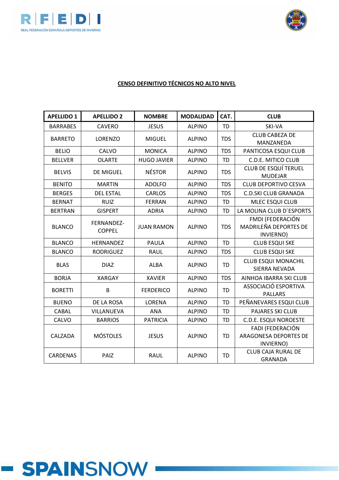



| <b>APELLIDO 1</b> | <b>APELLIDO 2</b>           | <b>NOMBRE</b>      | <b>MODALIDAD</b> | CAT.       | <b>CLUB</b>                                            |
|-------------------|-----------------------------|--------------------|------------------|------------|--------------------------------------------------------|
| <b>BARRABES</b>   | <b>CAVERO</b>               | <b>JESUS</b>       | <b>ALPINO</b>    | <b>TD</b>  | SKI-VA                                                 |
| <b>BARRETO</b>    | LORENZO                     | <b>MIGUEL</b>      | <b>ALPINO</b>    | <b>TDS</b> | <b>CLUB CABEZA DE</b><br>MANZANEDA                     |
| <b>BELIO</b>      | CALVO                       | <b>MONICA</b>      | <b>ALPINO</b>    | <b>TDS</b> | PANTICOSA ESQUI CLUB                                   |
| <b>BELLVER</b>    | <b>OLARTE</b>               | <b>HUGO JAVIER</b> | <b>ALPINO</b>    | <b>TD</b>  | C.D.E. MITICO CLUB                                     |
| <b>BELVIS</b>     | DE MIGUEL                   | <b>NÉSTOR</b>      | <b>ALPINO</b>    | <b>TDS</b> | <b>CLUB DE ESQUÍ TERUEL</b><br><b>MUDEJAR</b>          |
| <b>BENITO</b>     | <b>MARTIN</b>               | <b>ADOLFO</b>      | <b>ALPINO</b>    | <b>TDS</b> | <b>CLUB DEPORTIVO CESVA</b>                            |
| <b>BERGES</b>     | <b>DEL ESTAL</b>            | <b>CARLOS</b>      | <b>ALPINO</b>    | <b>TDS</b> | <b>C.D.SKI CLUB GRANADA</b>                            |
| <b>BERNAT</b>     | <b>RUIZ</b>                 | <b>FERRAN</b>      | <b>ALPINO</b>    | <b>TD</b>  | MLEC ESQUI CLUB                                        |
| <b>BERTRAN</b>    | <b>GISPERT</b>              | <b>ADRIA</b>       | <b>ALPINO</b>    | <b>TD</b>  | LA MOLINA CLUB D'ESPORTS                               |
| <b>BLANCO</b>     | FERNANDEZ-<br><b>COPPEL</b> | <b>JUAN RAMON</b>  | <b>ALPINO</b>    | <b>TDS</b> | FMDI (FEDERACIÓN<br>MADRILEÑA DEPORTES DE<br>INVIERNO) |
| <b>BLANCO</b>     | <b>HERNANDEZ</b>            | <b>PAULA</b>       | <b>ALPINO</b>    | <b>TD</b>  | <b>CLUB ESQUI SKE</b>                                  |
| <b>BLANCO</b>     | <b>RODRIGUEZ</b>            | <b>RAUL</b>        | <b>ALPINO</b>    | <b>TDS</b> | <b>CLUB ESQUI SKE</b>                                  |
| <b>BLAS</b>       | <b>DIAZ</b>                 | <b>ALBA</b>        | <b>ALPINO</b>    | <b>TD</b>  | <b>CLUB ESQUI MONACHIL</b><br>SIERRA NEVADA            |
| <b>BORJA</b>      | <b>XARGAY</b>               | <b>XAVIER</b>      | <b>ALPINO</b>    | <b>TDS</b> | AINHOA IBARRA SKI CLUB                                 |
| <b>BORETTI</b>    | B                           | <b>FERDERICO</b>   | <b>ALPINO</b>    | <b>TD</b>  | ASSOCIACIÓ ESPORTIVA<br><b>PALLARS</b>                 |
| <b>BUENO</b>      | DE LA ROSA                  | LORENA             | <b>ALPINO</b>    | <b>TD</b>  | PEÑANEVARES ESQUI CLUB                                 |
| CABAL             | VILLANUEVA                  | <b>ANA</b>         | <b>ALPINO</b>    | <b>TD</b>  | <b>PAJARES SKI CLUB</b>                                |
| CALVO             | <b>BARRIOS</b>              | <b>PATRICIA</b>    | <b>ALPINO</b>    | <b>TD</b>  | <b>C.D.E. ESQUI NOROESTE</b>                           |
| CALZADA           | <b>MÓSTOLES</b>             | <b>JESUS</b>       | <b>ALPINO</b>    | <b>TD</b>  | FADI (FEDERACIÓN<br>ARAGONESA DEPORTES DE<br>INVIERNO) |
| CARDENAS          | PAIZ                        | <b>RAUL</b>        | <b>ALPINO</b>    | <b>TD</b>  | <b>CLUB CAJA RURAL DE</b><br><b>GRANADA</b>            |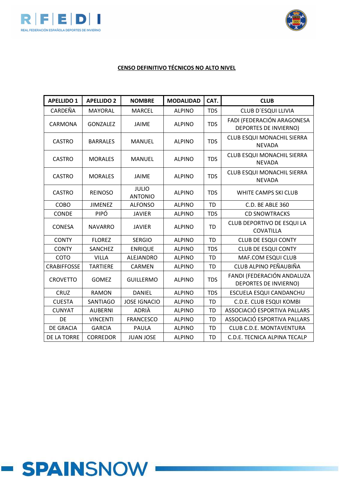



| <b>APELLIDO 1</b>  | <b>APELLIDO 2</b> | <b>NOMBRE</b>                  | <b>MODALIDAD</b> | CAT.       | <b>CLUB</b>                                                |
|--------------------|-------------------|--------------------------------|------------------|------------|------------------------------------------------------------|
| CARDEÑA            | <b>MAYORAL</b>    | <b>MARCEL</b>                  | <b>ALPINO</b>    | <b>TDS</b> | CLUB D'ESQUI LLIVIA                                        |
| CARMONA            | <b>GONZALEZ</b>   | <b>JAIME</b>                   | <b>ALPINO</b>    | <b>TDS</b> | FADI (FEDERACIÓN ARAGONESA<br><b>DEPORTES DE INVIERNO)</b> |
| <b>CASTRO</b>      | <b>BARRALES</b>   | <b>MANUEL</b>                  | <b>ALPINO</b>    | <b>TDS</b> | CLUB ESQUI MONACHIL SIERRA<br><b>NEVADA</b>                |
| <b>CASTRO</b>      | <b>MORALES</b>    | <b>MANUEL</b>                  | <b>ALPINO</b>    | <b>TDS</b> | CLUB ESQUI MONACHIL SIERRA<br><b>NEVADA</b>                |
| <b>CASTRO</b>      | <b>MORALES</b>    | <b>JAIME</b>                   | <b>ALPINO</b>    | <b>TDS</b> | CLUB ESQUI MONACHIL SIERRA<br><b>NEVADA</b>                |
| <b>CASTRO</b>      | <b>REINOSO</b>    | <b>JULIO</b><br><b>ANTONIO</b> | <b>ALPINO</b>    | <b>TDS</b> | WHITE CAMPS SKI CLUB                                       |
| COBO               | <b>JIMENEZ</b>    | <b>ALFONSO</b>                 | <b>ALPINO</b>    | <b>TD</b>  | C.D. BE ABLE 360                                           |
| CONDE              | PIPÓ              | <b>JAVIER</b>                  | <b>ALPINO</b>    | <b>TDS</b> | <b>CD SNOWTRACKS</b>                                       |
| <b>CONESA</b>      | <b>NAVARRO</b>    | <b>JAVIER</b>                  | <b>ALPINO</b>    | <b>TD</b>  | CLUB DEPORTIVO DE ESQUI LA<br><b>COVATILLA</b>             |
| <b>CONTY</b>       | <b>FLOREZ</b>     | <b>SERGIO</b>                  | <b>ALPINO</b>    | <b>TD</b>  | <b>CLUB DE ESQUI CONTY</b>                                 |
| <b>CONTY</b>       | SANCHEZ           | <b>ENRIQUE</b>                 | <b>ALPINO</b>    | <b>TDS</b> | <b>CLUB DE ESQUI CONTY</b>                                 |
| COTO               | <b>VILLA</b>      | <b>ALEJANDRO</b>               | <b>ALPINO</b>    | TD         | MAF.COM ESQUI CLUB                                         |
| <b>CRABIFFOSSE</b> | <b>TARTIERE</b>   | CARMEN                         | <b>ALPINO</b>    | <b>TD</b>  | CLUB ALPINO PEÑAUBIÑA                                      |
| <b>CROVETTO</b>    | <b>GOMEZ</b>      | <b>GUILLERMO</b>               | <b>ALPINO</b>    | <b>TDS</b> | FANDI (FEDERACIÓN ANDALUZA<br><b>DEPORTES DE INVIERNO)</b> |
| <b>CRUZ</b>        | <b>RAMON</b>      | <b>DANIEL</b>                  | <b>ALPINO</b>    | <b>TDS</b> | ESCUELA ESQUI CANDANCHU                                    |
| <b>CUESTA</b>      | <b>SANTIAGO</b>   | <b>JOSE IGNACIO</b>            | <b>ALPINO</b>    | <b>TD</b>  | C.D.E. CLUB ESQUI KOMBI                                    |
| <b>CUNYAT</b>      | <b>AUBERNI</b>    | ADRIÀ                          | <b>ALPINO</b>    | <b>TD</b>  | ASSOCIACIÓ ESPORTIVA PALLARS                               |
| DE                 | <b>VINCENTI</b>   | <b>FRANCESCO</b>               | <b>ALPINO</b>    | <b>TD</b>  | ASSOCIACIÓ ESPORTIVA PALLARS                               |
| <b>DE GRACIA</b>   | <b>GARCIA</b>     | <b>PAULA</b>                   | <b>ALPINO</b>    | <b>TD</b>  | CLUB C.D.E. MONTAVENTURA                                   |
| DE LA TORRE        | <b>CORREDOR</b>   | <b>JUAN JOSE</b>               | <b>ALPINO</b>    | <b>TD</b>  | C.D.E. TECNICA ALPINA TECALP                               |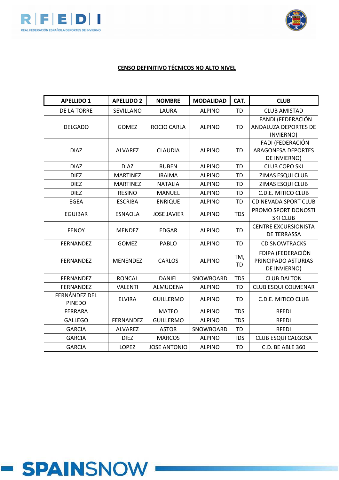



| <b>APELLIDO 1</b>              | <b>APELLIDO 2</b> | <b>NOMBRE</b>       | <b>MODALIDAD</b> | CAT.             | <b>CLUB</b>                                                   |
|--------------------------------|-------------------|---------------------|------------------|------------------|---------------------------------------------------------------|
| DE LA TORRE                    | SEVILLANO         | LAURA               | <b>ALPINO</b>    | <b>TD</b>        | <b>CLUB AMISTAD</b>                                           |
| <b>DELGADO</b>                 | <b>GOMEZ</b>      | ROCIO CARLA         | <b>ALPINO</b>    | <b>TD</b>        | FANDI (FEDERACIÓN<br>ANDALUZA DEPORTES DE<br>INVIERNO)        |
| <b>DIAZ</b>                    | <b>ALVAREZ</b>    | <b>CLAUDIA</b>      | <b>ALPINO</b>    | <b>TD</b>        | FADI (FEDERACIÓN<br><b>ARAGONESA DEPORTES</b><br>DE INVIERNO) |
| <b>DIAZ</b>                    | <b>DIAZ</b>       | <b>RUBEN</b>        | <b>ALPINO</b>    | <b>TD</b>        | <b>CLUB COPO SKI</b>                                          |
| <b>DIEZ</b>                    | <b>MARTINEZ</b>   | <b>IRAIMA</b>       | <b>ALPINO</b>    | TD               | ZIMAS ESQUI CLUB                                              |
| <b>DIEZ</b>                    | <b>MARTINEZ</b>   | <b>NATALIA</b>      | <b>ALPINO</b>    | <b>TD</b>        | ZIMAS ESQUI CLUB                                              |
| <b>DIEZ</b>                    | <b>RESINO</b>     | <b>MANUEL</b>       | <b>ALPINO</b>    | TD               | C.D.E. MITICO CLUB                                            |
| <b>EGEA</b>                    | <b>ESCRIBA</b>    | <b>ENRIQUE</b>      | <b>ALPINO</b>    | <b>TD</b>        | CD NEVADA SPORT CLUB                                          |
| <b>EGUIBAR</b>                 | <b>ESNAOLA</b>    | <b>JOSE JAVIER</b>  | <b>ALPINO</b>    | <b>TDS</b>       | PROMO SPORT DONOSTI<br><b>SKI CLUB</b>                        |
| <b>FENOY</b>                   | <b>MENDEZ</b>     | <b>EDGAR</b>        | <b>ALPINO</b>    | <b>TD</b>        | <b>CENTRE EXCURSIONISTA</b><br>DE TERRASSA                    |
| <b>FERNANDEZ</b>               | GOMEZ             | PABLO               | <b>ALPINO</b>    | <b>TD</b>        | <b>CD SNOWTRACKS</b>                                          |
| <b>FERNANDEZ</b>               | <b>MENENDEZ</b>   | <b>CARLOS</b>       | <b>ALPINO</b>    | TM,<br><b>TD</b> | FDIPA (FEDERACIÓN<br>PRINCIPADO ASTURIAS<br>DE INVIERNO)      |
| <b>FERNANDEZ</b>               | <b>RONCAL</b>     | <b>DANIEL</b>       | SNOWBOARD        | <b>TDS</b>       | <b>CLUB DALTON</b>                                            |
| <b>FERNANDEZ</b>               | <b>VALENTI</b>    | ALMUDENA            | <b>ALPINO</b>    | <b>TD</b>        | CLUB ESQUI COLMENAR                                           |
| FERNÁNDEZ DEL<br><b>PINEDO</b> | <b>ELVIRA</b>     | <b>GUILLERMO</b>    | <b>ALPINO</b>    | <b>TD</b>        | C.D.E. MITICO CLUB                                            |
| <b>FERRARA</b>                 |                   | <b>MATEO</b>        | <b>ALPINO</b>    | <b>TDS</b>       | <b>RFEDI</b>                                                  |
| <b>GALLEGO</b>                 | FERNANDEZ         | <b>GUILLERMO</b>    | <b>ALPINO</b>    | <b>TDS</b>       | <b>RFEDI</b>                                                  |
| <b>GARCIA</b>                  | <b>ALVAREZ</b>    | <b>ASTOR</b>        | SNOWBOARD        | <b>TD</b>        | <b>RFEDI</b>                                                  |
| <b>GARCIA</b>                  | <b>DIEZ</b>       | <b>MARCOS</b>       | <b>ALPINO</b>    | <b>TDS</b>       | <b>CLUB ESQUI CALGOSA</b>                                     |
| <b>GARCIA</b>                  | <b>LOPEZ</b>      | <b>JOSE ANTONIO</b> | <b>ALPINO</b>    | <b>TD</b>        | C.D. BE ABLE 360                                              |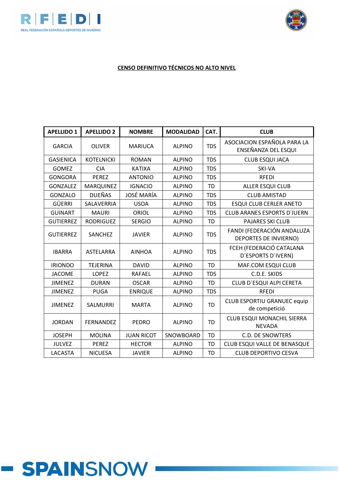



| <b>APELLIDO 1</b> | <b>APELLIDO 2</b> | <b>NOMBRE</b>     | <b>MODALIDAD</b> | CAT.       | <b>CLUB</b>                                         |
|-------------------|-------------------|-------------------|------------------|------------|-----------------------------------------------------|
| <b>GARCIA</b>     | <b>OLIVER</b>     | <b>MARIUCA</b>    | <b>ALPINO</b>    | <b>TDS</b> | ASOCIACION ESPAÑOLA PARA LA<br>ENSEÑANZA DEL ESQUI  |
| <b>GASIENICA</b>  | <b>KOTELNICKI</b> | <b>ROMAN</b>      | <b>ALPINO</b>    | <b>TDS</b> | <b>CLUB ESQUI JACA</b>                              |
| <b>GOMEZ</b>      | <b>CIA</b>        | <b>KATIXA</b>     | <b>ALPINO</b>    | <b>TDS</b> | SKI-VA                                              |
| <b>GONGORA</b>    | <b>PEREZ</b>      | <b>ANTONIO</b>    | <b>ALPINO</b>    | <b>TDS</b> | <b>RFEDI</b>                                        |
| <b>GONZALEZ</b>   | <b>MARQUINEZ</b>  | <b>IGNACIO</b>    | <b>ALPINO</b>    | <b>TD</b>  | <b>ALLER ESQUI CLUB</b>                             |
| GONZALO           | <b>DUEÑAS</b>     | <b>JOSÉ MARÍA</b> | <b>ALPINO</b>    | <b>TDS</b> | <b>CLUB AMISTAD</b>                                 |
| <b>GÜERRI</b>     | SALAVERRIA        | <b>USOA</b>       | <b>ALPINO</b>    | <b>TDS</b> | <b>ESQUI CLUB CERLER ANETO</b>                      |
| <b>GUINART</b>    | <b>MAURI</b>      | <b>ORIOL</b>      | <b>ALPINO</b>    | <b>TDS</b> | <b>CLUB ARANES ESPORTS D'IUERN</b>                  |
| <b>GUTIERREZ</b>  | <b>RODRIGUEZ</b>  | <b>SERGIO</b>     | <b>ALPINO</b>    | <b>TD</b>  | <b>PAJARES SKI CLUB</b>                             |
| <b>GUTIERREZ</b>  | SANCHEZ           | <b>JAVIER</b>     | <b>ALPINO</b>    | <b>TDS</b> | FANDI (FEDERACIÓN ANDALUZA<br>DEPORTES DE INVIERNO) |
| <b>IBARRA</b>     | ASTELARRA         | <b>AINHOA</b>     | <b>ALPINO</b>    | <b>TDS</b> | FCEH (FEDERACIÓ CATALANA<br>D'ESPORTS D'IVERN)      |
| <b>IRIONDO</b>    | <b>TEJERINA</b>   | <b>DAVID</b>      | <b>ALPINO</b>    | <b>TD</b>  | MAF.COM ESQUI CLUB                                  |
| <b>JACOME</b>     | <b>LOPEZ</b>      | <b>RAFAEL</b>     | <b>ALPINO</b>    | <b>TDS</b> | C.D.E. SKIDS                                        |
| <b>JIMENEZ</b>    | <b>DURAN</b>      | <b>OSCAR</b>      | <b>ALPINO</b>    | <b>TD</b>  | CLUB D'ESQUI ALPI CERETA                            |
| <b>JIMENEZ</b>    | <b>PUGA</b>       | <b>ENRIQUE</b>    | <b>ALPINO</b>    | <b>TDS</b> | <b>RFEDI</b>                                        |
| <b>JIMENEZ</b>    | SALMURRI          | <b>MARTA</b>      | <b>ALPINO</b>    | <b>TD</b>  | <b>CLUB ESPORTIU GRANUEC equip</b><br>de competició |
| <b>JORDAN</b>     | <b>FERNANDEZ</b>  | <b>PEDRO</b>      | <b>ALPINO</b>    | <b>TD</b>  | CLUB ESQUI MONACHIL SIERRA<br><b>NEVADA</b>         |
| <b>JOSEPH</b>     | <b>MOLINA</b>     | <b>JUAN RICOT</b> | SNOWBOARD        | <b>TD</b>  | <b>C.D. DE SNOWTERS</b>                             |
| <b>JULVEZ</b>     | <b>PEREZ</b>      | <b>HECTOR</b>     | <b>ALPINO</b>    | TD         | CLUB ESQUI VALLE DE BENASQUE                        |
| LACASTA           | <b>NICUESA</b>    | <b>JAVIER</b>     | <b>ALPINO</b>    | TD         | <b>CLUB DEPORTIVO CESVA</b>                         |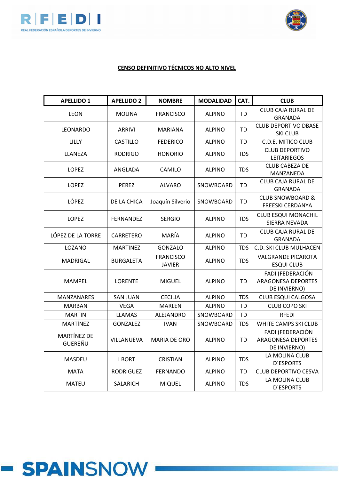



| <b>APELLIDO 1</b>             | <b>APELLIDO 2</b> | <b>NOMBRE</b>                     | <b>MODALIDAD</b> | CAT.       | <b>CLUB</b>                                                   |
|-------------------------------|-------------------|-----------------------------------|------------------|------------|---------------------------------------------------------------|
| <b>LEON</b>                   | <b>MOLINA</b>     | <b>FRANCISCO</b>                  | <b>ALPINO</b>    | <b>TD</b>  | <b>CLUB CAJA RURAL DE</b><br><b>GRANADA</b>                   |
| <b>LEONARDO</b>               | <b>ARRIVI</b>     | <b>MARIANA</b>                    | <b>ALPINO</b>    | <b>TD</b>  | <b>CLUB DEPORTIVO DBASE</b><br><b>SKI CLUB</b>                |
| <b>LILLY</b>                  | <b>CASTILLO</b>   | <b>FEDERICO</b>                   | <b>ALPINO</b>    | TD         | C.D.E. MITICO CLUB                                            |
| LLANEZA                       | <b>RODRIGO</b>    | <b>HONORIO</b>                    | <b>ALPINO</b>    | <b>TDS</b> | <b>CLUB DEPORTIVO</b><br><b>LEITARIEGOS</b>                   |
| <b>LOPEZ</b>                  | ANGLADA           | CAMILO                            | <b>ALPINO</b>    | <b>TDS</b> | <b>CLUB CABEZA DE</b><br>MANZANEDA                            |
| <b>LOPEZ</b>                  | <b>PEREZ</b>      | <b>ALVARO</b>                     | SNOWBOARD        | TD         | CLUB CAJA RURAL DE<br><b>GRANADA</b>                          |
| LÓPEZ                         | DE LA CHICA       | Joaquín Silverio                  | SNOWBOARD        | <b>TD</b>  | <b>CLUB SNOWBOARD &amp;</b><br><b>FREESKI CERDANYA</b>        |
| LOPEZ                         | FERNANDEZ         | <b>SERGIO</b>                     | <b>ALPINO</b>    | <b>TDS</b> | <b>CLUB ESQUI MONACHIL</b><br>SIERRA NEVADA                   |
| LÓPEZ DE LA TORRE             | CARRETERO         | MARÍA                             | <b>ALPINO</b>    | <b>TD</b>  | <b>CLUB CAJA RURAL DE</b><br><b>GRANADA</b>                   |
| LOZANO                        | <b>MARTINEZ</b>   | <b>GONZALO</b>                    | <b>ALPINO</b>    | <b>TDS</b> | C.D. SKI CLUB MULHACEN                                        |
| <b>MADRIGAL</b>               | <b>BURGALETA</b>  | <b>FRANCISCO</b><br><b>JAVIER</b> | <b>ALPINO</b>    | <b>TDS</b> | <b>VALGRANDE PICAROTA</b><br><b>ESQUI CLUB</b>                |
| MAMPEL                        | <b>LORENTE</b>    | <b>MIGUEL</b>                     | <b>ALPINO</b>    | TD         | FADI (FEDERACIÓN<br><b>ARAGONESA DEPORTES</b><br>DE INVIERNO) |
| MANZANARES                    | <b>SAN JUAN</b>   | <b>CECILIA</b>                    | <b>ALPINO</b>    | <b>TDS</b> | <b>CLUB ESQUI CALGOSA</b>                                     |
| MARBAN                        | <b>VEGA</b>       | <b>MARLEN</b>                     | <b>ALPINO</b>    | <b>TD</b>  | <b>CLUB COPO SKI</b>                                          |
| <b>MARTIN</b>                 | <b>LLAMAS</b>     | ALEJANDRO                         | SNOWBOARD        | <b>TD</b>  | <b>RFEDI</b>                                                  |
| MARTÍNEZ                      | GONZALEZ          | <b>IVAN</b>                       | SNOWBOARD        | <b>TDS</b> | WHITE CAMPS SKI CLUB                                          |
| MARTÍNEZ DE<br><b>GUEREÑU</b> | VILLANUEVA        | <b>MARIA DE ORO</b>               | <b>ALPINO</b>    | <b>TD</b>  | FADI (FEDERACIÓN<br><b>ARAGONESA DEPORTES</b><br>DE INVIERNO) |
| MASDEU                        | <b>I BORT</b>     | <b>CRISTIAN</b>                   | <b>ALPINO</b>    | <b>TDS</b> | LA MOLINA CLUB<br><b>D'ESPORTS</b>                            |
| <b>MATA</b>                   | <b>RODRIGUEZ</b>  | <b>FERNANDO</b>                   | <b>ALPINO</b>    | <b>TD</b>  | <b>CLUB DEPORTIVO CESVA</b>                                   |
| <b>MATEU</b>                  | <b>SALARICH</b>   | <b>MIQUEL</b>                     | <b>ALPINO</b>    | <b>TDS</b> | LA MOLINA CLUB<br><b>D'ESPORTS</b>                            |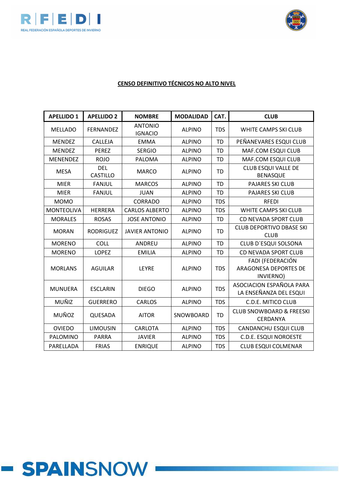



| <b>APELLIDO 1</b> | <b>APELLIDO 2</b>             | <b>NOMBRE</b>                    | <b>MODALIDAD</b> | CAT.       | <b>CLUB</b>                                                   |
|-------------------|-------------------------------|----------------------------------|------------------|------------|---------------------------------------------------------------|
| <b>MELLADO</b>    | <b>FERNANDEZ</b>              | <b>ANTONIO</b><br><b>IGNACIO</b> | <b>ALPINO</b>    | <b>TDS</b> | WHITE CAMPS SKI CLUB                                          |
| <b>MENDEZ</b>     | CALLEJA                       | <b>EMMA</b>                      | <b>ALPINO</b>    | <b>TD</b>  | PEÑANEVARES ESQUI CLUB                                        |
| <b>MENDEZ</b>     | <b>PEREZ</b>                  | <b>SERGIO</b>                    | <b>ALPINO</b>    | <b>TD</b>  | MAF.COM ESQUI CLUB                                            |
| <b>MENENDEZ</b>   | <b>ROJO</b>                   | <b>PALOMA</b>                    | <b>ALPINO</b>    | <b>TD</b>  | MAF.COM ESQUI CLUB                                            |
| <b>MESA</b>       | <b>DEL</b><br><b>CASTILLO</b> | <b>MARCO</b>                     | <b>ALPINO</b>    | <b>TD</b>  | <b>CLUB ESQUI VALLE DE</b><br><b>BENASQUE</b>                 |
| <b>MIER</b>       | <b>FANJUL</b>                 | <b>MARCOS</b>                    | <b>ALPINO</b>    | <b>TD</b>  | <b>PAJARES SKI CLUB</b>                                       |
| <b>MIER</b>       | <b>FANJUL</b>                 | <b>JUAN</b>                      | <b>ALPINO</b>    | <b>TD</b>  | <b>PAJARES SKI CLUB</b>                                       |
| <b>MOMO</b>       |                               | <b>CORRADO</b>                   | <b>ALPINO</b>    | <b>TDS</b> | <b>RFEDI</b>                                                  |
| <b>MONTEOLIVA</b> | <b>HERRERA</b>                | <b>CARLOS ALBERTO</b>            | <b>ALPINO</b>    | <b>TDS</b> | WHITE CAMPS SKI CLUB                                          |
| <b>MORALES</b>    | <b>ROSAS</b>                  | <b>JOSE ANTONIO</b>              | <b>ALPINO</b>    | <b>TD</b>  | CD NEVADA SPORT CLUB                                          |
| <b>MORAN</b>      | <b>RODRIGUEZ</b>              | <b>JAVIER ANTONIO</b>            | <b>ALPINO</b>    | <b>TD</b>  | <b>CLUB DEPORTIVO DBASE SKI</b><br><b>CLUB</b>                |
| <b>MORENO</b>     | <b>COLL</b>                   | ANDREU                           | <b>ALPINO</b>    | <b>TD</b>  | CLUB D'ESQUI SOLSONA                                          |
| <b>MORENO</b>     | <b>LOPEZ</b>                  | <b>EMILIA</b>                    | <b>ALPINO</b>    | <b>TD</b>  | <b>CD NEVADA SPORT CLUB</b>                                   |
| <b>MORLANS</b>    | <b>AGUILAR</b>                | <b>LEYRE</b>                     | <b>ALPINO</b>    | <b>TDS</b> | FADI (FEDERACIÓN<br><b>ARAGONESA DEPORTES DE</b><br>INVIERNO) |
| <b>MUNUERA</b>    | <b>ESCLARIN</b>               | <b>DIEGO</b>                     | <b>ALPINO</b>    | <b>TDS</b> | ASOCIACION ESPAÑOLA PARA<br>LA ENSEÑANZA DEL ESQUI            |
| MUÑIZ             | <b>GUERRERO</b>               | CARLOS                           | <b>ALPINO</b>    | <b>TDS</b> | C.D.E. MITICO CLUB                                            |
| MUÑOZ             | QUESADA                       | <b>AITOR</b>                     | SNOWBOARD        | <b>TD</b>  | <b>CLUB SNOWBOARD &amp; FREESKI</b><br>CERDANYA               |
| <b>OVIEDO</b>     | <b>LIMOUSIN</b>               | <b>CARLOTA</b>                   | <b>ALPINO</b>    | <b>TDS</b> | CANDANCHU ESQUI CLUB                                          |
| PALOMINO          | <b>PARRA</b>                  | <b>JAVIER</b>                    | <b>ALPINO</b>    | <b>TDS</b> | <b>C.D.E. ESQUI NOROESTE</b>                                  |
| PARELLADA         | <b>FRIAS</b>                  | <b>ENRIQUE</b>                   | <b>ALPINO</b>    | <b>TDS</b> | <b>CLUB ESQUI COLMENAR</b>                                    |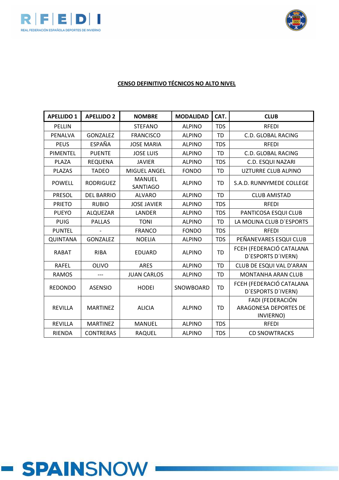



| <b>APELLIDO 1</b> | <b>APELLIDO 2</b> | <b>NOMBRE</b>                    | <b>MODALIDAD</b> | CAT.       | <b>CLUB</b>                                            |
|-------------------|-------------------|----------------------------------|------------------|------------|--------------------------------------------------------|
| <b>PELLIN</b>     |                   | <b>STEFANO</b>                   | <b>ALPINO</b>    | <b>TDS</b> | <b>RFEDI</b>                                           |
| <b>PENALVA</b>    | <b>GONZALEZ</b>   | <b>FRANCISCO</b>                 | <b>ALPINO</b>    | <b>TD</b>  | <b>C.D. GLOBAL RACING</b>                              |
| <b>PEUS</b>       | <b>ESPAÑA</b>     | <b>JOSE MARIA</b>                | <b>ALPINO</b>    | <b>TDS</b> | <b>RFEDI</b>                                           |
| PIMENTEL          | <b>PUENTE</b>     | <b>JOSE LUIS</b>                 | <b>ALPINO</b>    | <b>TD</b>  | <b>C.D. GLOBAL RACING</b>                              |
| PLAZA             | <b>REQUENA</b>    | <b>JAVIER</b>                    | <b>ALPINO</b>    | <b>TDS</b> | C.D. ESQUI NAZARI                                      |
| <b>PLAZAS</b>     | <b>TADEO</b>      | <b>MIGUEL ANGEL</b>              | <b>FONDO</b>     | <b>TD</b>  | UZTURRE CLUB ALPINO                                    |
| <b>POWELL</b>     | <b>RODRIGUEZ</b>  | <b>MANUEL</b><br><b>SANTIAGO</b> | <b>ALPINO</b>    | <b>TD</b>  | S.A.D. RUNNYMEDE COLLEGE                               |
| <b>PRESOL</b>     | <b>DEL BARRIO</b> | <b>ALVARO</b>                    | <b>ALPINO</b>    | <b>TD</b>  | <b>CLUB AMISTAD</b>                                    |
| <b>PRIETO</b>     | <b>RUBIO</b>      | <b>JOSE JAVIER</b>               | <b>ALPINO</b>    | <b>TDS</b> | <b>RFEDI</b>                                           |
| <b>PUEYO</b>      | ALQUEZAR          | LANDER                           | <b>ALPINO</b>    | <b>TDS</b> | PANTICOSA ESQUI CLUB                                   |
| <b>PUIG</b>       | <b>PALLAS</b>     | <b>TONI</b>                      | <b>ALPINO</b>    | <b>TD</b>  | LA MOLINA CLUB D'ESPORTS                               |
| <b>PUNTEL</b>     |                   | <b>FRANCO</b>                    | <b>FONDO</b>     | <b>TDS</b> | <b>RFEDI</b>                                           |
| <b>QUINTANA</b>   | <b>GONZALEZ</b>   | <b>NOELIA</b>                    | <b>ALPINO</b>    | <b>TDS</b> | PEÑANEVARES ESQUI CLUB                                 |
| <b>RABAT</b>      | <b>RIBA</b>       | <b>EDUARD</b>                    | <b>ALPINO</b>    | <b>TD</b>  | FCEH (FEDERACIÓ CATALANA<br>D'ESPORTS D'IVERN)         |
| <b>RAFEL</b>      | <b>OLIVO</b>      | <b>ARES</b>                      | <b>ALPINO</b>    | <b>TD</b>  | CLUB DE ESQUI VAL D'ARAN                               |
| <b>RAMOS</b>      |                   | <b>JUAN CARLOS</b>               | <b>ALPINO</b>    | <b>TD</b>  | <b>MONTANHA ARAN CLUB</b>                              |
| <b>REDONDO</b>    | <b>ASENSIO</b>    | <b>HODEI</b>                     | SNOWBOARD        | <b>TD</b>  | FCEH (FEDERACIÓ CATALANA<br>D'ESPORTS D'IVERN)         |
| <b>REVILLA</b>    | <b>MARTINEZ</b>   | <b>ALICIA</b>                    | <b>ALPINO</b>    | <b>TD</b>  | FADI (FEDERACIÓN<br>ARAGONESA DEPORTES DE<br>INVIERNO) |
| <b>REVILLA</b>    | <b>MARTINEZ</b>   | <b>MANUEL</b>                    | <b>ALPINO</b>    | <b>TDS</b> | <b>RFEDI</b>                                           |
| <b>RIENDA</b>     | <b>CONTRERAS</b>  | RAQUEL                           | <b>ALPINO</b>    | <b>TDS</b> | <b>CD SNOWTRACKS</b>                                   |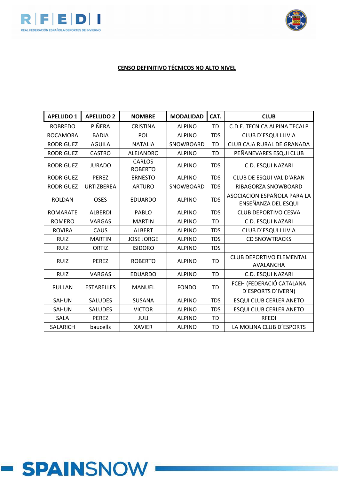



### **CENSO DEFINITIVO TÉCNICOS NO ALTO NIVEL**

| <b>APELLIDO 1</b> | <b>APELLIDO 2</b> | <b>NOMBRE</b>                   | <b>MODALIDAD</b> | CAT.       | <b>CLUB</b>                                         |
|-------------------|-------------------|---------------------------------|------------------|------------|-----------------------------------------------------|
| <b>ROBREDO</b>    | PIÑERA            | <b>CRISTINA</b>                 | <b>ALPINO</b>    | <b>TD</b>  | C.D.E. TECNICA ALPINA TECALP                        |
| <b>ROCAMORA</b>   | <b>BADIA</b>      | POL                             | <b>ALPINO</b>    | <b>TDS</b> | CLUB D'ESQUI LLIVIA                                 |
| <b>RODRIGUEZ</b>  | <b>AGUILA</b>     | <b>NATALIA</b>                  | SNOWBOARD        | <b>TD</b>  | <b>CLUB CAJA RURAL DE GRANADA</b>                   |
| <b>RODRIGUEZ</b>  | <b>CASTRO</b>     | ALEJANDRO                       | <b>ALPINO</b>    | <b>TD</b>  | PEÑANEVARES ESQUI CLUB                              |
| <b>RODRIGUEZ</b>  | <b>JURADO</b>     | <b>CARLOS</b><br><b>ROBERTO</b> | <b>ALPINO</b>    | <b>TDS</b> | C.D. ESQUI NAZARI                                   |
| <b>RODRIGUEZ</b>  | <b>PEREZ</b>      | <b>ERNESTO</b>                  | <b>ALPINO</b>    | <b>TDS</b> | CLUB DE ESQUI VAL D'ARAN                            |
| <b>RODRIGUEZ</b>  | <b>URTIZBEREA</b> | <b>ARTURO</b>                   | SNOWBOARD        | <b>TDS</b> | RIBAGORZA SNOWBOARD                                 |
| <b>ROLDAN</b>     | <b>OSES</b>       | <b>EDUARDO</b>                  | <b>ALPINO</b>    | <b>TDS</b> | ASOCIACION ESPAÑOLA PARA LA<br>ENSEÑANZA DEL ESQUI  |
| <b>ROMARATE</b>   | <b>ALBERDI</b>    | PABLO                           | <b>ALPINO</b>    | <b>TDS</b> | <b>CLUB DEPORTIVO CESVA</b>                         |
| <b>ROMERO</b>     | <b>VARGAS</b>     | <b>MARTIN</b>                   | <b>ALPINO</b>    | <b>TD</b>  | C.D. ESQUI NAZARI                                   |
| <b>ROVIRA</b>     | CAUS              | <b>ALBERT</b>                   | <b>ALPINO</b>    | <b>TDS</b> | CLUB D'ESQUI LLIVIA                                 |
| <b>RUIZ</b>       | <b>MARTIN</b>     | <b>JOSE JORGE</b>               | <b>ALPINO</b>    | <b>TDS</b> | <b>CD SNOWTRACKS</b>                                |
| <b>RUIZ</b>       | <b>ORTIZ</b>      | <b>ISIDORO</b>                  | <b>ALPINO</b>    | <b>TDS</b> |                                                     |
| <b>RUIZ</b>       | <b>PEREZ</b>      | <b>ROBERTO</b>                  | <b>ALPINO</b>    | <b>TD</b>  | <b>CLUB DEPORTIVO ELEMENTAL</b><br><b>AVALANCHA</b> |
| <b>RUIZ</b>       | VARGAS            | <b>EDUARDO</b>                  | <b>ALPINO</b>    | <b>TD</b>  | C.D. ESQUI NAZARI                                   |
| <b>RULLAN</b>     | <b>ESTARELLES</b> | <b>MANUEL</b>                   | <b>FONDO</b>     | <b>TD</b>  | FCEH (FEDERACIÓ CATALANA<br>D'ESPORTS D'IVERN)      |
| <b>SAHUN</b>      | <b>SALUDES</b>    | <b>SUSANA</b>                   | <b>ALPINO</b>    | <b>TDS</b> | <b>ESQUI CLUB CERLER ANETO</b>                      |
| <b>SAHUN</b>      | <b>SALUDES</b>    | <b>VICTOR</b>                   | <b>ALPINO</b>    | <b>TDS</b> | <b>ESQUI CLUB CERLER ANETO</b>                      |
| SALA              | <b>PEREZ</b>      | JULI                            | <b>ALPINO</b>    | <b>TD</b>  | <b>RFEDI</b>                                        |
| <b>SALARICH</b>   | baucells          | <b>XAVIER</b>                   | <b>ALPINO</b>    | <b>TD</b>  | LA MOLINA CLUB D'ESPORTS                            |

# **- SPAINSNOW**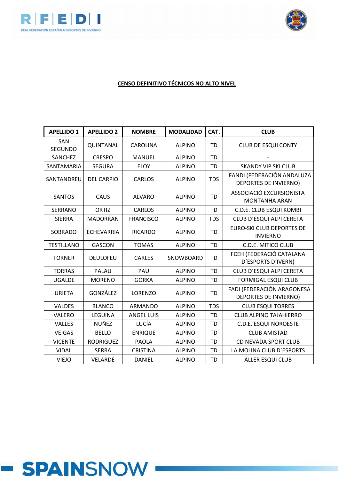



### **CENSO DEFINITIVO TÉCNICOS NO ALTO NIVEL**

| <b>APELLIDO 1</b> | <b>APELLIDO 2</b> | <b>NOMBRE</b>     | <b>MODALIDAD</b> | CAT.       | <b>CLUB</b>                                                |
|-------------------|-------------------|-------------------|------------------|------------|------------------------------------------------------------|
| SAN<br>SEGUNDO    | QUINTANAL         | CAROLINA          | <b>ALPINO</b>    | <b>TD</b>  | <b>CLUB DE ESQUI CONTY</b>                                 |
| SANCHEZ           | <b>CRESPO</b>     | <b>MANUEL</b>     | <b>ALPINO</b>    | <b>TD</b>  |                                                            |
| SANTAMARIA        | <b>SEGURA</b>     | <b>ELOY</b>       | <b>ALPINO</b>    | <b>TD</b>  | <b>SKANDY VIP SKI CLUB</b>                                 |
| SANTANDREU        | <b>DEL CARPIO</b> | <b>CARLOS</b>     | <b>ALPINO</b>    | <b>TDS</b> | FANDI (FEDERACIÓN ANDALUZA<br><b>DEPORTES DE INVIERNO)</b> |
| <b>SANTOS</b>     | CAUS              | <b>ALVARO</b>     | <b>ALPINO</b>    | <b>TD</b>  | ASSOCIACIÓ EXCURSIONISTA<br><b>MONTANHA ARAN</b>           |
| <b>SERRANO</b>    | <b>ORTIZ</b>      | <b>CARLOS</b>     | <b>ALPINO</b>    | <b>TD</b>  | C.D.E. CLUB ESQUI KOMBI                                    |
| <b>SIERRA</b>     | <b>MADORRAN</b>   | <b>FRANCISCO</b>  | <b>ALPINO</b>    | <b>TDS</b> | CLUB D'ESQUI ALPI CERETA                                   |
| SOBRADO           | <b>ECHEVARRIA</b> | <b>RICARDO</b>    | <b>ALPINO</b>    | <b>TD</b>  | <b>EURO-SKI CLUB DEPORTES DE</b><br><b>INVIERNO</b>        |
| <b>TESTILLANO</b> | <b>GASCON</b>     | <b>TOMAS</b>      | <b>ALPINO</b>    | <b>TD</b>  | C.D.E. MITICO CLUB                                         |
| <b>TORNER</b>     | <b>DEULOFEU</b>   | <b>CARLES</b>     | SNOWBOARD        | <b>TD</b>  | FCEH (FEDERACIÓ CATALANA<br>D'ESPORTS D'IVERN)             |
| <b>TORRAS</b>     | <b>PALAU</b>      | PAU               | <b>ALPINO</b>    | <b>TD</b>  | CLUB D'ESQUI ALPI CERETA                                   |
| <b>UGALDE</b>     | <b>MORENO</b>     | <b>GORKA</b>      | <b>ALPINO</b>    | <b>TD</b>  | <b>FORMIGAL ESQUI CLUB</b>                                 |
| <b>URIETA</b>     | GONZÁLEZ          | LORENZO           | <b>ALPINO</b>    | <b>TD</b>  | FADI (FEDERACIÓN ARAGONESA<br>DEPORTES DE INVIERNO)        |
| <b>VALDES</b>     | <b>BLANCO</b>     | ARMANDO           | <b>ALPINO</b>    | <b>TDS</b> | <b>CLUB ESQUI TORRES</b>                                   |
| VALERO            | LEGUINA           | <b>ANGEL LUIS</b> | <b>ALPINO</b>    | <b>TD</b>  | <b>CLUB ALPINO TAJAHIERRO</b>                              |
| VALLES            | <b>NUÑEZ</b>      | LUCÍA             | <b>ALPINO</b>    | <b>TD</b>  | <b>C.D.E. ESQUI NOROESTE</b>                               |
| <b>VEIGAS</b>     | <b>BELLO</b>      | <b>ENRIQUE</b>    | <b>ALPINO</b>    | <b>TD</b>  | <b>CLUB AMISTAD</b>                                        |
| <b>VICENTE</b>    | <b>RODRIGUEZ</b>  | <b>PAOLA</b>      | <b>ALPINO</b>    | <b>TD</b>  | CD NEVADA SPORT CLUB                                       |
| <b>VIDAL</b>      | <b>SERRA</b>      | <b>CRISTINA</b>   | <b>ALPINO</b>    | <b>TD</b>  | LA MOLINA CLUB D'ESPORTS                                   |
| <b>VIEJO</b>      | <b>VELARDE</b>    | DANIEL            | <b>ALPINO</b>    | <b>TD</b>  | <b>ALLER ESQUI CLUB</b>                                    |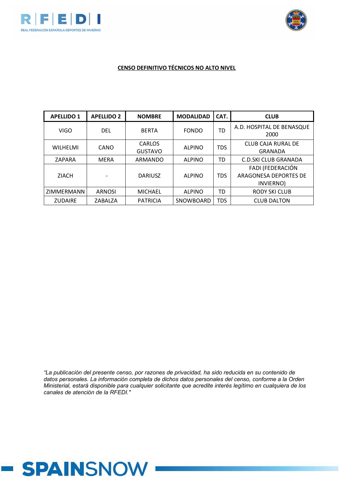



### **CENSO DEFINITIVO TÉCNICOS NO ALTO NIVEL**

| <b>APELLIDO 1</b> | <b>APELLIDO 2</b> | <b>NOMBRE</b>            | <b>MODALIDAD</b> | CAT.       | <b>CLUB</b>                                            |
|-------------------|-------------------|--------------------------|------------------|------------|--------------------------------------------------------|
| <b>VIGO</b>       | DEL               | <b>BERTA</b>             | <b>FONDO</b>     | TD         | A.D. HOSPITAL DE BENASQUE<br>2000                      |
| <b>WILHELMI</b>   | CANO              | CARLOS<br><b>GUSTAVO</b> | <b>ALPINO</b>    | <b>TDS</b> | <b>CLUB CAJA RURAL DE</b><br>GRANADA                   |
| ZAPARA            | <b>MERA</b>       | ARMANDO                  | <b>ALPINO</b>    | TD         | C.D.SKI CLUB GRANADA                                   |
| <b>ZIACH</b>      |                   | <b>DARIUSZ</b>           | <b>ALPINO</b>    | <b>TDS</b> | FADI (FEDERACIÓN<br>ARAGONESA DEPORTES DE<br>INVIERNO) |
| <b>ZIMMERMANN</b> | <b>ARNOSI</b>     | <b>MICHAEL</b>           | <b>ALPINO</b>    | TD         | <b>RODY SKI CLUB</b>                                   |
| <b>ZUDAIRE</b>    | ZABALZA           | <b>PATRICIA</b>          | SNOWBOARD        | <b>TDS</b> | <b>CLUB DALTON</b>                                     |

*"La publicación del presente censo, por razones de privacidad, ha sido reducida en su contenido de datos personales. La información completa de dichos datos personales del censo, conforme a la Orden Ministerial, estará disponible para cualquier solicitante que acredite interés legítimo en cualquiera de los canales de atención de la RFEDI."*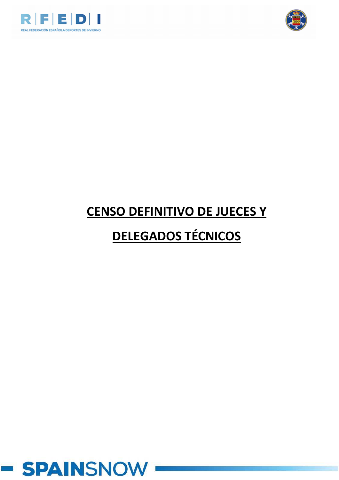



## **CENSO DEFINITIVO DE JUECES Y**

### **DELEGADOS TÉCNICOS**

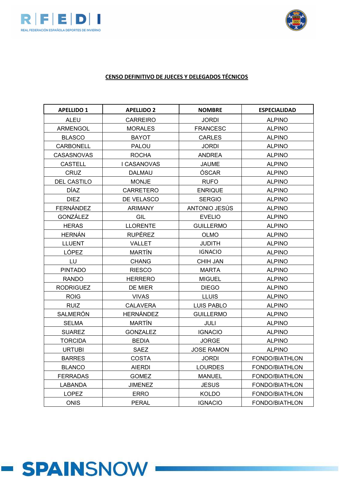



### CENSO DEFINITIVO DE JUECES Y DELEGADOS TÉCNICOS

| <b>APELLIDO 1</b>  | <b>APELLIDO 2</b> | <b>NOMBRE</b>     | <b>ESPECIALIDAD</b> |
|--------------------|-------------------|-------------------|---------------------|
| <b>ALEU</b>        | <b>CARREIRO</b>   | <b>JORDI</b>      | <b>ALPINO</b>       |
| <b>ARMENGOL</b>    | <b>MORALES</b>    | <b>FRANCESC</b>   | <b>ALPINO</b>       |
| <b>BLASCO</b>      | <b>BAYOT</b>      | <b>CARLES</b>     | <b>ALPINO</b>       |
| <b>CARBONELL</b>   | <b>PALOU</b>      | <b>JORDI</b>      | <b>ALPINO</b>       |
| CASASNOVAS         | <b>ROCHA</b>      | <b>ANDREA</b>     | <b>ALPINO</b>       |
| <b>CASTELL</b>     | I CASANOVAS       | <b>JAUME</b>      | <b>ALPINO</b>       |
| <b>CRUZ</b>        | <b>DALMAU</b>     | ÓSCAR             | <b>ALPINO</b>       |
| <b>DEL CASTILO</b> | <b>MONJE</b>      | <b>RUFO</b>       | <b>ALPINO</b>       |
| <b>DÍAZ</b>        | <b>CARRETERO</b>  | <b>ENRIQUE</b>    | <b>ALPINO</b>       |
| <b>DIEZ</b>        | DE VELASCO        | <b>SERGIO</b>     | <b>ALPINO</b>       |
| <b>FERNÁNDEZ</b>   | <b>ARIMANY</b>    | ANTONIO JESÚS     | <b>ALPINO</b>       |
| GONZÁLEZ           | GIL               | <b>EVELIO</b>     | <b>ALPINO</b>       |
| <b>HERAS</b>       | <b>LLORENTE</b>   | <b>GUILLERMO</b>  | <b>ALPINO</b>       |
| <b>HERNÁN</b>      | <b>RUPÉREZ</b>    | <b>OLMO</b>       | <b>ALPINO</b>       |
| <b>LLUENT</b>      | <b>VALLET</b>     | <b>JUDITH</b>     | <b>ALPINO</b>       |
| LÓPEZ              | <b>MARTÍN</b>     | <b>IGNACIO</b>    | <b>ALPINO</b>       |
| LU                 | <b>CHANG</b>      | <b>CHIH JAN</b>   | <b>ALPINO</b>       |
| <b>PINTADO</b>     | <b>RIESCO</b>     | <b>MARTA</b>      | <b>ALPINO</b>       |
| <b>RANDO</b>       | <b>HERRERO</b>    | <b>MIGUEL</b>     | <b>ALPINO</b>       |
| <b>RODRIGUEZ</b>   | DE MIER           | <b>DIEGO</b>      | <b>ALPINO</b>       |
| <b>ROIG</b>        | <b>VIVAS</b>      | <b>LLUIS</b>      | <b>ALPINO</b>       |
| <b>RUIZ</b>        | <b>CALAVERA</b>   | <b>LUIS PABLO</b> | <b>ALPINO</b>       |
| SALMERÓN           | <b>HERNÁNDEZ</b>  | <b>GUILLERMO</b>  | <b>ALPINO</b>       |
| <b>SELMA</b>       | <b>MARTÍN</b>     | <b>JULI</b>       | <b>ALPINO</b>       |
| <b>SUAREZ</b>      | <b>GONZALEZ</b>   | <b>IGNACIO</b>    | <b>ALPINO</b>       |
| <b>TORCIDA</b>     | <b>BEDIA</b>      | <b>JORGE</b>      | <b>ALPINO</b>       |
| <b>URTUBI</b>      | <b>SAEZ</b>       | <b>JOSE RAMON</b> | <b>ALPINO</b>       |
| <b>BARRES</b>      | <b>COSTA</b>      | <b>JORDI</b>      | FONDO/BIATHLON      |
| <b>BLANCO</b>      | <b>AIERDI</b>     | <b>LOURDES</b>    | FONDO/BIATHLON      |
| <b>FERRADAS</b>    | <b>GOMEZ</b>      | <b>MANUEL</b>     | FONDO/BIATHLON      |
| LABANDA            | <b>JIMENEZ</b>    | <b>JESUS</b>      | FONDO/BIATHLON      |
| <b>LOPEZ</b>       | <b>ERRO</b>       | <b>KOLDO</b>      | FONDO/BIATHLON      |
| <b>ONIS</b>        | <b>PERAL</b>      | <b>IGNACIO</b>    | FONDO/BIATHLON      |